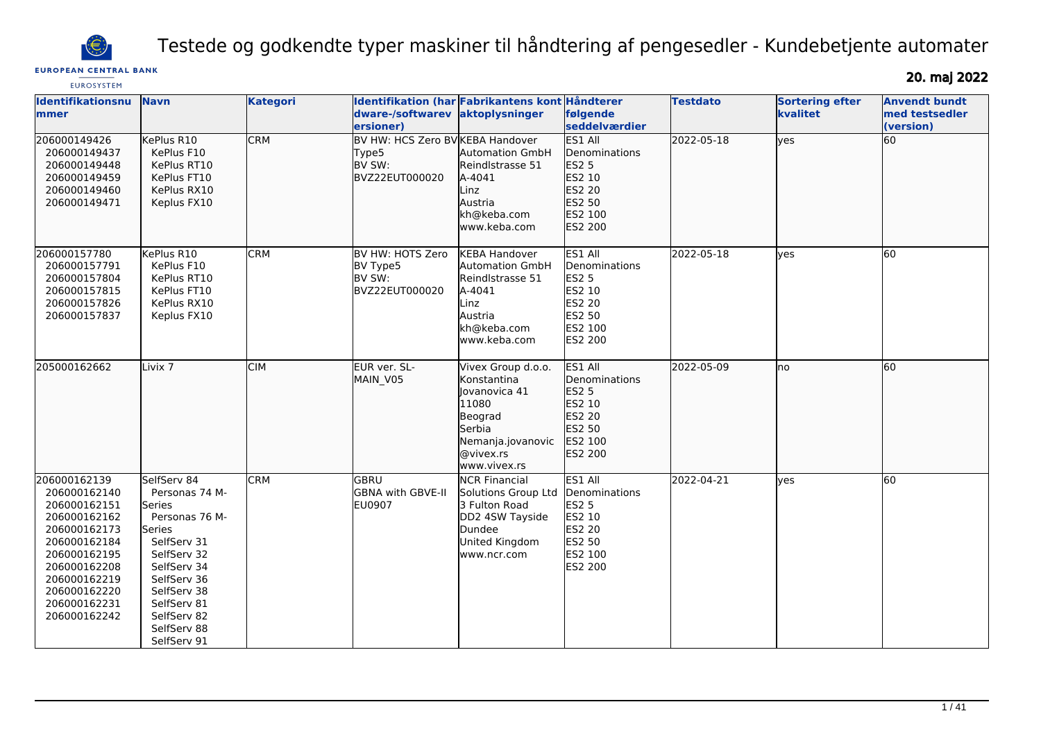

Testede og godkendte typer maskiner til håndtering af pengesedler - Kundebetjente automater

## **EUROPEAN CENTRAL BANK**

20. maj 2022

| <b>EUROSYSTEM</b>                                                                                                                                                                            |                                                                                                                                                                                                            |                 |                                                                       |                                                                                                                                           |                                                                                                              |                 |                                    |                                                     |
|----------------------------------------------------------------------------------------------------------------------------------------------------------------------------------------------|------------------------------------------------------------------------------------------------------------------------------------------------------------------------------------------------------------|-----------------|-----------------------------------------------------------------------|-------------------------------------------------------------------------------------------------------------------------------------------|--------------------------------------------------------------------------------------------------------------|-----------------|------------------------------------|-----------------------------------------------------|
| Identifikationsnu<br>mmer                                                                                                                                                                    | <b>Navn</b>                                                                                                                                                                                                | <b>Kategori</b> | dware-/softwarev<br>ersioner)                                         | Identifikation (har Fabrikantens kont Håndterer<br>aktoplysninger                                                                         | følgende<br>seddelværdier                                                                                    | <b>Testdato</b> | <b>Sortering efter</b><br>kvalitet | <b>Anvendt bundt</b><br>med testsedler<br>(version) |
| 206000149426<br>206000149437<br>206000149448<br>206000149459<br>206000149460<br>206000149471                                                                                                 | KePlus R10<br>KePlus F10<br>KePlus RT10<br>KePlus FT10<br>KePlus RX10<br>Keplus FX10                                                                                                                       | <b>CRM</b>      | BV HW: HCS Zero BV KEBA Handover<br>Type5<br>BV SW:<br>BVZ22EUT000020 | <b>Automation GmbH</b><br>Reindlstrasse 51<br>A-4041<br>Linz<br>Austria<br>kh@keba.com<br>www.keba.com                                    | ES1 All<br>Denominations<br><b>ES2 5</b><br>ES2 10<br>ES2 20<br>ES2 50<br>ES2 100<br><b>ES2 200</b>          | 2022-05-18      | lyes                               | 60                                                  |
| 206000157780<br>206000157791<br>206000157804<br>206000157815<br>206000157826<br>206000157837                                                                                                 | KePlus R10<br>KePlus F10<br>KePlus RT10<br>KePlus FT10<br>KePlus RX10<br>Keplus FX10                                                                                                                       | <b>CRM</b>      | BV HW: HOTS Zero<br>BV Type5<br>BV SW:<br>BVZ22EUT000020              | <b>KEBA Handover</b><br>Automation GmbH<br>Reindlstrasse 51<br>A-4041<br>Linz<br>Austria<br>kh@keba.com<br>www.keba.com                   | ES1 All<br>Denominations<br><b>ES2 5</b><br>ES2 10<br><b>ES2 20</b><br>ES2 50<br>ES2 100<br><b>ES2 200</b>   | 2022-05-18      | lves                               | 60                                                  |
| 205000162662                                                                                                                                                                                 | Livix <sub>7</sub>                                                                                                                                                                                         | <b>CIM</b>      | EUR ver. SL-<br>MAIN_V05                                              | Vivex Group d.o.o.<br><b>Konstantina</b><br>Jovanovica 41<br>11080<br>Beograd<br>Serbia<br>Nemanja.jovanovic<br>@vivex.rs<br>www.vivex.rs | ES1 All<br><b>I</b> Denominations<br><b>ES2 5</b><br>ES2 10<br>ES2 20<br>ES2 50<br>ES2 100<br><b>ES2 200</b> | 2022-05-09      | Ino                                | 60                                                  |
| 206000162139<br>206000162140<br>206000162151<br>206000162162<br>206000162173<br>206000162184<br>206000162195<br>206000162208<br>206000162219<br>206000162220<br>206000162231<br>206000162242 | SelfServ 84<br>Personas 74 M-<br>Series<br>Personas 76 M-<br>Series<br>SelfServ 31<br>SelfServ 32<br>SelfServ 34<br>SelfServ 36<br>SelfServ 38<br>SelfServ 81<br>SelfServ 82<br>SelfServ 88<br>SelfServ 91 | <b>CRM</b>      | GBRU<br><b>GBNA with GBVE-II</b><br><b>EU0907</b>                     | <b>NCR Financial</b><br>Solutions Group Ltd<br>3 Fulton Road<br>DD2 4SW Tayside<br>Dundee<br>United Kingdom<br>www.ncr.com                | ES1 All<br>Denominations<br><b>ES2 5</b><br>ES2 10<br><b>ES2 20</b><br>ES2 50<br>ES2 100<br><b>ES2 200</b>   | 2022-04-21      | <b>ves</b>                         | 60                                                  |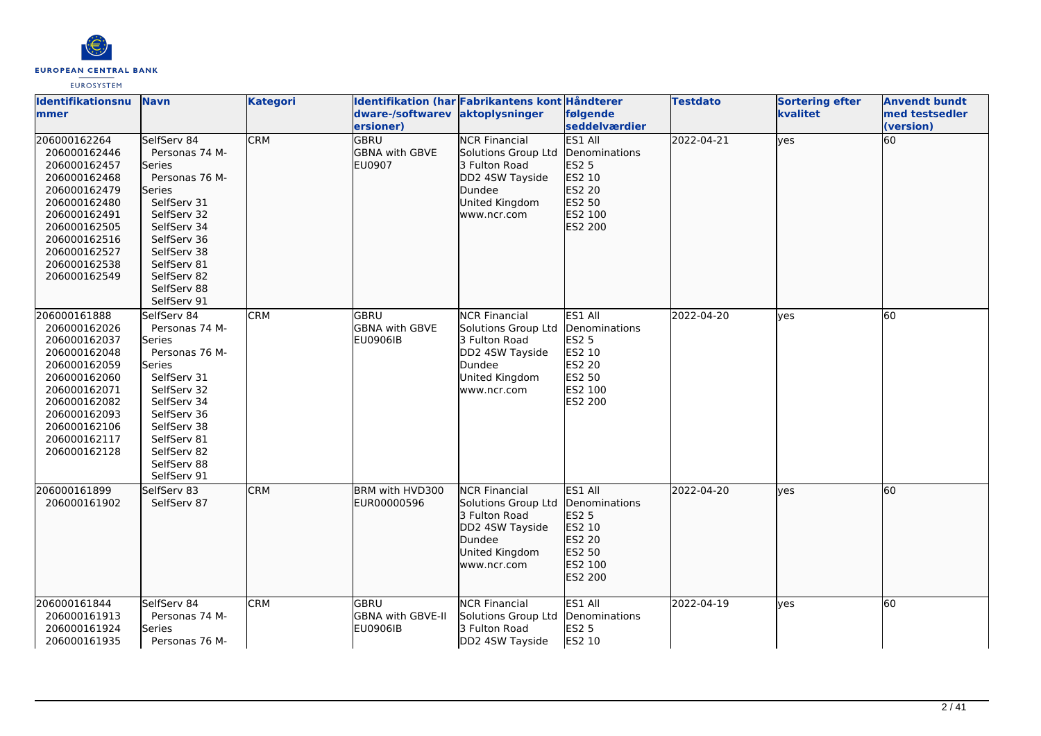

| <b>Identifikationsnu</b><br>mmer                                                                                                                                                             | <b>Navn</b>                                                                                                                                                                                                 | <b>Kategori</b> | dware-/softwarev                                            | Identifikation (har Fabrikantens kont Håndterer<br>aktoplysninger                                                          | følgende                                                                                                             | <b>Testdato</b> | <b>Sortering efter</b><br>kvalitet | <b>Anvendt bundt</b><br>med testsedler |
|----------------------------------------------------------------------------------------------------------------------------------------------------------------------------------------------|-------------------------------------------------------------------------------------------------------------------------------------------------------------------------------------------------------------|-----------------|-------------------------------------------------------------|----------------------------------------------------------------------------------------------------------------------------|----------------------------------------------------------------------------------------------------------------------|-----------------|------------------------------------|----------------------------------------|
| 206000162264<br>206000162446<br>206000162457<br>206000162468<br>206000162479<br>206000162480<br>206000162491<br>206000162505<br>206000162516<br>206000162527<br>206000162538<br>206000162549 | SelfServ 84<br>Personas 74 M-<br>Series<br>Personas 76 M-<br>lSeries<br>SelfServ 31<br>SelfServ 32<br>SelfServ 34<br>SelfServ 36<br>SelfServ 38<br>SelfServ 81<br>SelfServ 82<br>SelfServ 88<br>SelfServ 91 | <b>CRM</b>      | ersioner)<br><b>GBRU</b><br><b>GBNA with GBVE</b><br>EU0907 | <b>NCR Financial</b><br>Solutions Group Ltd<br>3 Fulton Road<br>DD2 4SW Tayside<br>Dundee<br>United Kingdom<br>www.ncr.com | seddelværdier<br>ES1 All<br>Denominations<br><b>ES2 5</b><br>ES2 10<br><b>ES2 20</b><br>ES2 50<br>ES2 100<br>ES2 200 | 2022-04-21      | lyes                               | (version)<br>60                        |
| 206000161888<br>206000162026<br>206000162037<br>206000162048<br>206000162059<br>206000162060<br>206000162071<br>206000162082<br>206000162093<br>206000162106<br>206000162117<br>206000162128 | SelfServ 84<br>Personas 74 M-<br>Series<br>Personas 76 M-<br>Series<br>SelfServ 31<br>SelfServ 32<br>SelfServ 34<br>SelfServ 36<br>SelfServ 38<br>SelfServ 81<br>SelfServ 82<br>SelfServ 88<br>SelfServ 91  | <b>CRM</b>      | <b>GBRU</b><br><b>GBNA</b> with GBVE<br>EU0906IB            | <b>NCR Financial</b><br>Solutions Group Ltd<br>3 Fulton Road<br>DD2 4SW Tayside<br>Dundee<br>United Kingdom<br>www.ncr.com | ES1 All<br>Denominations<br><b>ES2 5</b><br>ES2 10<br><b>ES2 20</b><br><b>ES2 50</b><br>ES2 100<br><b>ES2 200</b>    | 2022-04-20      | ves                                | 60                                     |
| 206000161899<br>206000161902                                                                                                                                                                 | SelfServ 83<br>SelfServ 87                                                                                                                                                                                  | <b>CRM</b>      | BRM with HVD300<br>EUR00000596                              | <b>NCR Financial</b><br>Solutions Group Ltd<br>3 Fulton Road<br>DD2 4SW Tayside<br>Dundee<br>United Kingdom<br>www.ncr.com | ES1 All<br>Denominations<br><b>ES2 5</b><br>ES2 10<br>ES2 20<br>ES2 50<br>ES2 100<br>ES2 200                         | 2022-04-20      | lves                               | 60                                     |
| 206000161844<br>206000161913<br>206000161924<br>206000161935                                                                                                                                 | SelfServ 84<br>Personas 74 M-<br>Series<br>Personas 76 M-                                                                                                                                                   | <b>CRM</b>      | GBRU<br>GBNA with GBVE-II<br><b>EU0906IB</b>                | <b>NCR Financial</b><br>Solutions Group Ltd<br>3 Fulton Road<br>DD2 4SW Tayside                                            | ES1 All<br>Denominations<br><b>ES2 5</b><br>ES2 10                                                                   | 2022-04-19      | lves                               | 60                                     |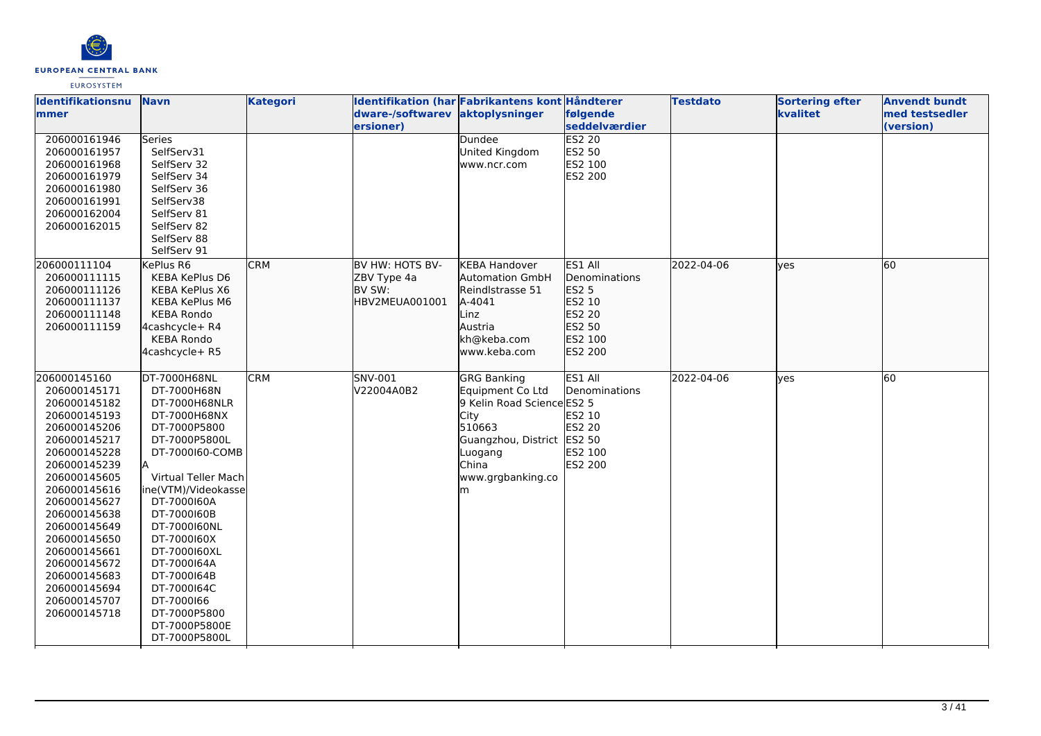

| Identifikationsnu<br>mmer                                                                                                                                                                                                                                                                                                    | <b>Navn</b>                                                                                                                                                                                                                                                                                                                                              | <b>Kategori</b> | Identifikation (har Fabrikantens kont Håndterer<br>dware-/softwarev<br>ersioner) | aktoplysninger                                                                                                                                                     | følgende<br>seddelværdier                                                                           | <b>Testdato</b> | <b>Sortering efter</b><br>kvalitet | <b>Anvendt bundt</b><br>med testsedler<br>(version) |
|------------------------------------------------------------------------------------------------------------------------------------------------------------------------------------------------------------------------------------------------------------------------------------------------------------------------------|----------------------------------------------------------------------------------------------------------------------------------------------------------------------------------------------------------------------------------------------------------------------------------------------------------------------------------------------------------|-----------------|----------------------------------------------------------------------------------|--------------------------------------------------------------------------------------------------------------------------------------------------------------------|-----------------------------------------------------------------------------------------------------|-----------------|------------------------------------|-----------------------------------------------------|
| 206000161946<br>206000161957<br>206000161968<br>206000161979<br>206000161980<br>206000161991<br>206000162004<br>206000162015                                                                                                                                                                                                 | <b>Series</b><br>SelfServ31<br>SelfServ 32<br>SelfServ 34<br>SelfServ 36<br>SelfServ38<br>SelfServ 81<br>SelfServ 82<br>SelfServ 88<br>SelfServ 91                                                                                                                                                                                                       |                 |                                                                                  | Dundee<br>United Kingdom<br>www.ncr.com                                                                                                                            | <b>ES2 20</b><br>ES2 50<br>ES2 100<br>ES2 200                                                       |                 |                                    |                                                     |
| 206000111104<br>206000111115<br>206000111126<br>206000111137<br>206000111148<br>206000111159                                                                                                                                                                                                                                 | KePlus R6<br>KEBA KePlus D6<br>KEBA KePlus X6<br>KEBA KePlus M6<br><b>KEBA Rondo</b><br>4cashcycle+ R4<br><b>KEBA Rondo</b><br>4cashcycle+ R5                                                                                                                                                                                                            | <b>CRM</b>      | BV HW: HOTS BV-<br>ZBV Type 4a<br>BV SW:<br>HBV2MEUA001001                       | <b>KEBA Handover</b><br><b>Automation GmbH</b><br>Reindlstrasse 51<br>A-4041<br>Linz<br>Austria<br>kh@keba.com<br>www.keba.com                                     | <b>ES1 All</b><br>Denominations<br><b>ES2 5</b><br>ES2 10<br>ES2 20<br>ES2 50<br>ES2 100<br>ES2 200 | 2022-04-06      | lyes                               | 60                                                  |
| 206000145160<br>206000145171<br>206000145182<br>206000145193<br>206000145206<br>206000145217<br>206000145228<br>206000145239<br>206000145605<br>206000145616<br>206000145627<br>206000145638<br>206000145649<br>206000145650<br>206000145661<br>206000145672<br>206000145683<br>206000145694<br>206000145707<br>206000145718 | DT-7000H68NL<br>DT-7000H68N<br>DT-7000H68NLR<br>DT-7000H68NX<br>DT-7000P5800<br>DT-7000P5800L<br>DT-7000160-COMB<br>Virtual Teller Mach<br>ine(VTM)/Videokasse<br>DT-7000160A<br>DT-7000160B<br>DT-7000160NL<br>DT-7000160X<br>DT-7000160XL<br>DT-7000164A<br>DT-7000164B<br>DT-7000164C<br>DT-7000166<br>DT-7000P5800<br>DT-7000P5800E<br>DT-7000P5800L | <b>CRM</b>      | <b>SNV-001</b><br>V22004A0B2                                                     | GRG Banking<br>Equipment Co Ltd<br>9 Kelin Road Science ES2 5<br>City<br>510663<br>Guangzhou, District ES2 50<br>Luogang<br><b>China</b><br>www.grgbanking.co<br>m | ES1 All<br>Denominations<br>ES2 10<br><b>ES2 20</b><br>ES2 100<br><b>ES2 200</b>                    | 2022-04-06      | lyes                               | 60                                                  |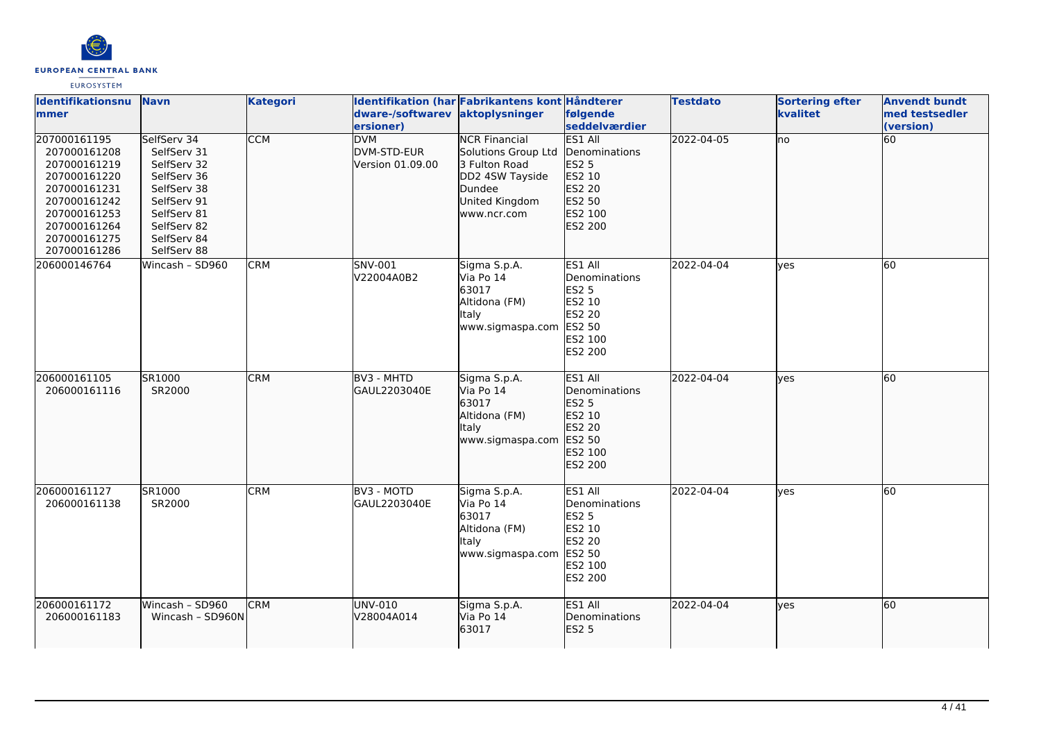

| Identifikationsnu<br>lmmer                                                                                                                                   | <b>Navn</b>                                                                                                                                        | <b>Kategori</b> | dware-/softwarev<br>ersioner)                        | Identifikation (har Fabrikantens kont Håndterer<br>aktoplysninger                                                          | følgende<br>seddelværdier                                                                           | <b>Testdato</b> | <b>Sortering efter</b><br>kvalitet | <b>Anvendt bundt</b><br>med testsedler<br>(version) |
|--------------------------------------------------------------------------------------------------------------------------------------------------------------|----------------------------------------------------------------------------------------------------------------------------------------------------|-----------------|------------------------------------------------------|----------------------------------------------------------------------------------------------------------------------------|-----------------------------------------------------------------------------------------------------|-----------------|------------------------------------|-----------------------------------------------------|
| 207000161195<br>207000161208<br>207000161219<br>207000161220<br>207000161231<br>207000161242<br>207000161253<br>207000161264<br>207000161275<br>207000161286 | SelfServ 34<br>SelfServ 31<br>SelfServ 32<br>SelfServ 36<br>SelfServ 38<br>SelfServ 91<br>SelfServ 81<br>SelfServ 82<br>SelfServ 84<br>SelfServ 88 | <b>CCM</b>      | <b>DVM</b><br><b>DVM-STD-EUR</b><br>Version 01.09.00 | <b>NCR Financial</b><br>Solutions Group Ltd<br>3 Fulton Road<br>DD2 4SW Tayside<br>Dundee<br>United Kingdom<br>www.ncr.com | <b>ES1 All</b><br>Denominations<br><b>ES2 5</b><br>ES2 10<br>ES2 20<br>ES2 50<br>ES2 100<br>ES2 200 | 2022-04-05      | no                                 | 60                                                  |
| 206000146764                                                                                                                                                 | Wincash - SD960                                                                                                                                    | <b>CRM</b>      | SNV-001<br>V22004A0B2                                | Sigma S.p.A.<br>Via Po 14<br>63017<br>Altidona (FM)<br>ltaly<br>www.sigmaspa.com                                           | ES1 All<br>Denominations<br><b>ES2 5</b><br>ES2 10<br><b>ES2 20</b><br>ES2 50<br>ES2 100<br>ES2 200 | 2022-04-04      | <b>ves</b>                         | 60                                                  |
| 206000161105<br>206000161116                                                                                                                                 | SR1000<br>SR2000                                                                                                                                   | <b>CRM</b>      | BV3 - MHTD<br>lGAUL2203040E                          | Sigma S.p.A.<br>Via Po 14<br>63017<br>Altidona (FM)<br>Italy<br>www.sigmaspa.com                                           | ES1 All<br><b>Denominations</b><br><b>ES2 5</b><br>ES2 10<br>ES2 20<br>ES2 50<br>ES2 100<br>ES2 200 | 2022-04-04      | <b>lves</b>                        | 60                                                  |
| 206000161127<br>206000161138                                                                                                                                 | SR1000<br>SR2000                                                                                                                                   | <b>CRM</b>      | BV3 - MOTD<br>GAUL2203040E                           | Sigma S.p.A.<br>Via Po 14<br>63017<br>Altidona (FM)<br><b>Italy</b><br>www.sigmaspa.com                                    | ES1 All<br>Denominations<br><b>ES2 5</b><br>ES2 10<br>ES2 20<br>ES2 50<br>ES2 100<br>ES2 200        | 2022-04-04      | <b>ves</b>                         | 60                                                  |
| 206000161172<br>206000161183                                                                                                                                 | Wincash - SD960<br>Wincash - SD960N                                                                                                                | <b>CRM</b>      | UNV-010<br>V28004A014                                | Sigma S.p.A.<br>Via Po 14<br>63017                                                                                         | ES1 All<br>Denominations<br>ES2 5                                                                   | 2022-04-04      | lyes                               | 60                                                  |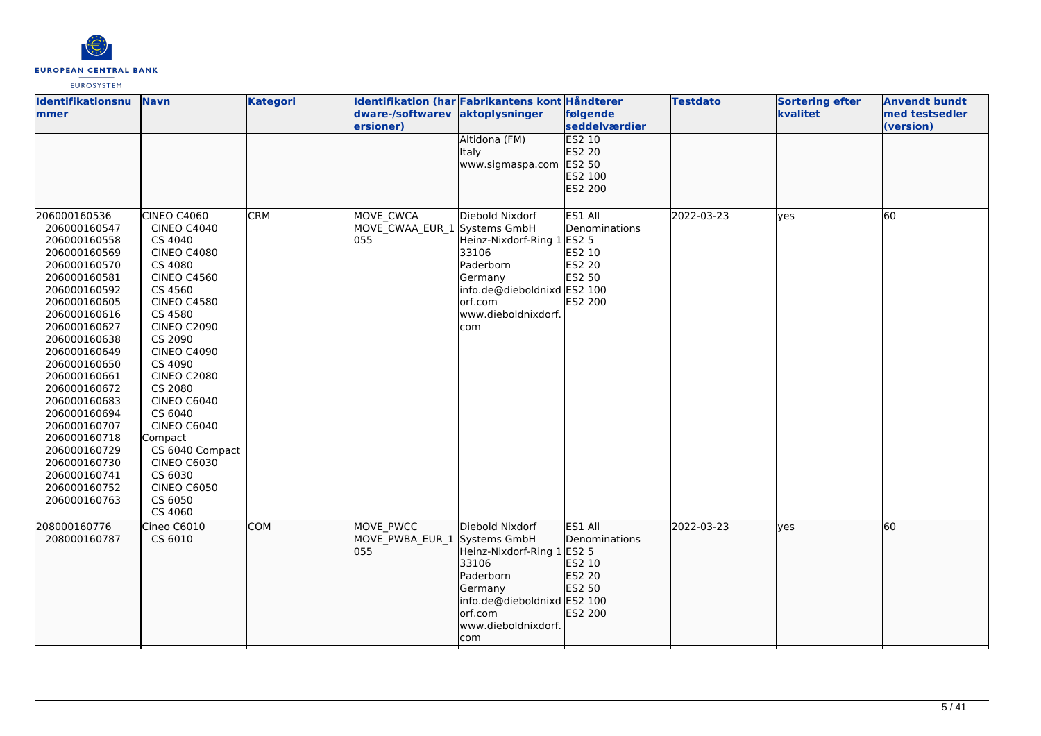

| lldentifikationsnu<br>mmer                                                                                                                                                                                                                                                                                                                                                                   | <b>Navn</b>                                                                                                                                                                                                                                                                                                                                                                                                          | <b>Kategori</b> | dware-/softwarev aktoplysninger<br>ersioner)     | Identifikation (har Fabrikantens kont Håndterer<br>Altidona (FM)                                                                                       | følgende<br>seddelværdier<br><b>ES2 10</b>                                        | <b>Testdato</b> | <b>Sortering efter</b><br>kvalitet | <b>Anvendt bundt</b><br>med testsedler<br>(version) |
|----------------------------------------------------------------------------------------------------------------------------------------------------------------------------------------------------------------------------------------------------------------------------------------------------------------------------------------------------------------------------------------------|----------------------------------------------------------------------------------------------------------------------------------------------------------------------------------------------------------------------------------------------------------------------------------------------------------------------------------------------------------------------------------------------------------------------|-----------------|--------------------------------------------------|--------------------------------------------------------------------------------------------------------------------------------------------------------|-----------------------------------------------------------------------------------|-----------------|------------------------------------|-----------------------------------------------------|
|                                                                                                                                                                                                                                                                                                                                                                                              |                                                                                                                                                                                                                                                                                                                                                                                                                      |                 |                                                  | Italy<br>www.sigmaspa.com                                                                                                                              | ES2 20<br>ES2 50<br>ES2 100<br>ES2 200                                            |                 |                                    |                                                     |
| 206000160536<br>206000160547<br>206000160558<br>206000160569<br>206000160570<br>206000160581<br>206000160592<br>206000160605<br>206000160616<br>206000160627<br>206000160638<br>206000160649<br>206000160650<br>206000160661<br>206000160672<br>206000160683<br>206000160694<br>206000160707<br>206000160718<br>206000160729<br>206000160730<br>206000160741<br>206000160752<br>206000160763 | CINEO C4060<br><b>CINEO C4040</b><br>CS 4040<br><b>CINEO C4080</b><br>CS 4080<br><b>CINEO C4560</b><br>CS 4560<br><b>CINEO C4580</b><br>CS 4580<br><b>CINEO C2090</b><br>CS 2090<br><b>CINEO C4090</b><br>CS 4090<br><b>CINEO C2080</b><br>CS 2080<br><b>CINEO C6040</b><br>CS 6040<br><b>CINEO C6040</b><br>Compact<br>CS 6040 Compact<br><b>CINEO C6030</b><br>CS 6030<br><b>CINEO C6050</b><br>CS 6050<br>CS 4060 | <b>CRM</b>      | MOVE_CWCA<br>MOVE_CWAA_EUR_1 Systems GmbH<br>055 | Diebold Nixdorf<br>Heinz-Nixdorf-Ring 1<br>33106<br>Paderborn<br>Germany<br>info.de@dieboldnixd ES2 100<br>orf.com<br>www.dieboldnixdorf.<br>com       | ES1 All<br>Denominations<br>ES2 5<br>ES2 10<br>ES2 20<br>ES2 50<br><b>ES2 200</b> | 2022-03-23      | yes                                | 60                                                  |
| 208000160776<br>208000160787                                                                                                                                                                                                                                                                                                                                                                 | Cineo C6010<br>CS 6010                                                                                                                                                                                                                                                                                                                                                                                               | <b>COM</b>      | MOVE PWCC<br>MOVE_PWBA_EUR_1 Systems GmbH<br>055 | Diebold Nixdorf<br>Heinz-Nixdorf-Ring 1 ES2 5<br>33106<br>Paderborn<br>Germany<br>info.de@dieboldnixd ES2 100<br>orf.com<br>www.dieboldnixdorf.<br>com | ES1 All<br>Denominations<br>ES2 10<br>ES2 20<br>ES2 50<br>ES2 200                 | 2022-03-23      | lyes                               | 60                                                  |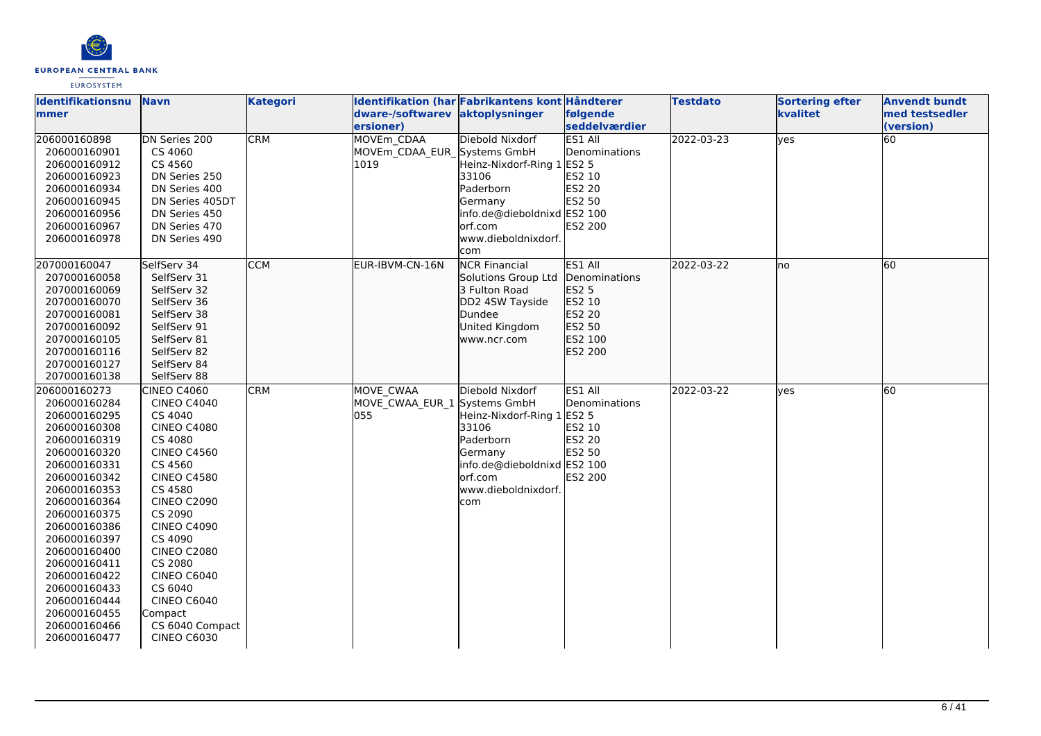

| <b>Identifikationsnu</b>     | <b>Navn</b>                   | <b>Kategori</b> |                               | Identifikation (har Fabrikantens kont Håndterer |                               | <b>Testdato</b> | <b>Sortering efter</b> | <b>Anvendt bundt</b>        |
|------------------------------|-------------------------------|-----------------|-------------------------------|-------------------------------------------------|-------------------------------|-----------------|------------------------|-----------------------------|
| mmer                         |                               |                 | dware-/softwarev<br>ersioner) | aktoplysninger                                  | følgende<br>seddelværdier     |                 | kvalitet               | med testsedler<br>(version) |
| 206000160898                 | DN Series 200                 | <b>CRM</b>      | <b>MOVEm CDAA</b>             | Diebold Nixdorf                                 | <b>ES1 All</b>                | 2022-03-23      | yes                    | 60                          |
| 206000160901                 | CS 4060                       |                 | MOVEm CDAA EUR Systems GmbH   |                                                 | Denominations                 |                 |                        |                             |
| 206000160912                 | CS 4560                       |                 | 1019                          | Heinz-Nixdorf-Ring 1 ES2 5                      |                               |                 |                        |                             |
| 206000160923                 | DN Series 250                 |                 |                               | 33106                                           | ES2 10                        |                 |                        |                             |
| 206000160934                 | DN Series 400                 |                 |                               | Paderborn                                       | ES2 20                        |                 |                        |                             |
| 206000160945                 | DN Series 405DT               |                 |                               | Germany                                         | ES2 50                        |                 |                        |                             |
| 206000160956                 | DN Series 450                 |                 |                               | info.de@dieboldnixd ES2 100                     |                               |                 |                        |                             |
| 206000160967                 | DN Series 470                 |                 |                               | orf.com                                         | ES2 200                       |                 |                        |                             |
| 206000160978                 | DN Series 490                 |                 |                               | www.dieboldnixdorf.                             |                               |                 |                        |                             |
|                              |                               |                 |                               | com                                             |                               |                 |                        |                             |
| 207000160047                 | SelfServ 34                   | <b>CCM</b>      | EUR-IBVM-CN-16N               | <b>NCR Financial</b>                            | ES1 All                       | 2022-03-22      | no                     | 60                          |
| 207000160058                 | SelfServ 31<br>SelfServ 32    |                 |                               | Solutions Group Ltd<br>3 Fulton Road            | Denominations<br><b>ES2 5</b> |                 |                        |                             |
| 207000160069<br>207000160070 | SelfServ 36                   |                 |                               | DD2 4SW Tayside                                 | ES2 10                        |                 |                        |                             |
| 207000160081                 | SelfServ 38                   |                 |                               | Dundee                                          | <b>ES2 20</b>                 |                 |                        |                             |
| 207000160092                 | SelfServ 91                   |                 |                               | United Kingdom                                  | ES2 50                        |                 |                        |                             |
| 207000160105                 | SelfServ 81                   |                 |                               | www.ncr.com                                     | ES2 100                       |                 |                        |                             |
| 207000160116                 | SelfServ 82                   |                 |                               |                                                 | ES2 200                       |                 |                        |                             |
| 207000160127                 | SelfServ 84                   |                 |                               |                                                 |                               |                 |                        |                             |
| 207000160138                 | SelfServ 88                   |                 |                               |                                                 |                               |                 |                        |                             |
| 206000160273                 | CINEO C4060                   | <b>CRM</b>      | <b>MOVE CWAA</b>              | Diebold Nixdorf                                 | ES1 All                       | 2022-03-22      | yes                    | 60                          |
| 206000160284                 | <b>CINEO C4040</b>            |                 | MOVE CWAA EUR 1 Systems GmbH  |                                                 | Denominations                 |                 |                        |                             |
| 206000160295                 | CS 4040                       |                 | 055                           | Heinz-Nixdorf-Ring 1 ES2 5                      |                               |                 |                        |                             |
| 206000160308                 | <b>CINEO C4080</b>            |                 |                               | 33106                                           | ES2 10                        |                 |                        |                             |
| 206000160319                 | CS 4080                       |                 |                               | Paderborn                                       | <b>ES2 20</b>                 |                 |                        |                             |
| 206000160320                 | <b>CINEO C4560</b>            |                 |                               | Germany                                         | ES2 50                        |                 |                        |                             |
| 206000160331                 | CS 4560                       |                 |                               | info.de@dieboldnixd ES2 100                     |                               |                 |                        |                             |
| 206000160342                 | <b>CINEO C4580</b>            |                 |                               | orf.com                                         | ES2 200                       |                 |                        |                             |
| 206000160353                 | CS 4580                       |                 |                               | www.dieboldnixdorf.                             |                               |                 |                        |                             |
| 206000160364                 | <b>CINEO C2090</b>            |                 |                               | com                                             |                               |                 |                        |                             |
| 206000160375                 | CS 2090                       |                 |                               |                                                 |                               |                 |                        |                             |
| 206000160386                 | <b>CINEO C4090</b>            |                 |                               |                                                 |                               |                 |                        |                             |
| 206000160397<br>206000160400 | CS 4090<br><b>CINEO C2080</b> |                 |                               |                                                 |                               |                 |                        |                             |
| 206000160411                 | CS 2080                       |                 |                               |                                                 |                               |                 |                        |                             |
| 206000160422                 | <b>CINEO C6040</b>            |                 |                               |                                                 |                               |                 |                        |                             |
| 206000160433                 | CS 6040                       |                 |                               |                                                 |                               |                 |                        |                             |
| 206000160444                 | CINEO C6040                   |                 |                               |                                                 |                               |                 |                        |                             |
| 206000160455                 | Compact                       |                 |                               |                                                 |                               |                 |                        |                             |
| 206000160466                 | CS 6040 Compact               |                 |                               |                                                 |                               |                 |                        |                             |
| 206000160477                 | <b>CINEO C6030</b>            |                 |                               |                                                 |                               |                 |                        |                             |
|                              |                               |                 |                               |                                                 |                               |                 |                        |                             |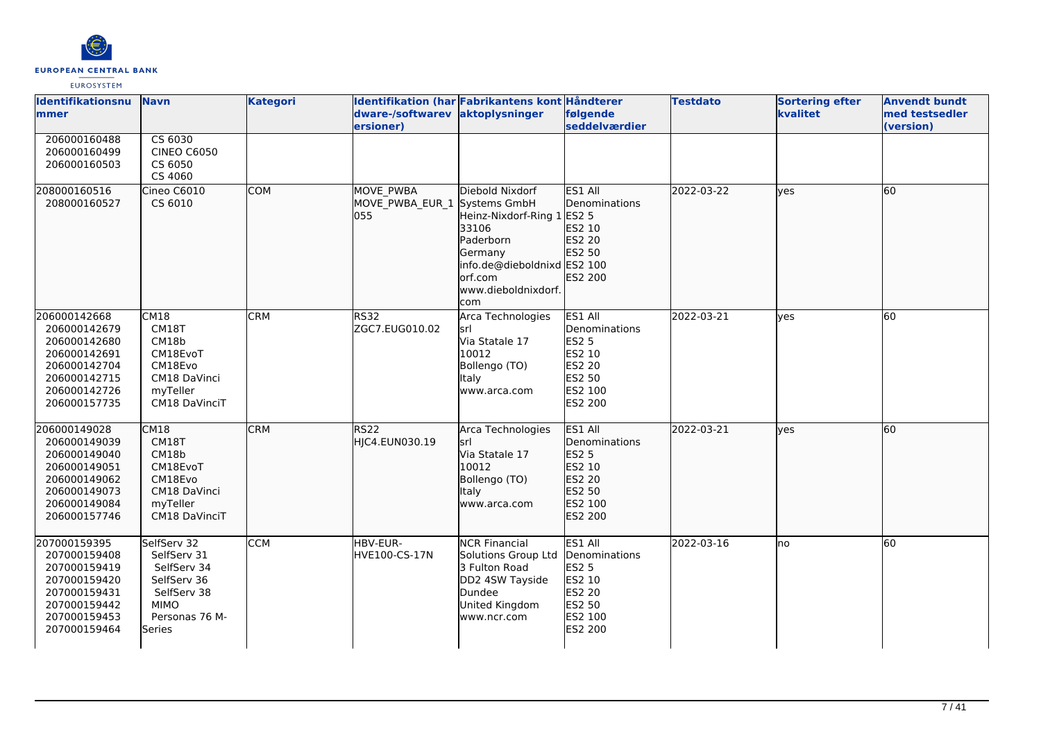

| <b>Identifikationsnu</b><br>mmer                                                                                             | <b>Navn</b>                                                                                                        | <b>Kategori</b> | Identifikation (har Fabrikantens kont Håndterer<br>dware-/softwarev aktoplysninger<br>ersioner) |                                                                                                                                                   | følgende<br>seddelværdier                                                                           | <b>Testdato</b> | <b>Sortering efter</b><br>kvalitet | <b>Anvendt bundt</b><br>med testsedler<br>(version) |
|------------------------------------------------------------------------------------------------------------------------------|--------------------------------------------------------------------------------------------------------------------|-----------------|-------------------------------------------------------------------------------------------------|---------------------------------------------------------------------------------------------------------------------------------------------------|-----------------------------------------------------------------------------------------------------|-----------------|------------------------------------|-----------------------------------------------------|
| 206000160488<br>206000160499<br>206000160503                                                                                 | CS 6030<br><b>CINEO C6050</b><br>CS 6050<br>CS 4060                                                                |                 |                                                                                                 |                                                                                                                                                   |                                                                                                     |                 |                                    |                                                     |
| 208000160516<br>208000160527                                                                                                 | Cineo C6010<br>CS 6010                                                                                             | <b>COM</b>      | <b>MOVE PWBA</b><br>MOVE PWBA EUR 1 Systems GmbH<br>055                                         | Diebold Nixdorf<br>Heinz-Nixdorf-Ring 1<br>33106<br>Paderborn<br>Germany<br>info.de@dieboldnixd ES2 100<br>lorf.com<br>www.dieboldnixdorf.<br>com | ES1 All<br><b>IDenominations</b><br>ES2 5<br>ES2 10<br>ES2 20<br>ES2 50<br>ES2 200                  | 2022-03-22      | lves                               | 60                                                  |
| 206000142668<br>206000142679<br>206000142680<br>206000142691<br>206000142704<br>206000142715<br>206000142726<br>206000157735 | CM18<br>CM18T<br>CM18b<br>CM18EvoT<br>CM18Evo<br>CM18 DaVinci<br>myTeller<br>CM18 DaVinciT                         | <b>CRM</b>      | <b>RS32</b><br>ZGC7.EUG010.02                                                                   | Arca Technologies<br>lsrl<br>Via Statale 17<br>10012<br>Bollengo (TO)<br>Italy<br>www.arca.com                                                    | ES1 All<br>Denominations<br><b>ES2 5</b><br>ES2 10<br>ES2 20<br>ES2 50<br>ES2 100<br>ES2 200        | 2022-03-21      | lves                               | 60                                                  |
| 206000149028<br>206000149039<br>206000149040<br>206000149051<br>206000149062<br>206000149073<br>206000149084<br>206000157746 | CM18<br>CM18T<br>CM18b<br>CM18EvoT<br>CM18Evo<br>CM18 DaVinci<br>myTeller<br>CM18 DaVinciT                         | <b>CRM</b>      | <b>RS22</b><br>HJC4.EUN030.19                                                                   | Arca Technologies<br>lsrl<br>Via Statale 17<br>10012<br>Bollengo (TO)<br>Italy<br>www.arca.com                                                    | ES1 All<br>Denominations<br><b>ES2 5</b><br>ES2 10<br>ES2 20<br>ES2 50<br>ES2 100<br>ES2 200        | 2022-03-21      | lyes                               | 60                                                  |
| 207000159395<br>207000159408<br>207000159419<br>207000159420<br>207000159431<br>207000159442<br>207000159453<br>207000159464 | SelfServ 32<br>SelfServ 31<br>SelfServ 34<br>SelfServ 36<br>SelfServ 38<br><b>MIMO</b><br>Personas 76 M-<br>Series | <b>CCM</b>      | HBV-EUR-<br>HVE100-CS-17N                                                                       | <b>NCR Financial</b><br>Solutions Group Ltd<br>3 Fulton Road<br>DD2 4SW Tayside<br>Dundee<br>United Kingdom<br>www.ncr.com                        | ES1 All<br>Denominations<br><b>ES2 5</b><br>ES2 10<br><b>ES2 20</b><br>ES2 50<br>ES2 100<br>ES2 200 | 2022-03-16      | Ino                                | 60                                                  |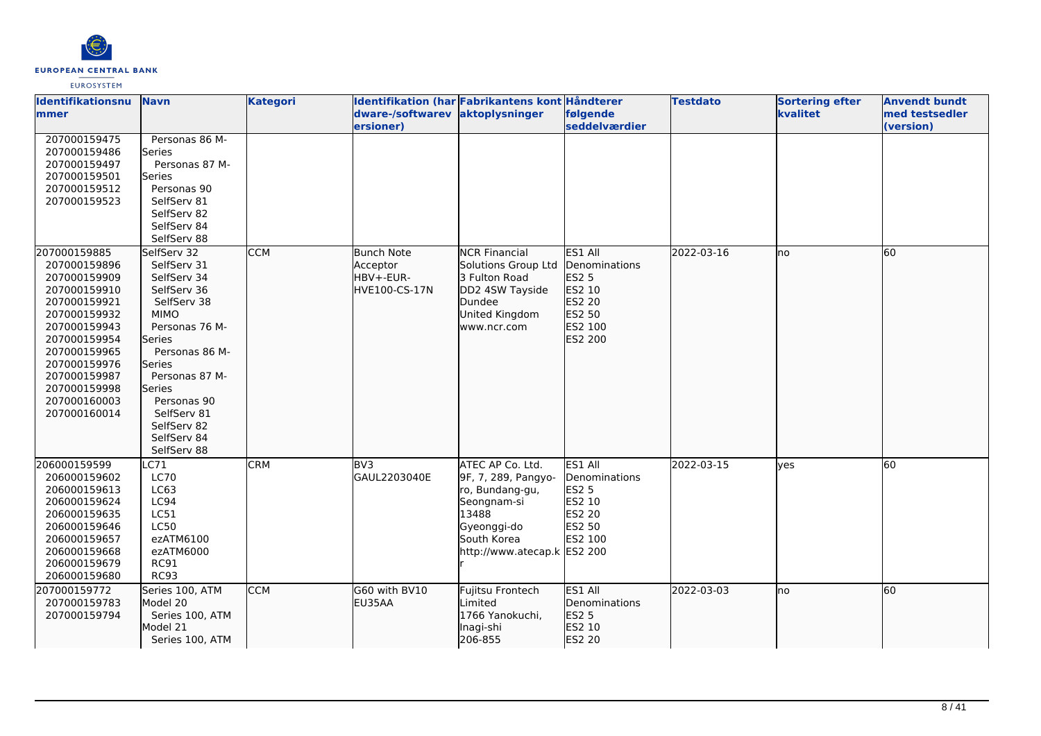

| <b>Identifikationsnu</b>     | <b>Navn</b>                | <b>Kategori</b> | Identifikation (har Fabrikantens kont Håndterer |                                        |                        | <b>Testdato</b> | <b>Sortering efter</b> | <b>Anvendt bundt</b> |
|------------------------------|----------------------------|-----------------|-------------------------------------------------|----------------------------------------|------------------------|-----------------|------------------------|----------------------|
| <b>mmer</b>                  |                            |                 | dware-/softwarev aktoplysninger                 |                                        | følgende               |                 | kvalitet               | med testsedler       |
| 207000159475                 | Personas 86 M-             |                 | ersioner)                                       |                                        | seddelværdier          |                 |                        | (version)            |
| 207000159486                 | Series                     |                 |                                                 |                                        |                        |                 |                        |                      |
| 207000159497                 | Personas 87 M-             |                 |                                                 |                                        |                        |                 |                        |                      |
| 207000159501                 | Series                     |                 |                                                 |                                        |                        |                 |                        |                      |
| 207000159512                 | Personas 90                |                 |                                                 |                                        |                        |                 |                        |                      |
| 207000159523                 | SelfServ 81                |                 |                                                 |                                        |                        |                 |                        |                      |
|                              | SelfServ 82                |                 |                                                 |                                        |                        |                 |                        |                      |
|                              | SelfServ 84                |                 |                                                 |                                        |                        |                 |                        |                      |
|                              | SelfServ 88                |                 |                                                 |                                        |                        |                 |                        |                      |
| 207000159885                 | SelfServ 32                | <b>CCM</b>      | <b>Bunch Note</b>                               | <b>NCR Financial</b>                   | ES1 All                | 2022-03-16      | lno                    | 60                   |
| 207000159896                 | SelfServ 31                |                 | Acceptor                                        | Solutions Group Ltd                    | Denominations          |                 |                        |                      |
| 207000159909                 | SelfServ 34                |                 | HBV+-EUR-                                       | 3 Fulton Road                          | ES2 5                  |                 |                        |                      |
| 207000159910                 | SelfServ 36                |                 | HVE100-CS-17N                                   | DD2 4SW Tayside                        | ES2 10                 |                 |                        |                      |
| 207000159921                 | SelfServ 38<br><b>MIMO</b> |                 |                                                 | Dundee<br>United Kingdom               | ES2 20<br>ES2 50       |                 |                        |                      |
| 207000159932<br>207000159943 | Personas 76 M-             |                 |                                                 | www.ncr.com                            | ES2 100                |                 |                        |                      |
| 207000159954                 | Series                     |                 |                                                 |                                        | ES2 200                |                 |                        |                      |
| 207000159965                 | Personas 86 M-             |                 |                                                 |                                        |                        |                 |                        |                      |
| 207000159976                 | Series                     |                 |                                                 |                                        |                        |                 |                        |                      |
| 207000159987                 | Personas 87 M-             |                 |                                                 |                                        |                        |                 |                        |                      |
| 207000159998                 | Series                     |                 |                                                 |                                        |                        |                 |                        |                      |
| 207000160003                 | Personas 90                |                 |                                                 |                                        |                        |                 |                        |                      |
| 207000160014                 | SelfServ 81                |                 |                                                 |                                        |                        |                 |                        |                      |
|                              | SelfServ 82                |                 |                                                 |                                        |                        |                 |                        |                      |
|                              | SelfServ 84                |                 |                                                 |                                        |                        |                 |                        |                      |
|                              | SelfServ 88                |                 |                                                 |                                        |                        |                 |                        |                      |
| 206000159599                 | C71                        | <b>CRM</b>      | BV3                                             | ATEC AP Co. Ltd.                       | ES1 All                | 2022-03-15      | lyes                   | 60                   |
| 206000159602                 | <b>LC70</b>                |                 | GAUL2203040E                                    | 9F, 7, 289, Pangyo-<br>ro, Bundang-gu, | Denominations          |                 |                        |                      |
| 206000159613<br>206000159624 | LC63<br>LC94               |                 |                                                 | Seongnam-si                            | <b>ES2 5</b><br>ES2 10 |                 |                        |                      |
| 206000159635                 | LC51                       |                 |                                                 | 13488                                  | <b>ES2 20</b>          |                 |                        |                      |
| 206000159646                 | <b>LC50</b>                |                 |                                                 | Gyeonggi-do                            | ES2 50                 |                 |                        |                      |
| 206000159657                 | ezATM6100                  |                 |                                                 | South Korea                            | ES2 100                |                 |                        |                      |
| 206000159668                 | ezATM6000                  |                 |                                                 | http://www.atecap.k ES2 200            |                        |                 |                        |                      |
| 206000159679                 | <b>RC91</b>                |                 |                                                 |                                        |                        |                 |                        |                      |
| 206000159680                 | <b>RC93</b>                |                 |                                                 |                                        |                        |                 |                        |                      |
| 207000159772                 | Series 100, ATM            | <b>CCM</b>      | G60 with BV10                                   | Fujitsu Frontech                       | ES1 All                | 2022-03-03      | lno                    | 60                   |
| 207000159783                 | Model 20                   |                 | EU35AA                                          | Limited                                | Denominations          |                 |                        |                      |
| 207000159794                 | Series 100, ATM            |                 |                                                 | 1766 Yanokuchi,                        | ES2 5                  |                 |                        |                      |
|                              | Model 21                   |                 |                                                 | Inagi-shi                              | ES2 10                 |                 |                        |                      |
|                              | Series 100, ATM            |                 |                                                 | 206-855                                | ES2 20                 |                 |                        |                      |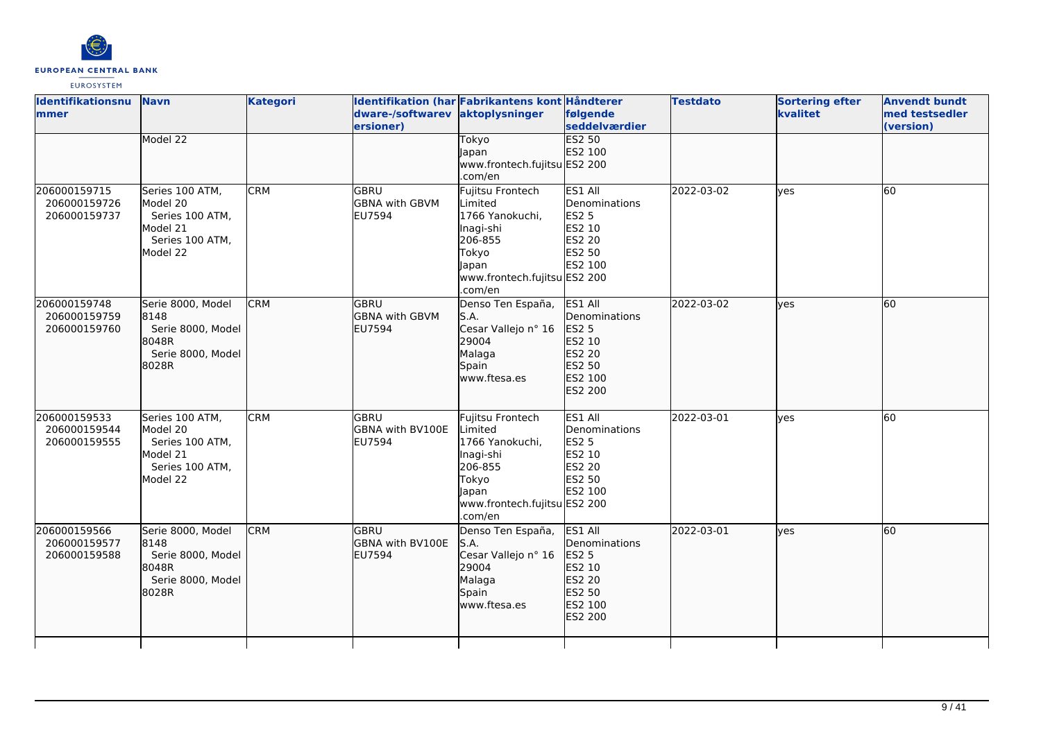

| <b>Identifikationsnu</b><br>mmer             | <b>Navn</b>                                                                               | <b>Kategori</b> | dware-/softwarev aktoplysninger<br>ersioner)    | Identifikation (har Fabrikantens kont Håndterer                                                                                     | følgende<br><b>seddelværdier</b>                                                             | <b>Testdato</b> | <b>Sortering efter</b><br>kvalitet | <b>Anvendt bundt</b><br>med testsedler<br>(version) |
|----------------------------------------------|-------------------------------------------------------------------------------------------|-----------------|-------------------------------------------------|-------------------------------------------------------------------------------------------------------------------------------------|----------------------------------------------------------------------------------------------|-----------------|------------------------------------|-----------------------------------------------------|
|                                              | Model 22                                                                                  |                 |                                                 | Tokyo<br>Japan<br>www.frontech.fujitsu ES2 200<br>.com/en                                                                           | <b>ES2 50</b><br>ES2 100                                                                     |                 |                                    |                                                     |
| 206000159715<br>206000159726<br>206000159737 | Series 100 ATM,<br>Model 20<br>Series 100 ATM,<br>Model 21<br>Series 100 ATM,<br>Model 22 | <b>CRM</b>      | lgbru<br><b>GBNA with GBVM</b><br><b>EU7594</b> | Fujitsu Frontech<br>Limited<br>1766 Yanokuchi,<br>Inagi-shi<br>206-855<br>Tokyo<br>Japan<br>www.frontech.fujitsu ES2 200<br>.com/en | ES1 All<br>Denominations<br><b>ES2 5</b><br>ES2 10<br>ES2 20<br>ES2 50<br>ES2 100            | 2022-03-02      | lves                               | 60                                                  |
| 206000159748<br>206000159759<br>206000159760 | Serie 8000, Model<br>8148<br>Serie 8000, Model<br>18048R<br>Serie 8000, Model<br>8028R    | <b>CRM</b>      | lgbru<br><b>GBNA with GBVM</b><br>EU7594        | Denso Ten España,<br>S.A.<br>Cesar Vallejo nº 16<br>29004<br>Malaga<br>Spain<br>www.ftesa.es                                        | ES1 All<br>Denominations<br>ES2 5<br>ES2 10<br>ES2 20<br>ES2 50<br>ES2 100<br>ES2 200        | 2022-03-02      | lves                               | 60                                                  |
| 206000159533<br>206000159544<br>206000159555 | Series 100 ATM,<br>Model 20<br>Series 100 ATM,<br>Model 21<br>Series 100 ATM,<br>Model 22 | <b>CRM</b>      | lgbru<br>GBNA with BV100E<br>EU7594             | Fujitsu Frontech<br>Limited<br>1766 Yanokuchi,<br>Inagi-shi<br>206-855<br>Tokyo<br>Japan<br>www.frontech.fujitsu ES2 200<br>.com/en | ES1 All<br>Denominations<br><b>ES2 5</b><br>ES2 10<br>ES2 20<br>ES2 50<br>ES2 100            | 2022-03-01      | yes                                | 60                                                  |
| 206000159566<br>206000159577<br>206000159588 | Serie 8000, Model<br>8148<br>Serie 8000, Model<br>8048R<br>Serie 8000, Model<br>8028R     | <b>CRM</b>      | lgbru<br><b>GBNA with BV100E</b><br>EU7594      | Denso Ten España,<br>S.A.<br>Cesar Vallejo nº 16<br>29004<br>Malaga<br>Spain<br>www.ftesa.es                                        | ES1 All<br>Denominations<br>ES2 5<br>ES2 10<br><b>ES2 20</b><br>ES2 50<br>ES2 100<br>ES2 200 | 2022-03-01      | lves                               | 60                                                  |
|                                              |                                                                                           |                 |                                                 |                                                                                                                                     |                                                                                              |                 |                                    |                                                     |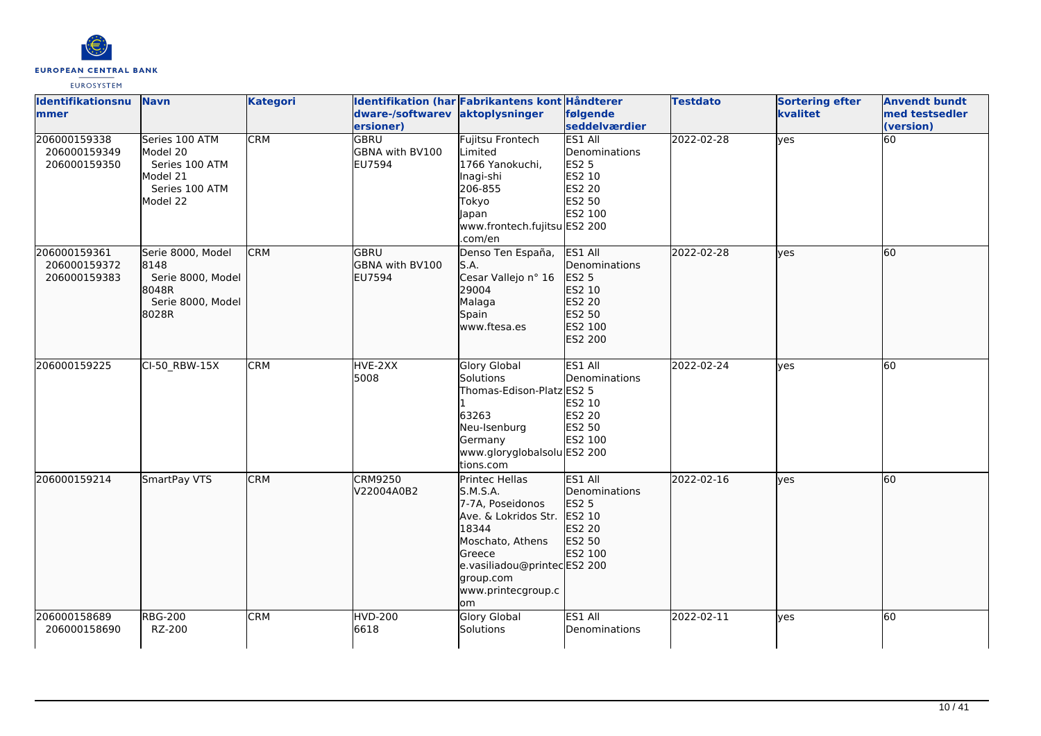

| <b>Identifikationsnu</b><br>mmer             | <b>Navn</b>                                                                            | <b>Kategori</b> | dware-/softwarev<br>ersioner)                          | Identifikation (har Fabrikantens kont Håndterer<br>aktoplysninger                                                                                                                      | følgende<br>seddelværdier                                                                | <b>Testdato</b> | <b>Sortering efter</b><br>kvalitet | <b>Anvendt bundt</b><br>med testsedler<br>(version) |
|----------------------------------------------|----------------------------------------------------------------------------------------|-----------------|--------------------------------------------------------|----------------------------------------------------------------------------------------------------------------------------------------------------------------------------------------|------------------------------------------------------------------------------------------|-----------------|------------------------------------|-----------------------------------------------------|
| 206000159338<br>206000159349<br>206000159350 | Series 100 ATM<br>Model 20<br>Series 100 ATM<br>Model 21<br>Series 100 ATM<br>Model 22 | <b>CRM</b>      | <b>GBRU</b><br><b>GBNA with BV100</b><br><b>EU7594</b> | <b>Fujitsu Frontech</b><br><b>L</b> imited<br>1766 Yanokuchi,<br>Inagi-shi<br>206-855<br>Tokyo<br>Japan<br>www.frontech.fujitsu ES2 200<br>.com/en                                     | <b>ES1 All</b><br>Denominations<br><b>ES2 5</b><br>ES2 10<br>ES2 20<br>ES2 50<br>ES2 100 | 2022-02-28      | yes                                | 60                                                  |
| 206000159361<br>206000159372<br>206000159383 | Serie 8000, Model<br>8148<br>Serie 8000, Model<br>8048R<br>Serie 8000, Model<br>18028R | <b>CRM</b>      | GBRU<br>GBNA with BV100<br><b>EU7594</b>               | Denso Ten España,<br>S.A.<br>Cesar Vallejo nº 16<br>29004<br>Malaga<br>Spain<br>www.ftesa.es                                                                                           | ES1 All<br>Denominations<br>ES2 5<br>ES2 10<br>ES2 20<br>ES2 50<br>ES2 100<br>ES2 200    | 2022-02-28      | lves                               | 60                                                  |
| 206000159225                                 | CI-50_RBW-15X                                                                          | <b>CRM</b>      | HVE-2XX<br>5008                                        | <b>Glory Global</b><br>Solutions<br>Thomas-Edison-Platz ES2 5<br>63263<br>Neu-Isenburg<br>Germany<br>www.gloryglobalsolu ES2 200<br>tions.com                                          | ES1 All<br>Denominations<br>ES2 10<br><b>ES2 20</b><br>ES2 50<br>ES2 100                 | 2022-02-24      | ves                                | 60                                                  |
| 206000159214                                 | SmartPay VTS                                                                           | <b>CRM</b>      | <b>CRM9250</b><br>V22004A0B2                           | Printec Hellas<br>S.M.S.A.<br>7-7A. Poseidonos<br>Ave. & Lokridos Str.<br>18344<br>Moschato, Athens<br>Greece<br>e.vasiliadou@printecES2 200<br>group.com<br>www.printecgroup.c<br>lom | ES1 All<br>Denominations<br><b>ES2 5</b><br>ES2 10<br><b>ES2 20</b><br>ES2 50<br>ES2 100 | 2022-02-16      | lyes                               | 60                                                  |
| 206000158689<br>206000158690                 | <b>RBG-200</b><br>RZ-200                                                               | <b>CRM</b>      | <b>HVD-200</b><br>6618                                 | <b>Glory Global</b><br>Solutions                                                                                                                                                       | ES1 All<br>Denominations                                                                 | 2022-02-11      | yes                                | 60                                                  |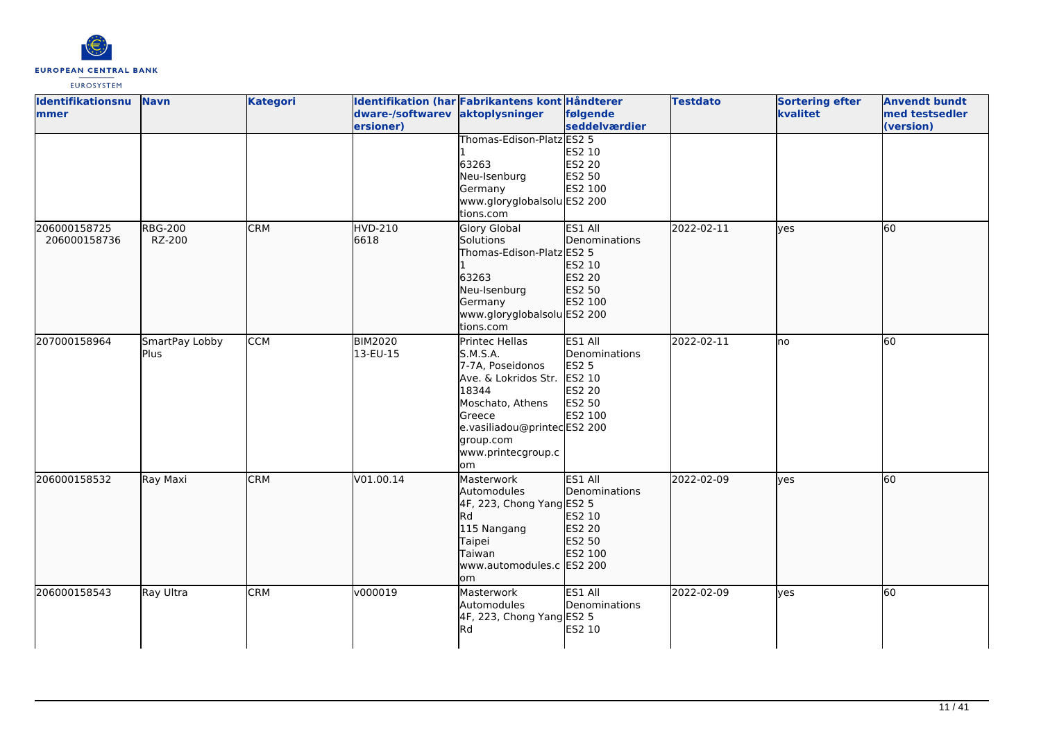

| Identifikationsnu | <b>Navn</b>    | <b>Kategori</b> |                                 | Identifikation (har Fabrikantens kont Håndterer |               | <b>Testdato</b> | <b>Sortering efter</b> | <b>Anvendt bundt</b> |
|-------------------|----------------|-----------------|---------------------------------|-------------------------------------------------|---------------|-----------------|------------------------|----------------------|
| <b>Immer</b>      |                |                 | dware-/softwarev aktoplysninger |                                                 | følgende      |                 | kvalitet               | med testsedler       |
|                   |                |                 | ersioner)                       |                                                 | seddelværdier |                 |                        | (version)            |
|                   |                |                 |                                 | Thomas-Edison-Platz ES2 5                       |               |                 |                        |                      |
|                   |                |                 |                                 |                                                 | ES2 10        |                 |                        |                      |
|                   |                |                 |                                 | 63263                                           | ES2 20        |                 |                        |                      |
|                   |                |                 |                                 | Neu-Isenburg                                    | ES2 50        |                 |                        |                      |
|                   |                |                 |                                 | Germany                                         | ES2 100       |                 |                        |                      |
|                   |                |                 |                                 | www.gloryglobalsolu ES2 200                     |               |                 |                        |                      |
|                   |                |                 |                                 | tions.com                                       |               |                 |                        |                      |
| 206000158725      | <b>RBG-200</b> | <b>CRM</b>      | <b>HVD-210</b>                  | Glory Global                                    | ES1 All       | 2022-02-11      | yes                    | 60                   |
| 206000158736      | RZ-200         |                 | 6618                            | Solutions                                       | Denominations |                 |                        |                      |
|                   |                |                 |                                 | Thomas-Edison-Platz ES2 5                       |               |                 |                        |                      |
|                   |                |                 |                                 |                                                 | ES2 10        |                 |                        |                      |
|                   |                |                 |                                 | 63263                                           | ES2 20        |                 |                        |                      |
|                   |                |                 |                                 | Neu-Isenburg                                    | ES2 50        |                 |                        |                      |
|                   |                |                 |                                 | Germany                                         | ES2 100       |                 |                        |                      |
|                   |                |                 |                                 | www.gloryglobalsolu ES2 200                     |               |                 |                        |                      |
|                   |                |                 |                                 | tions.com                                       |               |                 |                        |                      |
| 207000158964      | SmartPay Lobby | <b>CCM</b>      | <b>BIM2020</b>                  | Printec Hellas                                  | ES1 All       | 2022-02-11      | no                     | 60                   |
|                   | Plus           |                 | 13-EU-15                        | S.M.S.A.                                        | Denominations |                 |                        |                      |
|                   |                |                 |                                 | 7-7A, Poseidonos                                | ES2 5         |                 |                        |                      |
|                   |                |                 |                                 | Ave. & Lokridos Str.                            | ES2 10        |                 |                        |                      |
|                   |                |                 |                                 | 18344                                           | <b>ES2 20</b> |                 |                        |                      |
|                   |                |                 |                                 | Moschato, Athens                                | ES2 50        |                 |                        |                      |
|                   |                |                 |                                 | <b>Greece</b>                                   | ES2 100       |                 |                        |                      |
|                   |                |                 |                                 | e.vasiliadou@printecES2 200                     |               |                 |                        |                      |
|                   |                |                 |                                 | group.com                                       |               |                 |                        |                      |
|                   |                |                 |                                 | www.printecgroup.c                              |               |                 |                        |                      |
|                   |                |                 |                                 | lom                                             |               |                 |                        |                      |
| 206000158532      | Ray Maxi       | <b>CRM</b>      | V01.00.14                       | Masterwork                                      | ES1 All       | 2022-02-09      | lyes                   | 60                   |
|                   |                |                 |                                 | Automodules                                     | Denominations |                 |                        |                      |
|                   |                |                 |                                 | 4F, 223, Chong Yang ES2 5                       |               |                 |                        |                      |
|                   |                |                 |                                 | <b>I</b> Rd                                     | ES2 10        |                 |                        |                      |
|                   |                |                 |                                 | 115 Nangang                                     | ES2 20        |                 |                        |                      |
|                   |                |                 |                                 | Taipei                                          | ES2 50        |                 |                        |                      |
|                   |                |                 |                                 | Taiwan                                          | ES2 100       |                 |                        |                      |
|                   |                |                 |                                 | www.automodules.c ES2 200                       |               |                 |                        |                      |
|                   |                |                 |                                 | om                                              |               |                 |                        |                      |
| 206000158543      | Ray Ultra      | <b>CRM</b>      | v000019                         | Masterwork                                      | ES1 All       | 2022-02-09      | yes                    | 60                   |
|                   |                |                 |                                 | Automodules                                     | Denominations |                 |                        |                      |
|                   |                |                 |                                 | 4F, 223, Chong Yang ES2 5                       |               |                 |                        |                      |
|                   |                |                 |                                 | <b>I</b> Rd                                     | ES2 10        |                 |                        |                      |
|                   |                |                 |                                 |                                                 |               |                 |                        |                      |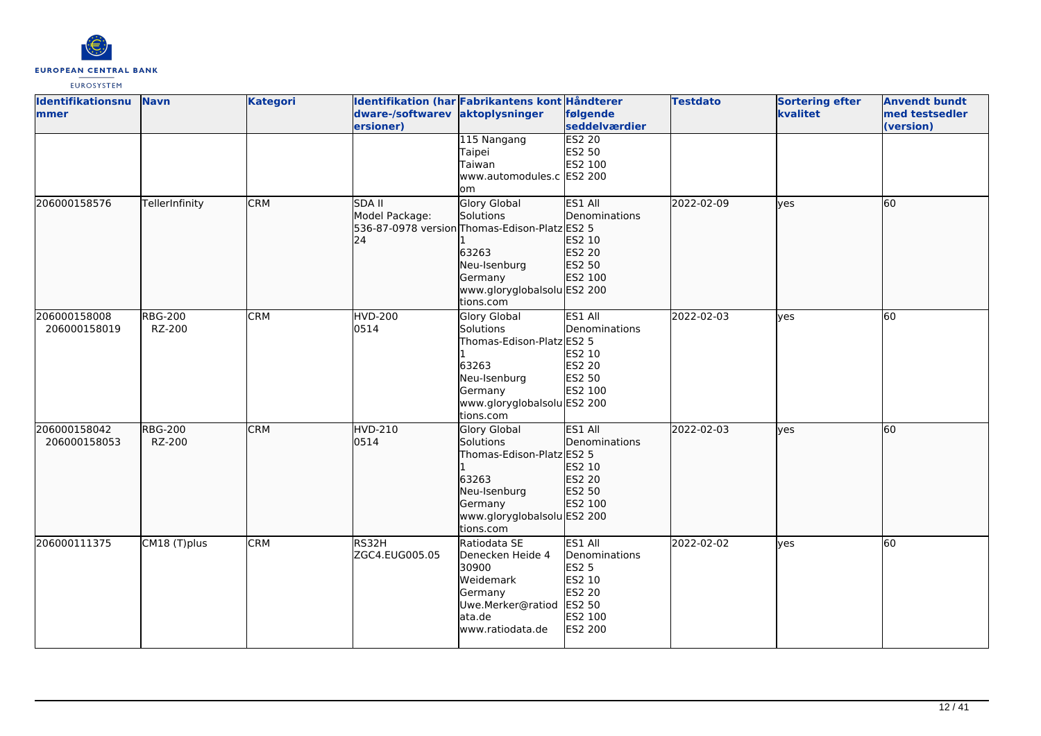

| <b>Identifikationsnu</b><br>lmmer | <b>Navn</b>              | <b>Kategori</b> | dware-/softwarev aktoplysninger<br>ersioner) | Identifikation (har Fabrikantens kont Håndterer                                                                                                                   | følgende<br>seddelværdier                                                                                  | <b>Testdato</b> | <b>Sortering efter</b><br>kvalitet | <b>Anvendt bundt</b><br>med testsedler<br>(version) |
|-----------------------------------|--------------------------|-----------------|----------------------------------------------|-------------------------------------------------------------------------------------------------------------------------------------------------------------------|------------------------------------------------------------------------------------------------------------|-----------------|------------------------------------|-----------------------------------------------------|
|                                   |                          |                 |                                              | 115 Nangang<br>Taipei<br>Taiwan<br>www.automodules.c ES2 200<br>lom                                                                                               | <b>ES2 20</b><br>ES2 50<br>ES2 100                                                                         |                 |                                    |                                                     |
| 206000158576                      | TellerInfinity           | <b>CRM</b>      | <b>SDA II</b><br>Model Package:<br>24        | <b>Glory Global</b><br>Solutions<br>536-87-0978 version Thomas-Edison-Platz ES2 5<br>63263<br>Neu-Isenburg<br>Germany<br>www.gloryglobalsolu ES2 200<br>tions.com | ES1 All<br>Denominations<br>ES2 10<br>ES2 20<br>ES2 50<br>ES2 100                                          | 2022-02-09      | lves                               | 60                                                  |
| 206000158008<br>206000158019      | <b>RBG-200</b><br>RZ-200 | <b>CRM</b>      | <b>HVD-200</b><br>0514                       | Glory Global<br>Solutions<br>Thomas-Edison-Platz ES2 5<br>63263<br>Neu-Isenburg<br>Germany<br>www.gloryglobalsolu ES2 200<br>tions.com                            | ES1 All<br>Denominations<br>ES2 10<br><b>ES2 20</b><br>ES2 50<br>ES2 100                                   | 2022-02-03      | yes                                | 60                                                  |
| 206000158042<br>206000158053      | <b>RBG-200</b><br>RZ-200 | <b>CRM</b>      | <b>HVD-210</b><br>0514                       | Glory Global<br>Solutions<br>Thomas-Edison-Platz ES2 5<br>63263<br>Neu-Isenburg<br>Germany<br>www.gloryglobalsolu ES2 200<br>tions.com                            | ES1 All<br>Denominations<br>ES2 10<br>ES2 20<br>ES2 50<br>ES2 100                                          | 2022-02-03      | lyes                               | 60                                                  |
| 206000111375                      | CM18 (T)plus             | <b>CRM</b>      | RS32H<br>ZGC4.EUG005.05                      | Ratiodata SE<br>Denecken Heide 4<br>30900<br>Weidemark<br>Germany<br>Uwe.Merker@ratiod<br>lata.de<br>www.ratiodata.de                                             | ES1 All<br>Denominations<br><b>ES2 5</b><br>ES2 10<br><b>ES2 20</b><br>ES2 50<br>ES2 100<br><b>ES2 200</b> | 2022-02-02      | ves                                | 60                                                  |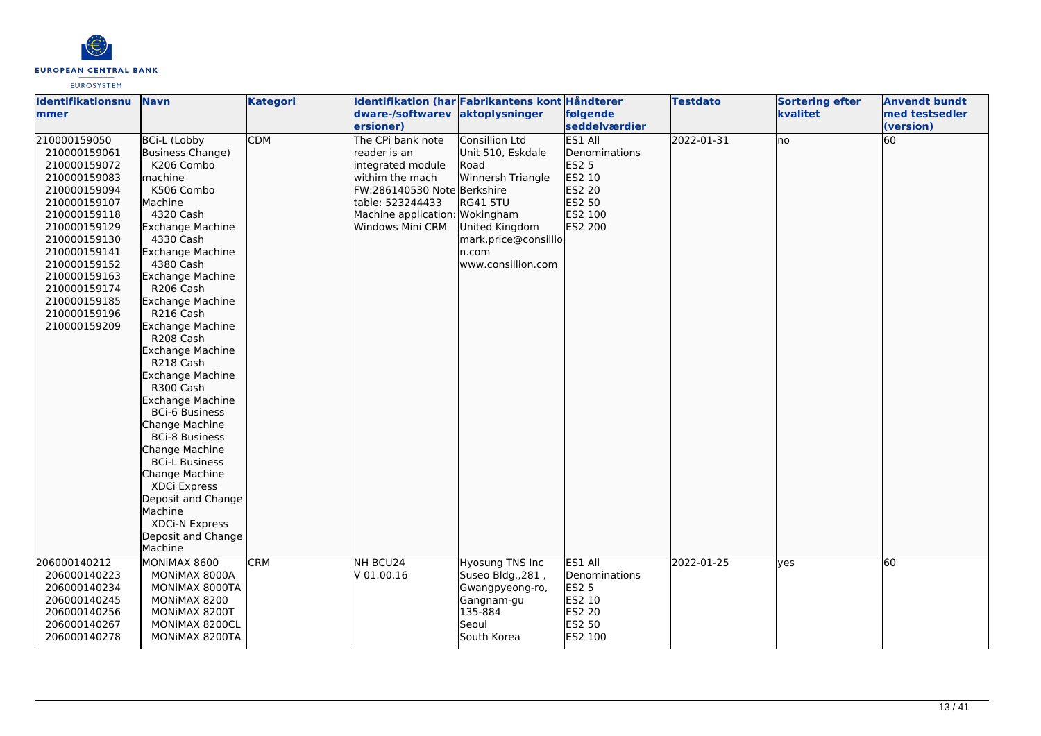

| Identifikationsnu | <b>Navn</b>             | <b>Kategori</b> |                             | Identifikation (har Fabrikantens kont Håndterer |               | <b>Testdato</b> | <b>Sortering efter</b> | <b>Anvendt bundt</b> |
|-------------------|-------------------------|-----------------|-----------------------------|-------------------------------------------------|---------------|-----------------|------------------------|----------------------|
| lmmer             |                         |                 | dware-/softwarev            | aktoplysninger                                  | følgende      |                 | kvalitet               | med testsedler       |
|                   |                         |                 | ersioner)                   |                                                 | seddelværdier |                 |                        | (version)            |
| 210000159050      | <b>BCi-L (Lobby</b>     | <b>CDM</b>      | The CPi bank note           | Consillion Ltd                                  | ES1 All       | 2022-01-31      | lno                    | 60                   |
| 210000159061      | Business Change)        |                 | reader is an                | Unit 510, Eskdale                               | Denominations |                 |                        |                      |
| 210000159072      | K206 Combo              |                 | integrated module           | Road                                            | <b>ES2 5</b>  |                 |                        |                      |
| 210000159083      | machine                 |                 | withim the mach             | Winnersh Triangle                               | ES2 10        |                 |                        |                      |
| 210000159094      | K506 Combo              |                 | FW:286140530 Note Berkshire |                                                 | ES2 20        |                 |                        |                      |
| 210000159107      | <b>Machine</b>          |                 | table: 523244433            | <b>RG41 5TU</b>                                 | ES2 50        |                 |                        |                      |
| 210000159118      | 4320 Cash               |                 | Machine application:        | Wokingham                                       | ES2 100       |                 |                        |                      |
| 210000159129      | Exchange Machine        |                 | Windows Mini CRM            | United Kingdom                                  | ES2 200       |                 |                        |                      |
| 210000159130      | 4330 Cash               |                 |                             | mark.price@consillio                            |               |                 |                        |                      |
| 210000159141      | <b>Exchange Machine</b> |                 |                             | n.com                                           |               |                 |                        |                      |
| 210000159152      | 4380 Cash               |                 |                             | www.consillion.com                              |               |                 |                        |                      |
| 210000159163      | Exchange Machine        |                 |                             |                                                 |               |                 |                        |                      |
| 210000159174      | R206 Cash               |                 |                             |                                                 |               |                 |                        |                      |
| 210000159185      | Exchange Machine        |                 |                             |                                                 |               |                 |                        |                      |
| 210000159196      | R216 Cash               |                 |                             |                                                 |               |                 |                        |                      |
| 210000159209      | <b>Exchange Machine</b> |                 |                             |                                                 |               |                 |                        |                      |
|                   | R208 Cash               |                 |                             |                                                 |               |                 |                        |                      |
|                   | Exchange Machine        |                 |                             |                                                 |               |                 |                        |                      |
|                   | R218 Cash               |                 |                             |                                                 |               |                 |                        |                      |
|                   | Exchange Machine        |                 |                             |                                                 |               |                 |                        |                      |
|                   | R300 Cash               |                 |                             |                                                 |               |                 |                        |                      |
|                   | <b>Exchange Machine</b> |                 |                             |                                                 |               |                 |                        |                      |
|                   | <b>BCi-6 Business</b>   |                 |                             |                                                 |               |                 |                        |                      |
|                   | Change Machine          |                 |                             |                                                 |               |                 |                        |                      |
|                   | <b>BCi-8 Business</b>   |                 |                             |                                                 |               |                 |                        |                      |
|                   | Change Machine          |                 |                             |                                                 |               |                 |                        |                      |
|                   | <b>BCi-L Business</b>   |                 |                             |                                                 |               |                 |                        |                      |
|                   | Change Machine          |                 |                             |                                                 |               |                 |                        |                      |
|                   | XDCi Express            |                 |                             |                                                 |               |                 |                        |                      |
|                   | Deposit and Change      |                 |                             |                                                 |               |                 |                        |                      |
|                   | Machine                 |                 |                             |                                                 |               |                 |                        |                      |
|                   | XDCi-N Express          |                 |                             |                                                 |               |                 |                        |                      |
|                   | Deposit and Change      |                 |                             |                                                 |               |                 |                        |                      |
|                   | Machine                 |                 |                             |                                                 |               |                 |                        |                      |
| 206000140212      | MONIMAX 8600            | <b>CRM</b>      | NH BCU24                    | Hyosung TNS Inc                                 | ES1 All       | 2022-01-25      | <b>ves</b>             | 60                   |
| 206000140223      | MONIMAX 8000A           |                 | V 01.00.16                  | Suseo Bldg., 281,                               | Denominations |                 |                        |                      |
| 206000140234      | MONIMAX 8000TA          |                 |                             | Gwangpyeong-ro,                                 | <b>ES2 5</b>  |                 |                        |                      |
| 206000140245      | MONIMAX 8200            |                 |                             | Gangnam-gu                                      | ES2 10        |                 |                        |                      |
| 206000140256      | MONIMAX 8200T           |                 |                             | 135-884                                         | ES2 20        |                 |                        |                      |
| 206000140267      | MONIMAX 8200CL          |                 |                             | Seoul                                           | ES2 50        |                 |                        |                      |
| 206000140278      | MONIMAX 8200TA          |                 |                             | South Korea                                     | ES2 100       |                 |                        |                      |
|                   |                         |                 |                             |                                                 |               |                 |                        |                      |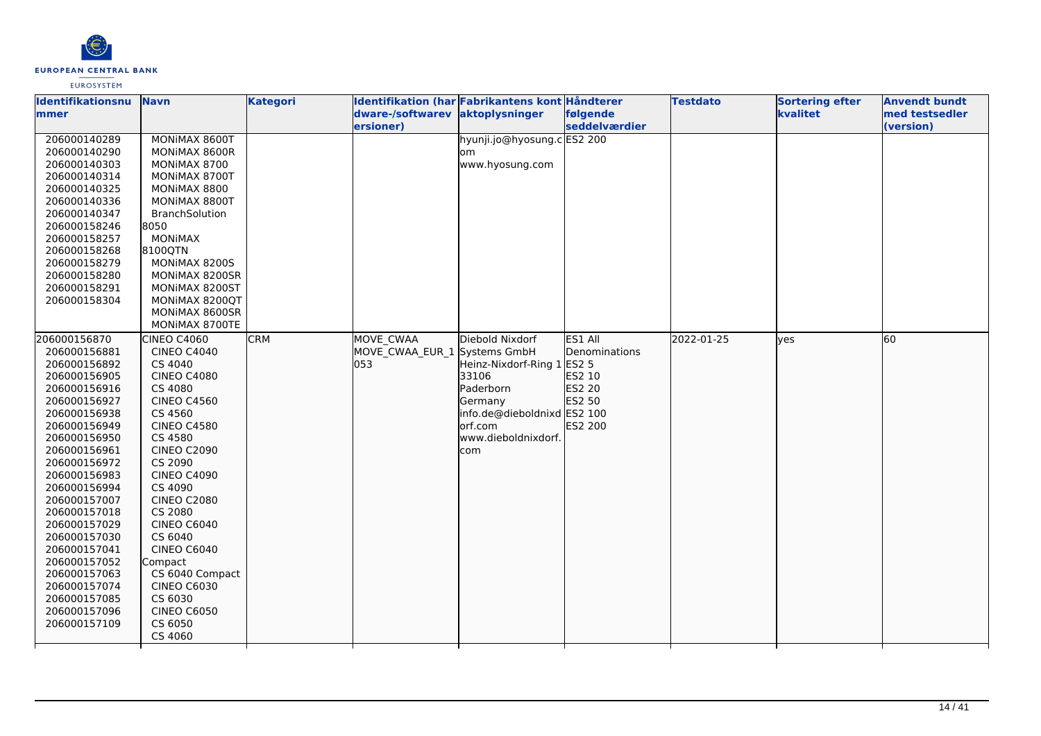

| Identifikationsnu            | <b>Navn</b>                   | <b>Kategori</b> | Identifikation (har Fabrikantens kont Håndterer |                             |               | <b>Testdato</b> | <b>Sortering efter</b> | <b>Anvendt bundt</b> |
|------------------------------|-------------------------------|-----------------|-------------------------------------------------|-----------------------------|---------------|-----------------|------------------------|----------------------|
| mmer                         |                               |                 | dware-/softwarev aktoplysninger                 |                             | følgende      |                 | kvalitet               | med testsedler       |
|                              |                               |                 | ersioner)                                       |                             | seddelværdier |                 |                        | (version)            |
| 206000140289                 | MONIMAX 8600T                 |                 |                                                 | hyunji.jo@hyosung.c ES2 200 |               |                 |                        |                      |
| 206000140290                 | MONIMAX 8600R                 |                 |                                                 | om                          |               |                 |                        |                      |
| 206000140303                 | MONIMAX 8700                  |                 |                                                 | www.hyosung.com             |               |                 |                        |                      |
| 206000140314                 | MONIMAX 8700T                 |                 |                                                 |                             |               |                 |                        |                      |
| 206000140325                 | MONIMAX 8800                  |                 |                                                 |                             |               |                 |                        |                      |
| 206000140336                 | MONIMAX 8800T                 |                 |                                                 |                             |               |                 |                        |                      |
| 206000140347                 | <b>BranchSolution</b>         |                 |                                                 |                             |               |                 |                        |                      |
| 206000158246                 | 8050                          |                 |                                                 |                             |               |                 |                        |                      |
| 206000158257                 | <b>MONIMAX</b>                |                 |                                                 |                             |               |                 |                        |                      |
| 206000158268                 | 8100QTN                       |                 |                                                 |                             |               |                 |                        |                      |
| 206000158279                 | MONIMAX 8200S                 |                 |                                                 |                             |               |                 |                        |                      |
| 206000158280                 | MONIMAX 8200SR                |                 |                                                 |                             |               |                 |                        |                      |
| 206000158291                 | MONIMAX 8200ST                |                 |                                                 |                             |               |                 |                        |                      |
| 206000158304                 | MONIMAX 8200QT                |                 |                                                 |                             |               |                 |                        |                      |
|                              | MONIMAX 8600SR                |                 |                                                 |                             |               |                 |                        |                      |
|                              | MONIMAX 8700TE                |                 |                                                 |                             |               |                 |                        |                      |
| 206000156870                 | CINEO C4060                   | <b>CRM</b>      | MOVE CWAA                                       | Diebold Nixdorf             | ES1 All       | 2022-01-25      | lyes                   | 60                   |
| 206000156881                 | <b>CINEO C4040</b>            |                 | MOVE CWAA EUR 1 Systems GmbH                    |                             | Denominations |                 |                        |                      |
| 206000156892                 | CS 4040                       |                 | 053                                             | Heinz-Nixdorf-Ring 1        | <b>ES2 5</b>  |                 |                        |                      |
| 206000156905                 | <b>CINEO C4080</b>            |                 |                                                 | 33106                       | ES2 10        |                 |                        |                      |
| 206000156916                 | CS 4080                       |                 |                                                 | Paderborn                   | ES2 20        |                 |                        |                      |
| 206000156927                 | <b>CINEO C4560</b>            |                 |                                                 | Germany                     | ES2 50        |                 |                        |                      |
| 206000156938                 | CS 4560                       |                 |                                                 | info.de@dieboldnixd ES2 100 |               |                 |                        |                      |
| 206000156949                 | <b>CINEO C4580</b>            |                 |                                                 | lorf.com                    | ES2 200       |                 |                        |                      |
| 206000156950                 | CS 4580                       |                 |                                                 | www.dieboldnixdorf.         |               |                 |                        |                      |
| 206000156961                 | <b>CINEO C2090</b>            |                 |                                                 | com                         |               |                 |                        |                      |
| 206000156972                 | CS 2090                       |                 |                                                 |                             |               |                 |                        |                      |
| 206000156983<br>206000156994 | <b>CINEO C4090</b><br>CS 4090 |                 |                                                 |                             |               |                 |                        |                      |
| 206000157007                 | <b>CINEO C2080</b>            |                 |                                                 |                             |               |                 |                        |                      |
| 206000157018                 | CS 2080                       |                 |                                                 |                             |               |                 |                        |                      |
| 206000157029                 | CINEO C6040                   |                 |                                                 |                             |               |                 |                        |                      |
| 206000157030                 | CS 6040                       |                 |                                                 |                             |               |                 |                        |                      |
| 206000157041                 | <b>CINEO C6040</b>            |                 |                                                 |                             |               |                 |                        |                      |
| 206000157052                 | Compact                       |                 |                                                 |                             |               |                 |                        |                      |
| 206000157063                 | CS 6040 Compact               |                 |                                                 |                             |               |                 |                        |                      |
| 206000157074                 | <b>CINEO C6030</b>            |                 |                                                 |                             |               |                 |                        |                      |
| 206000157085                 | CS 6030                       |                 |                                                 |                             |               |                 |                        |                      |
| 206000157096                 | <b>CINEO C6050</b>            |                 |                                                 |                             |               |                 |                        |                      |
| 206000157109                 | CS 6050                       |                 |                                                 |                             |               |                 |                        |                      |
|                              | CS 4060                       |                 |                                                 |                             |               |                 |                        |                      |
|                              |                               |                 |                                                 |                             |               |                 |                        |                      |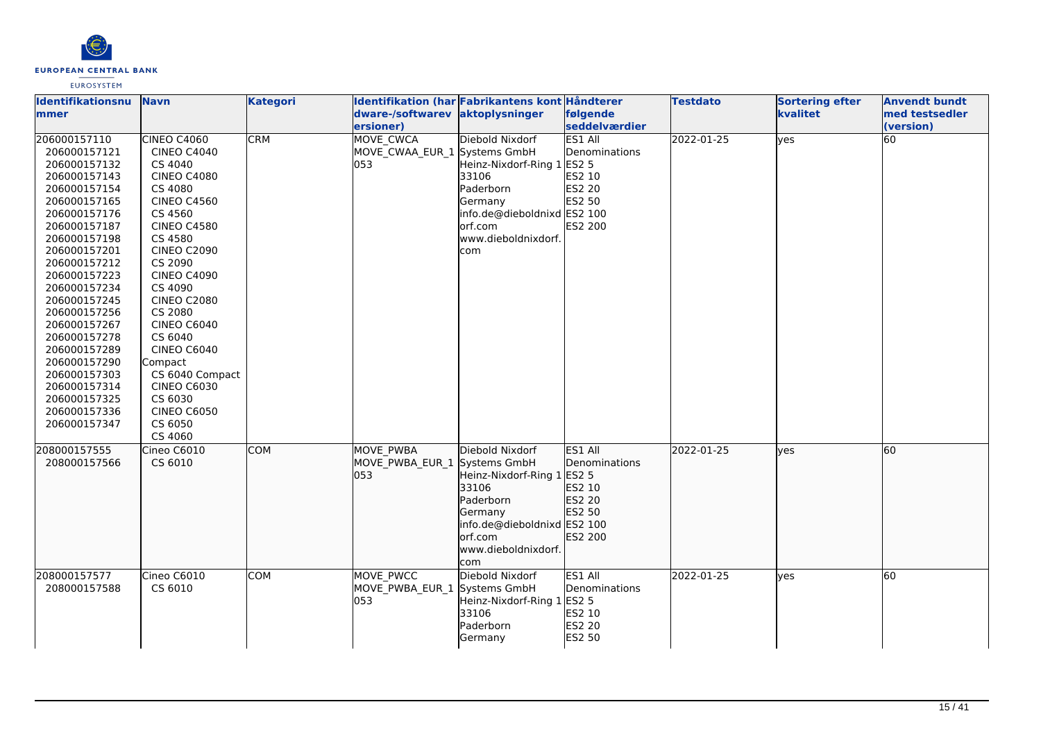

| Identifikationsnu | <b>Navn</b>        | <b>Kategori</b> |                                     | Identifikation (har Fabrikantens kont Håndterer |                  | <b>Testdato</b> | <b>Sortering efter</b> | <b>Anvendt bundt</b> |
|-------------------|--------------------|-----------------|-------------------------------------|-------------------------------------------------|------------------|-----------------|------------------------|----------------------|
| <b>mmer</b>       |                    |                 | dware-/softwarev                    | aktoplysninger                                  | følgende         |                 | kvalitet               | med testsedler       |
|                   |                    |                 | ersioner)                           |                                                 | seddelværdier    |                 |                        | (version)            |
| 206000157110      | <b>CINEO C4060</b> | <b>CRM</b>      | MOVE_CWCA                           | Diebold Nixdorf                                 | <b>ES1 All</b>   | 2022-01-25      | yes                    | 60                   |
| 206000157121      | <b>CINEO C4040</b> |                 | MOVE CWAA EUR 1 Systems GmbH        |                                                 | Denominations    |                 |                        |                      |
| 206000157132      | CS 4040            |                 | 053                                 | Heinz-Nixdorf-Ring 1 ES2 5                      |                  |                 |                        |                      |
| 206000157143      | <b>CINEO C4080</b> |                 |                                     | 33106                                           | ES2 10           |                 |                        |                      |
| 206000157154      | CS 4080            |                 |                                     | Paderborn                                       | <b>ES2 20</b>    |                 |                        |                      |
| 206000157165      | <b>CINEO C4560</b> |                 |                                     | Germany                                         | ES2 50           |                 |                        |                      |
| 206000157176      | CS 4560            |                 |                                     | info.de@dieboldnixd ES2 100                     |                  |                 |                        |                      |
| 206000157187      | <b>CINEO C4580</b> |                 |                                     | orf.com                                         | ES2 200          |                 |                        |                      |
| 206000157198      | CS 4580            |                 |                                     | www.dieboldnixdorf.                             |                  |                 |                        |                      |
| 206000157201      | <b>CINEO C2090</b> |                 |                                     | com                                             |                  |                 |                        |                      |
| 206000157212      | CS 2090            |                 |                                     |                                                 |                  |                 |                        |                      |
| 206000157223      | <b>CINEO C4090</b> |                 |                                     |                                                 |                  |                 |                        |                      |
| 206000157234      | CS 4090            |                 |                                     |                                                 |                  |                 |                        |                      |
| 206000157245      | <b>CINEO C2080</b> |                 |                                     |                                                 |                  |                 |                        |                      |
| 206000157256      | CS 2080            |                 |                                     |                                                 |                  |                 |                        |                      |
| 206000157267      | <b>CINEO C6040</b> |                 |                                     |                                                 |                  |                 |                        |                      |
| 206000157278      | CS 6040            |                 |                                     |                                                 |                  |                 |                        |                      |
| 206000157289      | CINEO C6040        |                 |                                     |                                                 |                  |                 |                        |                      |
| 206000157290      | Compact            |                 |                                     |                                                 |                  |                 |                        |                      |
| 206000157303      | CS 6040 Compact    |                 |                                     |                                                 |                  |                 |                        |                      |
| 206000157314      | <b>CINEO C6030</b> |                 |                                     |                                                 |                  |                 |                        |                      |
| 206000157325      | CS 6030            |                 |                                     |                                                 |                  |                 |                        |                      |
| 206000157336      | <b>CINEO C6050</b> |                 |                                     |                                                 |                  |                 |                        |                      |
| 206000157347      | CS 6050            |                 |                                     |                                                 |                  |                 |                        |                      |
|                   | CS 4060            |                 |                                     |                                                 |                  |                 |                        |                      |
| 208000157555      | Cineo C6010        | <b>COM</b>      | <b>MOVE PWBA</b>                    | Diebold Nixdorf                                 | ES1 All          | 2022-01-25      | ves                    | 60                   |
| 208000157566      | CS 6010            |                 | MOVE PWBA EUR 1                     | Systems GmbH                                    | Denominations    |                 |                        |                      |
|                   |                    |                 | 053                                 | Heinz-Nixdorf-Ring 1 ES2 5                      |                  |                 |                        |                      |
|                   |                    |                 |                                     | 33106<br>Paderborn                              | ES2 10<br>ES2 20 |                 |                        |                      |
|                   |                    |                 |                                     |                                                 | ES2 50           |                 |                        |                      |
|                   |                    |                 |                                     | Germany<br>info.de@dieboldnixd ES2 100          |                  |                 |                        |                      |
|                   |                    |                 |                                     | orf.com                                         | <b>ES2 200</b>   |                 |                        |                      |
|                   |                    |                 |                                     | www.dieboldnixdorf.                             |                  |                 |                        |                      |
|                   |                    |                 |                                     | com                                             |                  |                 |                        |                      |
| 208000157577      | Cineo C6010        | <b>COM</b>      | MOVE PWCC                           | Diebold Nixdorf                                 | ES1 All          | 2022-01-25      | ves                    | $\overline{60}$      |
|                   |                    |                 |                                     |                                                 |                  |                 |                        |                      |
| 208000157588      | CS 6010            |                 | MOVE_PWBA_EUR_1 Systems GmbH<br>053 |                                                 | Denominations    |                 |                        |                      |
|                   |                    |                 |                                     | Heinz-Nixdorf-Ring 1 ES2 5<br>33106             | ES2 10           |                 |                        |                      |
|                   |                    |                 |                                     | Paderborn                                       | <b>ES2 20</b>    |                 |                        |                      |
|                   |                    |                 |                                     |                                                 | ES2 50           |                 |                        |                      |
|                   |                    |                 |                                     | Germany                                         |                  |                 |                        |                      |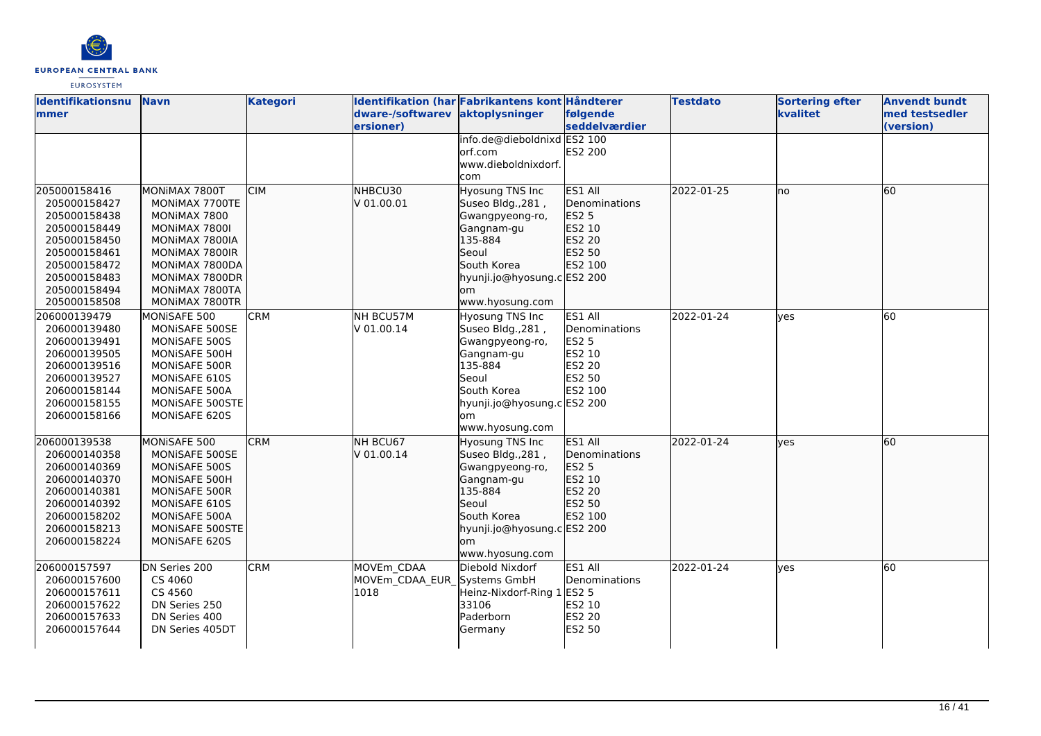

| <b>Identifikationsnu</b><br>mmer | <b>Navn</b>          | <b>Kategori</b> | dware-/softwarev            | Identifikation (har Fabrikantens kont Håndterer<br>aktoplysninger | følgende      | <b>Testdato</b> | <b>Sortering efter</b><br>kvalitet | <b>Anvendt bundt</b><br>med testsedler |
|----------------------------------|----------------------|-----------------|-----------------------------|-------------------------------------------------------------------|---------------|-----------------|------------------------------------|----------------------------------------|
|                                  |                      |                 | ersioner)                   |                                                                   | seddelværdier |                 |                                    | (version)                              |
|                                  |                      |                 |                             | info.de@dieboldnixd ES2 100                                       |               |                 |                                    |                                        |
|                                  |                      |                 |                             | orf.com                                                           | ES2 200       |                 |                                    |                                        |
|                                  |                      |                 |                             | www.dieboldnixdorf.                                               |               |                 |                                    |                                        |
|                                  |                      |                 |                             | com                                                               |               |                 |                                    |                                        |
| 205000158416                     | MONIMAX 7800T        | <b>CIM</b>      | NHBCU30                     | <b>Hyosung TNS Inc</b>                                            | ES1 All       | 2022-01-25      | no                                 | 60                                     |
| 205000158427                     | MONIMAX 7700TE       |                 | V 01.00.01                  | Suseo Bldg., 281,                                                 | Denominations |                 |                                    |                                        |
| 205000158438                     | MONIMAX 7800         |                 |                             | Gwangpyeong-ro,                                                   | ES2 5         |                 |                                    |                                        |
| 205000158449                     | MONIMAX 7800I        |                 |                             | Gangnam-gu                                                        | ES2 10        |                 |                                    |                                        |
| 205000158450                     | MONIMAX 7800IA       |                 |                             | 135-884                                                           | ES2 20        |                 |                                    |                                        |
| 205000158461                     | MONIMAX 7800IR       |                 |                             | Seoul                                                             | ES2 50        |                 |                                    |                                        |
| 205000158472                     | MONIMAX 7800DA       |                 |                             | South Korea                                                       | ES2 100       |                 |                                    |                                        |
| 205000158483                     | MONIMAX 7800DR       |                 |                             | hyunji.jo@hyosung.c ES2 200                                       |               |                 |                                    |                                        |
| 205000158494                     | MONIMAX 7800TA       |                 |                             | om                                                                |               |                 |                                    |                                        |
| 205000158508                     | MONIMAX 7800TR       |                 |                             | www.hyosung.com                                                   |               |                 |                                    |                                        |
| 206000139479                     | MONISAFE 500         | <b>CRM</b>      | NH BCU57M                   | Hyosung TNS Inc                                                   | ES1 All       | 2022-01-24      | yes                                | 60                                     |
| 206000139480                     | MONISAFE 500SE       |                 | V 01.00.14                  | Suseo Bldg., 281,                                                 | Denominations |                 |                                    |                                        |
| 206000139491                     | MONISAFE 500S        |                 |                             | Gwangpyeong-ro,                                                   | ES2 5         |                 |                                    |                                        |
| 206000139505                     | MONISAFE 500H        |                 |                             | Gangnam-gu                                                        | ES2 10        |                 |                                    |                                        |
| 206000139516                     | <b>MONISAFE 500R</b> |                 |                             | 135-884                                                           | ES2 20        |                 |                                    |                                        |
| 206000139527                     | MONISAFE 610S        |                 |                             | Seoul                                                             | ES2 50        |                 |                                    |                                        |
| 206000158144                     | MONISAFE 500A        |                 |                             | South Korea                                                       | ES2 100       |                 |                                    |                                        |
| 206000158155                     | MONISAFE 500STE      |                 |                             | hyunji.jo@hyosung.c ES2 200                                       |               |                 |                                    |                                        |
| 206000158166                     | MONISAFE 620S        |                 |                             | lom                                                               |               |                 |                                    |                                        |
|                                  |                      |                 |                             | www.hyosung.com                                                   |               |                 |                                    |                                        |
| 206000139538                     | MONISAFE 500         | <b>CRM</b>      | NH BCU67                    | Hyosung TNS Inc                                                   | ES1 All       | 2022-01-24      | lyes                               | 60                                     |
| 206000140358                     | MONISAFE 500SE       |                 | V 01.00.14                  | Suseo Bldg., 281,                                                 | Denominations |                 |                                    |                                        |
| 206000140369                     | MONISAFE 500S        |                 |                             | Gwangpyeong-ro,                                                   | ES2 5         |                 |                                    |                                        |
| 206000140370                     | MONISAFE 500H        |                 |                             | Gangnam-gu                                                        | ES2 10        |                 |                                    |                                        |
| 206000140381                     | MONISAFE 500R        |                 |                             | 135-884                                                           | ES2 20        |                 |                                    |                                        |
| 206000140392                     | MONISAFE 610S        |                 |                             | Seoul                                                             | ES2 50        |                 |                                    |                                        |
| 206000158202                     | MONISAFE 500A        |                 |                             | South Korea                                                       | ES2 100       |                 |                                    |                                        |
| 206000158213                     | MONISAFE 500STE      |                 |                             | hyunji.jo@hyosung.c ES2 200                                       |               |                 |                                    |                                        |
| 206000158224                     | MONISAFE 620S        |                 |                             | om                                                                |               |                 |                                    |                                        |
|                                  |                      |                 |                             | www.hyosung.com                                                   |               |                 |                                    |                                        |
| 206000157597                     | DN Series 200        | <b>CRM</b>      | MOVEm CDAA                  | Diebold Nixdorf                                                   | ES1 All       | 2022-01-24      | lyes                               | 60                                     |
| 206000157600                     | CS 4060              |                 | MOVEm CDAA EUR Systems GmbH |                                                                   | Denominations |                 |                                    |                                        |
| 206000157611                     | CS 4560              |                 | 1018                        | Heinz-Nixdorf-Ring 1                                              | <b>ES2 5</b>  |                 |                                    |                                        |
| 206000157622                     | DN Series 250        |                 |                             | 33106                                                             | ES2 10        |                 |                                    |                                        |
| 206000157633                     | DN Series 400        |                 |                             | Paderborn                                                         | ES2 20        |                 |                                    |                                        |
| 206000157644                     | DN Series 405DT      |                 |                             | Germany                                                           | ES2 50        |                 |                                    |                                        |
|                                  |                      |                 |                             |                                                                   |               |                 |                                    |                                        |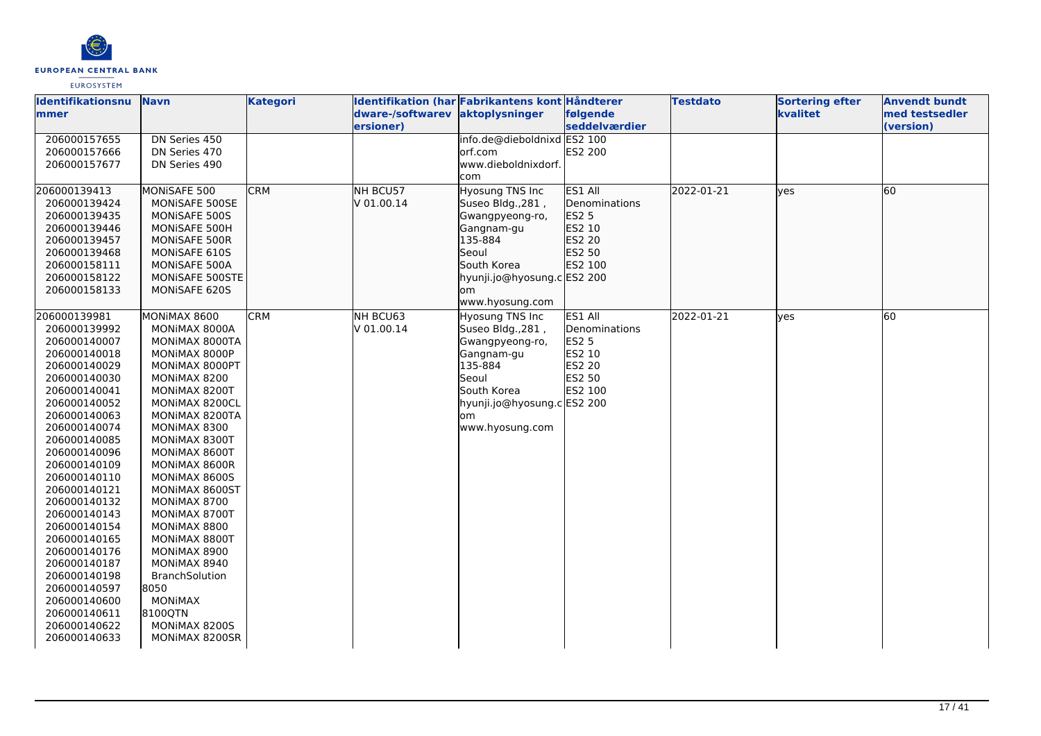

| <b>Identifikationsnu</b> | <b>Navn</b>     | <b>Kategori</b> |                                 | Identifikation (har Fabrikantens kont Håndterer |               | <b>Testdato</b> | <b>Sortering efter</b> | <b>Anvendt bundt</b> |
|--------------------------|-----------------|-----------------|---------------------------------|-------------------------------------------------|---------------|-----------------|------------------------|----------------------|
| mmer                     |                 |                 | dware-/softwarev aktoplysninger |                                                 | følgende      |                 | kvalitet               | med testsedler       |
|                          |                 |                 | ersioner)                       |                                                 | seddelværdier |                 |                        | (version)            |
| 206000157655             | DN Series 450   |                 |                                 | info.de@dieboldnixd ES2 100                     |               |                 |                        |                      |
| 206000157666             | DN Series 470   |                 |                                 | lorf.com                                        | ES2 200       |                 |                        |                      |
| 206000157677             | DN Series 490   |                 |                                 | www.dieboldnixdorf.                             |               |                 |                        |                      |
|                          |                 |                 |                                 | com                                             |               |                 |                        |                      |
| 206000139413             | MONISAFE 500    | <b>CRM</b>      | NH BCU57                        | Hyosung TNS Inc                                 | ES1 All       | 2022-01-21      | ves                    | 60                   |
| 206000139424             | MONISAFE 500SE  |                 | V 01.00.14                      | Suseo Bldg., 281,                               | Denominations |                 |                        |                      |
| 206000139435             | MONISAFE 500S   |                 |                                 | Gwangpyeong-ro,                                 | ES2 5         |                 |                        |                      |
| 206000139446             | MONISAFE 500H   |                 |                                 | Gangnam-gu                                      | ES2 10        |                 |                        |                      |
| 206000139457             | MONISAFE 500R   |                 |                                 | 135-884                                         | ES2 20        |                 |                        |                      |
| 206000139468             | MONISAFE 610S   |                 |                                 | Seoul                                           | ES2 50        |                 |                        |                      |
| 206000158111             | MONISAFE 500A   |                 |                                 | South Korea                                     | ES2 100       |                 |                        |                      |
| 206000158122             | MONISAFE 500STE |                 |                                 | hyunji.jo@hyosung.c ES2 200                     |               |                 |                        |                      |
| 206000158133             | MONISAFE 620S   |                 |                                 | om                                              |               |                 |                        |                      |
|                          |                 |                 |                                 | www.hyosung.com                                 |               |                 |                        |                      |
| 206000139981             | MONIMAX 8600    | <b>CRM</b>      | NH BCU63                        | <b>Hyosung TNS Inc</b>                          | ES1 All       | 2022-01-21      | lyes                   | 60                   |
| 206000139992             | MONIMAX 8000A   |                 | V 01.00.14                      | Suseo Bldg., 281,                               | Denominations |                 |                        |                      |
| 206000140007             | MONIMAX 8000TA  |                 |                                 | Gwangpyeong-ro,                                 | <b>ES2 5</b>  |                 |                        |                      |
| 206000140018             | MONIMAX 8000P   |                 |                                 | Gangnam-gu                                      | ES2 10        |                 |                        |                      |
| 206000140029             | MONIMAX 8000PT  |                 |                                 | 135-884                                         | ES2 20        |                 |                        |                      |
| 206000140030             | MONIMAX 8200    |                 |                                 | Seoul                                           | ES2 50        |                 |                        |                      |
| 206000140041             | MONIMAX 8200T   |                 |                                 | South Korea                                     | ES2 100       |                 |                        |                      |
| 206000140052             | MONIMAX 8200CL  |                 |                                 | hyunji.jo@hyosung.c ES2 200                     |               |                 |                        |                      |
| 206000140063             | MONIMAX 8200TA  |                 |                                 | lom                                             |               |                 |                        |                      |
| 206000140074             | MONIMAX 8300    |                 |                                 | www.hyosung.com                                 |               |                 |                        |                      |
| 206000140085             | MONIMAX 8300T   |                 |                                 |                                                 |               |                 |                        |                      |
| 206000140096             | MONIMAX 8600T   |                 |                                 |                                                 |               |                 |                        |                      |
| 206000140109             | MONIMAX 8600R   |                 |                                 |                                                 |               |                 |                        |                      |
| 206000140110             | MONIMAX 8600S   |                 |                                 |                                                 |               |                 |                        |                      |
| 206000140121             | MONIMAX 8600ST  |                 |                                 |                                                 |               |                 |                        |                      |
| 206000140132             | MONIMAX 8700    |                 |                                 |                                                 |               |                 |                        |                      |
| 206000140143             | MONIMAX 8700T   |                 |                                 |                                                 |               |                 |                        |                      |
| 206000140154             | MONIMAX 8800    |                 |                                 |                                                 |               |                 |                        |                      |
| 206000140165             | MONIMAX 8800T   |                 |                                 |                                                 |               |                 |                        |                      |
| 206000140176             | MONIMAX 8900    |                 |                                 |                                                 |               |                 |                        |                      |
| 206000140187             | MONIMAX 8940    |                 |                                 |                                                 |               |                 |                        |                      |
| 206000140198             | BranchSolution  |                 |                                 |                                                 |               |                 |                        |                      |
| 206000140597             | 8050            |                 |                                 |                                                 |               |                 |                        |                      |
| 206000140600             | <b>MONIMAX</b>  |                 |                                 |                                                 |               |                 |                        |                      |
| 206000140611             | 8100QTN         |                 |                                 |                                                 |               |                 |                        |                      |
| 206000140622             | MONIMAX 8200S   |                 |                                 |                                                 |               |                 |                        |                      |
| 206000140633             | MONIMAX 8200SR  |                 |                                 |                                                 |               |                 |                        |                      |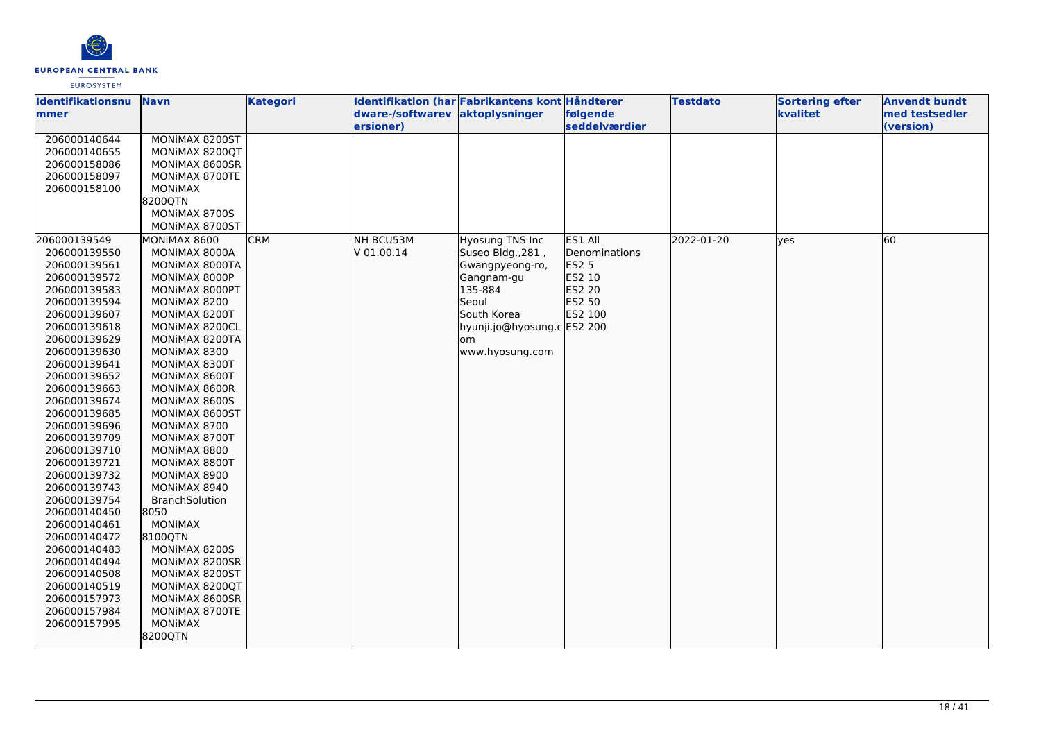

| Identifikationsnu | <b>Navn</b>           | <b>Kategori</b> | Identifikation (har Fabrikantens kont Håndterer |                             |               | <b>Testdato</b> | <b>Sortering efter</b> | <b>Anvendt bundt</b> |
|-------------------|-----------------------|-----------------|-------------------------------------------------|-----------------------------|---------------|-----------------|------------------------|----------------------|
| mmer              |                       |                 | dware-/softwarev aktoplysninger                 |                             | følgende      |                 | kvalitet               | med testsedler       |
|                   |                       |                 | ersioner)                                       |                             | seddelværdier |                 |                        | (version)            |
| 206000140644      | MONIMAX 8200ST        |                 |                                                 |                             |               |                 |                        |                      |
| 206000140655      | MONIMAX 8200QT        |                 |                                                 |                             |               |                 |                        |                      |
| 206000158086      | MONIMAX 8600SR        |                 |                                                 |                             |               |                 |                        |                      |
| 206000158097      | MONIMAX 8700TE        |                 |                                                 |                             |               |                 |                        |                      |
| 206000158100      | <b>MONIMAX</b>        |                 |                                                 |                             |               |                 |                        |                      |
|                   | 82000TN               |                 |                                                 |                             |               |                 |                        |                      |
|                   | MONIMAX 8700S         |                 |                                                 |                             |               |                 |                        |                      |
|                   | MONIMAX 8700ST        |                 |                                                 |                             |               |                 |                        |                      |
| 206000139549      | MONIMAX 8600          | <b>CRM</b>      | NH BCU53M                                       | Hyosung TNS Inc             | ES1 All       | 2022-01-20      | lves                   | 60                   |
| 206000139550      | MONIMAX 8000A         |                 | V 01.00.14                                      | Suseo Bldg., 281,           | Denominations |                 |                        |                      |
| 206000139561      | MONIMAX 8000TA        |                 |                                                 | Gwangpyeong-ro,             | <b>ES2 5</b>  |                 |                        |                      |
| 206000139572      | MONIMAX 8000P         |                 |                                                 | Gangnam-gu                  | ES2 10        |                 |                        |                      |
| 206000139583      | MONIMAX 8000PT        |                 |                                                 | 135-884                     | ES2 20        |                 |                        |                      |
| 206000139594      | MONIMAX 8200          |                 |                                                 | Seoul                       | ES2 50        |                 |                        |                      |
| 206000139607      | MONIMAX 8200T         |                 |                                                 | South Korea                 | ES2 100       |                 |                        |                      |
| 206000139618      | MONIMAX 8200CL        |                 |                                                 | hyunji.jo@hyosung.c ES2 200 |               |                 |                        |                      |
| 206000139629      | MONIMAX 8200TA        |                 |                                                 | lom                         |               |                 |                        |                      |
| 206000139630      | MONIMAX 8300          |                 |                                                 | www.hyosung.com             |               |                 |                        |                      |
| 206000139641      | MONIMAX 8300T         |                 |                                                 |                             |               |                 |                        |                      |
| 206000139652      | MONIMAX 8600T         |                 |                                                 |                             |               |                 |                        |                      |
| 206000139663      | MONIMAX 8600R         |                 |                                                 |                             |               |                 |                        |                      |
| 206000139674      | MONIMAX 8600S         |                 |                                                 |                             |               |                 |                        |                      |
| 206000139685      | MONIMAX 8600ST        |                 |                                                 |                             |               |                 |                        |                      |
| 206000139696      | MONIMAX 8700          |                 |                                                 |                             |               |                 |                        |                      |
| 206000139709      | MONIMAX 8700T         |                 |                                                 |                             |               |                 |                        |                      |
| 206000139710      | MONIMAX 8800          |                 |                                                 |                             |               |                 |                        |                      |
| 206000139721      | MONIMAX 8800T         |                 |                                                 |                             |               |                 |                        |                      |
| 206000139732      | MONIMAX 8900          |                 |                                                 |                             |               |                 |                        |                      |
| 206000139743      | MONIMAX 8940          |                 |                                                 |                             |               |                 |                        |                      |
| 206000139754      | <b>BranchSolution</b> |                 |                                                 |                             |               |                 |                        |                      |
| 206000140450      | 8050                  |                 |                                                 |                             |               |                 |                        |                      |
| 206000140461      | MONIMAX               |                 |                                                 |                             |               |                 |                        |                      |
| 206000140472      | 8100QTN               |                 |                                                 |                             |               |                 |                        |                      |
| 206000140483      | MONIMAX 8200S         |                 |                                                 |                             |               |                 |                        |                      |
| 206000140494      | MONIMAX 8200SR        |                 |                                                 |                             |               |                 |                        |                      |
| 206000140508      | MONIMAX 8200ST        |                 |                                                 |                             |               |                 |                        |                      |
| 206000140519      | MONIMAX 8200QT        |                 |                                                 |                             |               |                 |                        |                      |
| 206000157973      | MONIMAX 8600SR        |                 |                                                 |                             |               |                 |                        |                      |
| 206000157984      | MONIMAX 8700TE        |                 |                                                 |                             |               |                 |                        |                      |
| 206000157995      | <b>MONIMAX</b>        |                 |                                                 |                             |               |                 |                        |                      |
|                   | 8200QTN               |                 |                                                 |                             |               |                 |                        |                      |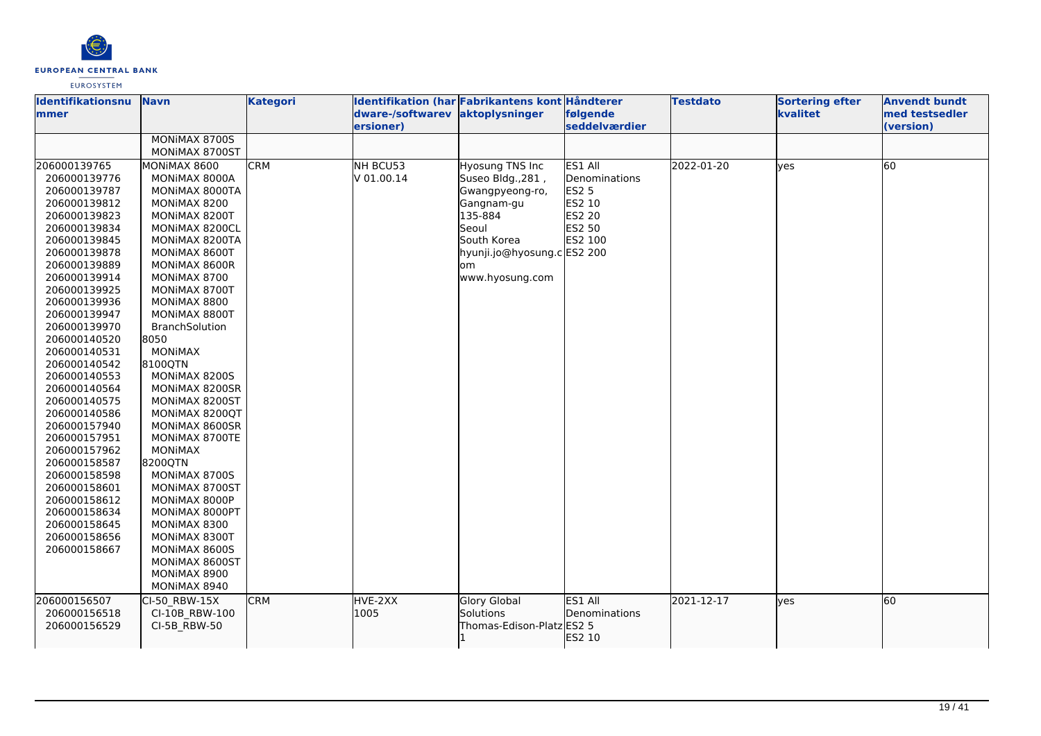

| Identifikationsnu | <b>Navn</b>    | <b>Kategori</b> |                                 | Identifikation (har Fabrikantens kont Håndterer |               | <b>Testdato</b> | <b>Sortering efter</b> | <b>Anvendt bundt</b> |
|-------------------|----------------|-----------------|---------------------------------|-------------------------------------------------|---------------|-----------------|------------------------|----------------------|
| mmer              |                |                 | dware-/softwarev aktoplysninger |                                                 | følgende      |                 | kvalitet               | med testsedler       |
|                   |                |                 | ersioner)                       |                                                 | seddelværdier |                 |                        | (version)            |
|                   | MONIMAX 8700S  |                 |                                 |                                                 |               |                 |                        |                      |
|                   | MONIMAX 8700ST |                 |                                 |                                                 |               |                 |                        |                      |
| 206000139765      | MONIMAX 8600   | <b>CRM</b>      | NH BCU53                        | Hyosung TNS Inc                                 | ES1 All       | 2022-01-20      | yes                    | 60                   |
| 206000139776      | MONIMAX 8000A  |                 | V 01.00.14                      | Suseo Bldg., 281,                               | Denominations |                 |                        |                      |
| 206000139787      | MONIMAX 8000TA |                 |                                 | Gwangpyeong-ro,                                 | <b>ES2 5</b>  |                 |                        |                      |
| 206000139812      | MONIMAX 8200   |                 |                                 | Gangnam-gu                                      | ES2 10        |                 |                        |                      |
| 206000139823      | MONIMAX 8200T  |                 |                                 | 135-884                                         | <b>ES2 20</b> |                 |                        |                      |
| 206000139834      | MONIMAX 8200CL |                 |                                 | Seoul                                           | ES2 50        |                 |                        |                      |
| 206000139845      | MONIMAX 8200TA |                 |                                 | South Korea                                     | ES2 100       |                 |                        |                      |
| 206000139878      | MONIMAX 8600T  |                 |                                 | hyunji.jo@hyosung.cES2 200                      |               |                 |                        |                      |
| 206000139889      | MONIMAX 8600R  |                 |                                 | om                                              |               |                 |                        |                      |
| 206000139914      | MONIMAX 8700   |                 |                                 | www.hyosung.com                                 |               |                 |                        |                      |
| 206000139925      | MONIMAX 8700T  |                 |                                 |                                                 |               |                 |                        |                      |
| 206000139936      | MONIMAX 8800   |                 |                                 |                                                 |               |                 |                        |                      |
| 206000139947      | MONIMAX 8800T  |                 |                                 |                                                 |               |                 |                        |                      |
| 206000139970      | BranchSolution |                 |                                 |                                                 |               |                 |                        |                      |
| 206000140520      | 8050           |                 |                                 |                                                 |               |                 |                        |                      |
| 206000140531      | <b>MONIMAX</b> |                 |                                 |                                                 |               |                 |                        |                      |
| 206000140542      | 8100QTN        |                 |                                 |                                                 |               |                 |                        |                      |
| 206000140553      | MONIMAX 8200S  |                 |                                 |                                                 |               |                 |                        |                      |
| 206000140564      | MONIMAX 8200SR |                 |                                 |                                                 |               |                 |                        |                      |
| 206000140575      | MONIMAX 8200ST |                 |                                 |                                                 |               |                 |                        |                      |
| 206000140586      | MONIMAX 8200QT |                 |                                 |                                                 |               |                 |                        |                      |
| 206000157940      | MONIMAX 8600SR |                 |                                 |                                                 |               |                 |                        |                      |
| 206000157951      | MONIMAX 8700TE |                 |                                 |                                                 |               |                 |                        |                      |
| 206000157962      | MONIMAX        |                 |                                 |                                                 |               |                 |                        |                      |
| 206000158587      | 8200QTN        |                 |                                 |                                                 |               |                 |                        |                      |
| 206000158598      | MONIMAX 8700S  |                 |                                 |                                                 |               |                 |                        |                      |
| 206000158601      | MONIMAX 8700ST |                 |                                 |                                                 |               |                 |                        |                      |
| 206000158612      | MONIMAX 8000P  |                 |                                 |                                                 |               |                 |                        |                      |
| 206000158634      | MONIMAX 8000PT |                 |                                 |                                                 |               |                 |                        |                      |
| 206000158645      | MONIMAX 8300   |                 |                                 |                                                 |               |                 |                        |                      |
| 206000158656      | MONIMAX 8300T  |                 |                                 |                                                 |               |                 |                        |                      |
| 206000158667      | MONIMAX 8600S  |                 |                                 |                                                 |               |                 |                        |                      |
|                   | MONIMAX 8600ST |                 |                                 |                                                 |               |                 |                        |                      |
|                   | MONIMAX 8900   |                 |                                 |                                                 |               |                 |                        |                      |
|                   | MONIMAX 8940   |                 |                                 |                                                 |               |                 |                        |                      |
| 206000156507      | CI-50 RBW-15X  | <b>CRM</b>      | HVE-2XX                         | Glory Global                                    | ES1 All       | 2021-12-17      | lyes                   | 60                   |
| 206000156518      | CI-10B_RBW-100 |                 | 1005                            | Solutions                                       | Denominations |                 |                        |                      |
| 206000156529      | CI-5B RBW-50   |                 |                                 | Thomas-Edison-Platz ES2 5                       |               |                 |                        |                      |
|                   |                |                 |                                 |                                                 | ES2 10        |                 |                        |                      |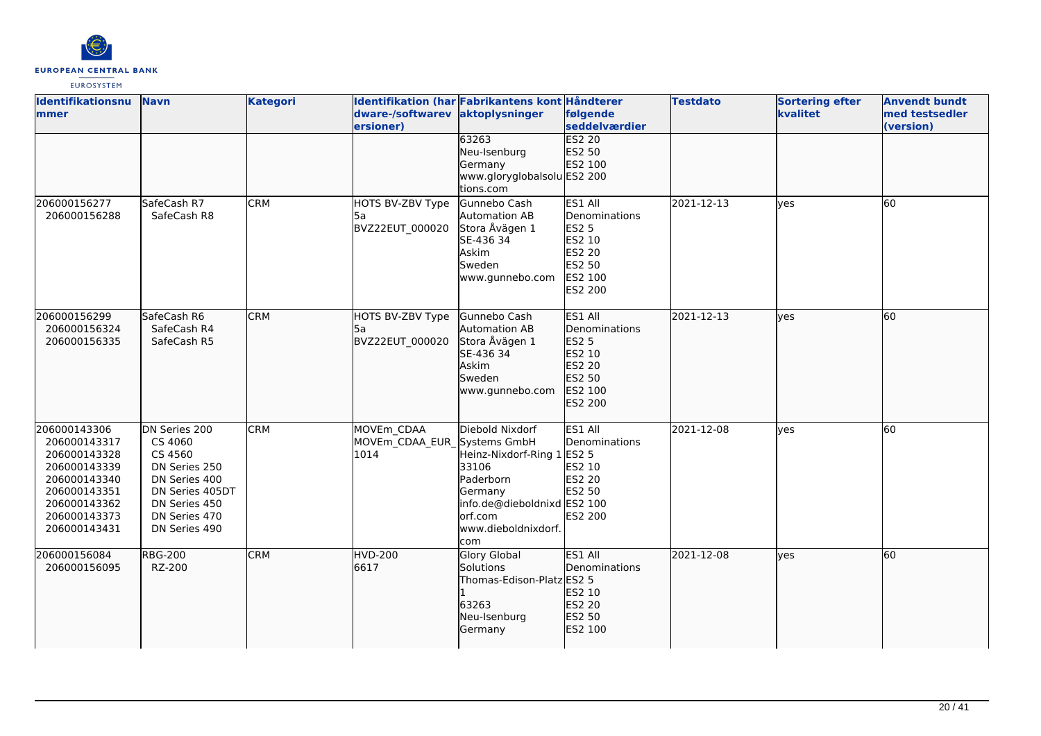

| <b>Identifikationsnu</b><br>mmer                                                                                                             | <b>Navn</b>                                                                                                                                 | <b>Kategori</b> | dware-/softwarev aktoplysninger<br>ersioner)      | Identifikation (har Fabrikantens kont Håndterer                                                                                                         | følgende<br>seddelværdier                                                                           | <b>Testdato</b> | <b>Sortering efter</b><br>kvalitet | <b>Anvendt bundt</b><br>med testsedler<br>(version) |
|----------------------------------------------------------------------------------------------------------------------------------------------|---------------------------------------------------------------------------------------------------------------------------------------------|-----------------|---------------------------------------------------|---------------------------------------------------------------------------------------------------------------------------------------------------------|-----------------------------------------------------------------------------------------------------|-----------------|------------------------------------|-----------------------------------------------------|
|                                                                                                                                              |                                                                                                                                             |                 |                                                   | 63263<br>Neu-Isenburg<br>Germany<br>www.gloryglobalsolu ES2 200<br>tions.com                                                                            | <b>ES2 20</b><br>ES2 50<br>ES2 100                                                                  |                 |                                    |                                                     |
| 206000156277<br>206000156288                                                                                                                 | SafeCash R7<br>SafeCash R8                                                                                                                  | <b>CRM</b>      | HOTS BV-ZBV Type<br>l5a<br>BVZ22EUT 000020        | Gunnebo Cash<br>Automation AB<br>Stora Åvägen 1<br>SE-436 34<br>Askim<br>Sweden<br>www.gunnebo.com                                                      | ES1 All<br>Denominations<br><b>ES2 5</b><br>ES2 10<br>ES2 20<br>ES2 50<br>ES2 100<br><b>ES2 200</b> | 2021-12-13      | <b>l</b> ves                       | 60                                                  |
| 206000156299<br>206000156324<br>206000156335                                                                                                 | SafeCash R6<br>SafeCash R4<br>SafeCash R5                                                                                                   | <b>CRM</b>      | HOTS BV-ZBV Type<br>l5a<br>BVZ22EUT 000020        | Gunnebo Cash<br>Automation AB<br>Stora Åvägen 1<br>SE-436 34<br>Askim<br>Sweden<br>www.gunnebo.com                                                      | ES1 All<br>Denominations<br>ES2 <sub>5</sub><br>ES2 10<br>ES2 20<br>ES2 50<br>ES2 100<br>ES2 200    | 2021-12-13      | lyes                               | 60                                                  |
| 206000143306<br>206000143317<br>206000143328<br>206000143339<br>206000143340<br>206000143351<br>206000143362<br>206000143373<br>206000143431 | DN Series 200<br>CS 4060<br>CS 4560<br>DN Series 250<br>DN Series 400<br>DN Series 405DT<br>DN Series 450<br>DN Series 470<br>DN Series 490 | <b>CRM</b>      | MOVEm CDAA<br>MOVEm CDAA EUR Systems GmbH<br>1014 | Diebold Nixdorf<br>Heinz-Nixdorf-Ring 1 ES2 5<br>33106<br>Paderborn<br>Germany<br>info.de@dieboldnixd ES2 100<br>lorf.com<br>www.dieboldnixdorf.<br>com | ES1 All<br>Denominations<br>ES2 10<br>ES2 20<br>ES2 50<br><b>ES2 200</b>                            | 2021-12-08      | <b>l</b> ves                       | 60                                                  |
| 206000156084<br>206000156095                                                                                                                 | <b>RBG-200</b><br>RZ-200                                                                                                                    | <b>CRM</b>      | <b>HVD-200</b><br>6617                            | Glory Global<br>Solutions<br>Thomas-Edison-Platz ES2 5<br>63263<br>Neu-Isenburg<br>Germany                                                              | ES1 All<br><b>Denominations</b><br>ES2 10<br>ES2 20<br>ES2 50<br>ES2 100                            | 2021-12-08      | <b>l</b> ves                       | 60                                                  |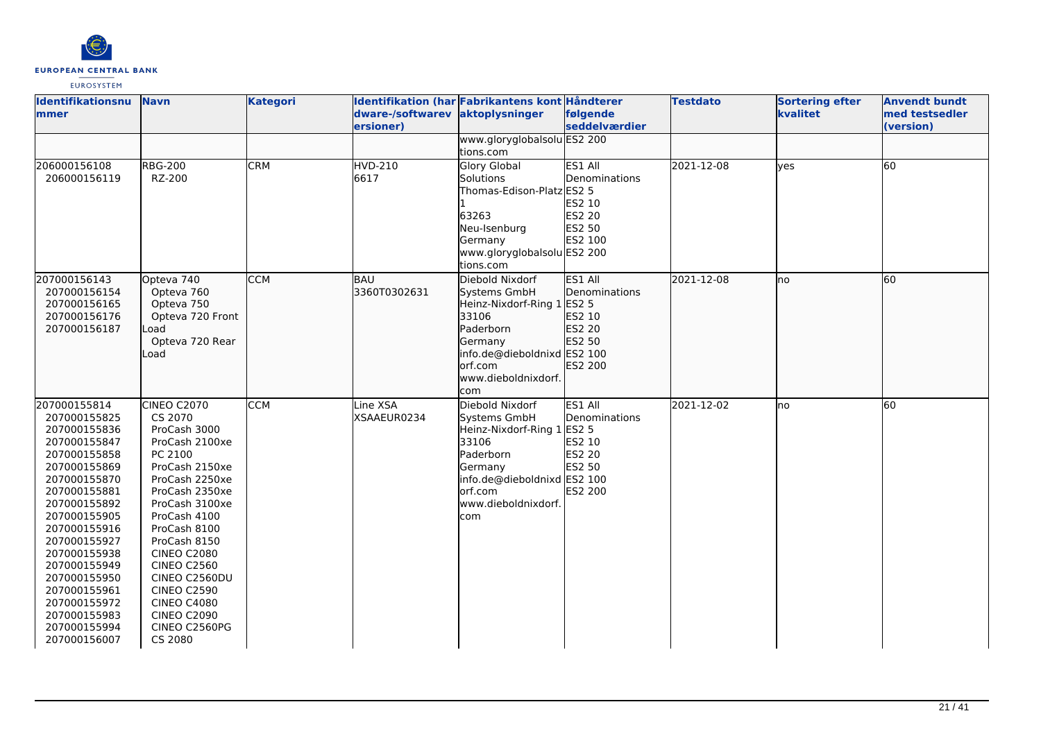

| <b>Identifikationsnu</b><br>mmer                                                                                                                                                                                                                                                                                             | <b>Navn</b>                                                                                                                                                                                                                                                                                                                                            | <b>Kategori</b> | dware-/softwarev aktoplysninger<br>ersioner) | Identifikation (har Fabrikantens kont Håndterer                                                                                                                         | følgende<br>seddelværdier                                                | <b>Testdato</b> | <b>Sortering efter</b><br>kvalitet | <b>Anvendt bundt</b><br>med testsedler<br>(version) |
|------------------------------------------------------------------------------------------------------------------------------------------------------------------------------------------------------------------------------------------------------------------------------------------------------------------------------|--------------------------------------------------------------------------------------------------------------------------------------------------------------------------------------------------------------------------------------------------------------------------------------------------------------------------------------------------------|-----------------|----------------------------------------------|-------------------------------------------------------------------------------------------------------------------------------------------------------------------------|--------------------------------------------------------------------------|-----------------|------------------------------------|-----------------------------------------------------|
|                                                                                                                                                                                                                                                                                                                              |                                                                                                                                                                                                                                                                                                                                                        |                 |                                              | www.gloryglobalsolu ES2 200<br>tions.com                                                                                                                                |                                                                          |                 |                                    |                                                     |
| 206000156108<br>206000156119                                                                                                                                                                                                                                                                                                 | <b>RBG-200</b><br>RZ-200                                                                                                                                                                                                                                                                                                                               | <b>CRM</b>      | <b>HVD-210</b><br>6617                       | <b>Glory Global</b><br><b>Solutions</b><br>Thomas-Edison-Platz ES2 5<br>63263<br>Neu-Isenburg<br>Germany<br>www.gloryglobalsolu ES2 200<br>tions.com                    | ES1 All<br>Denominations<br>ES2 10<br><b>ES2 20</b><br>ES2 50<br>ES2 100 | 2021-12-08      | ves                                | 60                                                  |
| 207000156143<br>207000156154<br>207000156165<br>207000156176<br>207000156187                                                                                                                                                                                                                                                 | Opteva 740<br>Opteva 760<br>Opteva 750<br>Opteva 720 Front<br>_oad<br>Opteva 720 Rear<br>Load                                                                                                                                                                                                                                                          | <b>CCM</b>      | BAU<br>3360T0302631                          | Diebold Nixdorf<br>Systems GmbH<br>Heinz-Nixdorf-Ring 1 ES2 5<br>33106<br>Paderborn<br>Germany<br>info.de@dieboldnixd ES2 100<br>orf.com<br>www.dieboldnixdorf.<br>com  | ES1 All<br>Denominations<br>ES2 10<br>ES2 20<br>ES2 50<br>ES2 200        | 2021-12-08      | no                                 | 60                                                  |
| 207000155814<br>207000155825<br>207000155836<br>207000155847<br>207000155858<br>207000155869<br>207000155870<br>207000155881<br>207000155892<br>207000155905<br>207000155916<br>207000155927<br>207000155938<br>207000155949<br>207000155950<br>207000155961<br>207000155972<br>207000155983<br>207000155994<br>207000156007 | CINEO C2070<br>CS 2070<br>ProCash 3000<br>ProCash 2100xe<br>PC 2100<br>ProCash 2150xe<br>ProCash 2250xe<br>ProCash 2350xe<br>ProCash 3100xe<br>ProCash 4100<br>ProCash 8100<br>ProCash 8150<br><b>CINEO C2080</b><br><b>CINEO C2560</b><br>CINEO C2560DU<br><b>CINEO C2590</b><br><b>CINEO C4080</b><br><b>CINEO C2090</b><br>CINEO C2560PG<br>CS 2080 | <b>CCM</b>      | Line XSA<br>XSAAEUR0234                      | Diebold Nixdorf<br>Systems GmbH<br>Heinz-Nixdorf-Ring 1 ES2 5<br>33106<br>Paderborn<br>Germany<br>info.de@dieboldnixd ES2 100<br>lorf.com<br>www.dieboldnixdorf.<br>com | ES1 All<br>Denominations<br>ES2 10<br>ES2 20<br>ES2 50<br>ES2 200        | 2021-12-02      | no                                 | 60                                                  |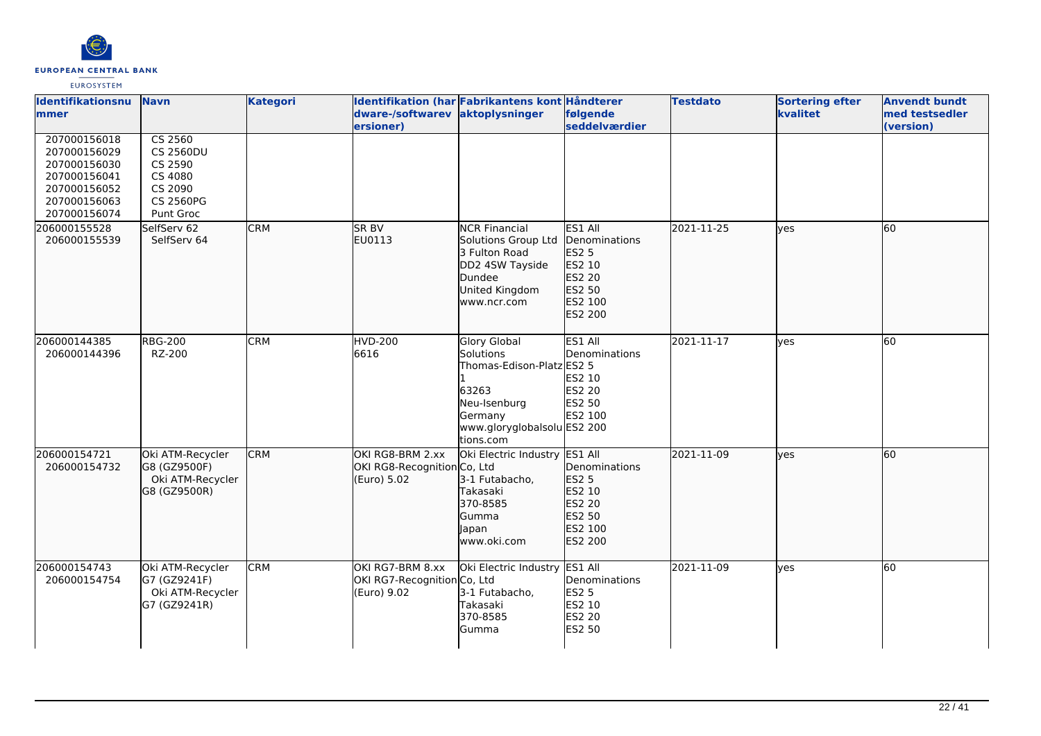

| <b>Identifikationsnu</b><br>mmer                                                                             | <b>Navn</b>                                                                                                | <b>Kategori</b> | dware-/softwarev<br>ersioner)                                  | Identifikation (har Fabrikantens kont Håndterer<br>aktoplysninger                                                                             | følgende<br>seddelværdier                                                                           | <b>Testdato</b> | <b>Sortering efter</b><br>kvalitet | <b>Anvendt bundt</b><br>med testsedler<br>(version) |
|--------------------------------------------------------------------------------------------------------------|------------------------------------------------------------------------------------------------------------|-----------------|----------------------------------------------------------------|-----------------------------------------------------------------------------------------------------------------------------------------------|-----------------------------------------------------------------------------------------------------|-----------------|------------------------------------|-----------------------------------------------------|
| 207000156018<br>207000156029<br>207000156030<br>207000156041<br>207000156052<br>207000156063<br>207000156074 | $\overline{CS}$ 2560<br><b>CS 2560DU</b><br>CS 2590<br>CS 4080<br>CS 2090<br><b>CS 2560PG</b><br>Punt Groc |                 |                                                                |                                                                                                                                               |                                                                                                     |                 |                                    |                                                     |
| 206000155528<br>206000155539                                                                                 | SelfServ 62<br>SelfServ 64                                                                                 | <b>CRM</b>      | SR BV<br>EU0113                                                | <b>NCR Financial</b><br>Solutions Group Ltd<br>3 Fulton Road<br>DD2 4SW Tayside<br>Dundee<br>United Kingdom<br>www.ncr.com                    | ES1 All<br>Denominations<br><b>ES2 5</b><br>ES2 10<br>ES2 20<br>ES2 50<br>ES2 100<br>ES2 200        | 2021-11-25      | lves                               | 60                                                  |
| 206000144385<br>206000144396                                                                                 | <b>RBG-200</b><br>RZ-200                                                                                   | <b>CRM</b>      | <b>HVD-200</b><br>6616                                         | <b>Glory Global</b><br>Solutions<br>Thomas-Edison-Platz ES2 5<br>63263<br>Neu-Isenburg<br>Germany<br>www.gloryglobalsolu ES2 200<br>tions.com | ES1 All<br>Denominations<br>ES2 10<br><b>ES2 20</b><br>ES2 50<br>ES2 100                            | 2021-11-17      | lyes                               | 60                                                  |
| 206000154721<br>206000154732                                                                                 | Oki ATM-Recycler<br>G8 (GZ9500F)<br>Oki ATM-Recycler<br>G8 (GZ9500R)                                       | <b>CRM</b>      | OKI RG8-BRM 2.xx<br>OKI RG8-Recognition Co, Ltd<br>(Euro) 5.02 | Oki Electric Industry<br>3-1 Futabacho,<br>Takasaki<br>370-8585<br>Gumma<br>Japan<br>www.oki.com                                              | ES1 All<br>Denominations<br><b>ES2 5</b><br>ES2 10<br><b>ES2 20</b><br>ES2 50<br>ES2 100<br>ES2 200 | 2021-11-09      | lves                               | 60                                                  |
| 206000154743<br>206000154754                                                                                 | Oki ATM-Recycler<br>G7 (GZ9241F)<br>Oki ATM-Recycler<br>G7 (GZ9241R)                                       | <b>CRM</b>      | OKI RG7-BRM 8.xx<br>OKI RG7-Recognition Co, Ltd<br>(Euro) 9.02 | Oki Electric Industry<br>3-1 Futabacho,<br>Takasaki<br>370-8585<br>Gumma                                                                      | ES1 All<br>Denominations<br><b>ES2 5</b><br>ES2 10<br>ES2 20<br><b>ES2 50</b>                       | 2021-11-09      | ves                                | 60                                                  |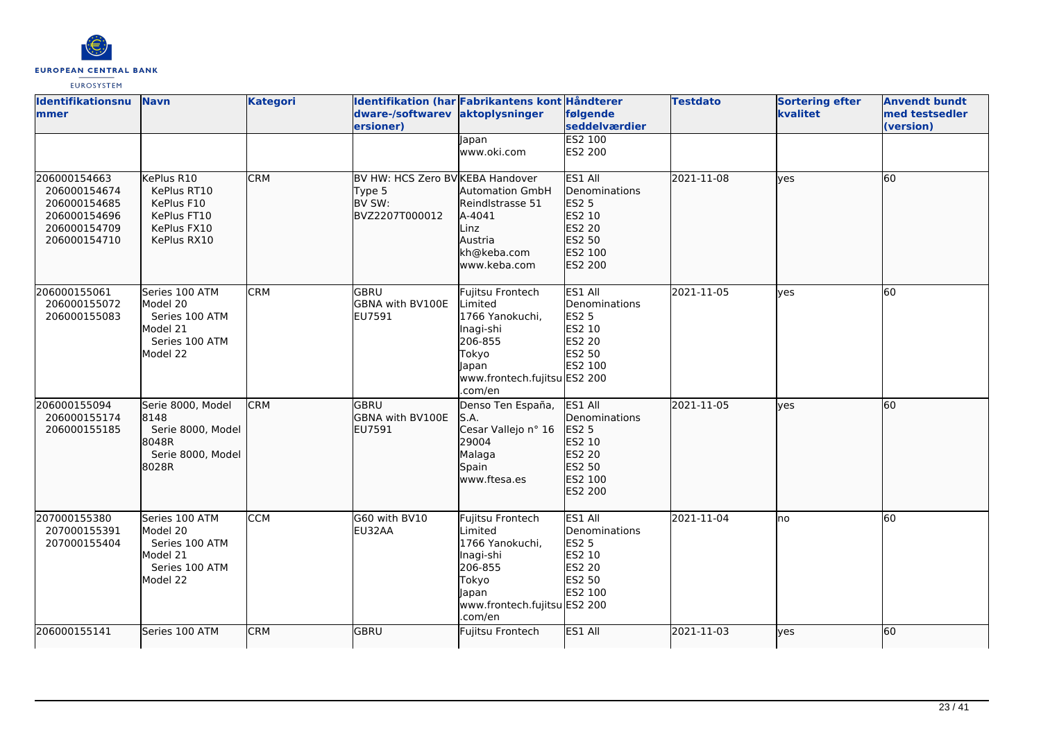

| <b>Identifikationsnu</b><br>mmer                                                             | <b>Navn</b>                                                                            | <b>Kategori</b> | dware-/softwarev aktoplysninger<br>ersioner)                           | Identifikation (har Fabrikantens kont Håndterer                                                                                     | følgende<br>seddelværdier                                                                    | <b>Testdato</b> | <b>Sortering efter</b><br>kvalitet | <b>Anvendt bundt</b><br>med testsedler<br>(version) |
|----------------------------------------------------------------------------------------------|----------------------------------------------------------------------------------------|-----------------|------------------------------------------------------------------------|-------------------------------------------------------------------------------------------------------------------------------------|----------------------------------------------------------------------------------------------|-----------------|------------------------------------|-----------------------------------------------------|
|                                                                                              |                                                                                        |                 |                                                                        | lapan<br>www.oki.com                                                                                                                | <b>ES2 100</b><br>ES2 200                                                                    |                 |                                    |                                                     |
| 206000154663<br>206000154674<br>206000154685<br>206000154696<br>206000154709<br>206000154710 | KePlus R10<br>KePlus RT10<br>KePlus F10<br>KePlus FT10<br>KePlus FX10<br>KePlus RX10   | <b>CRM</b>      | BV HW: HCS Zero BV KEBA Handover<br>Type 5<br>BV SW:<br>BVZ2207T000012 | <b>Automation GmbH</b><br>Reindlstrasse 51<br>A-4041<br>Linz<br>Austria<br>kh@keba.com<br>www.keba.com                              | ES1 All<br>Denominations<br><b>ES2 5</b><br>ES2 10<br>ES2 20<br>ES2 50<br>ES2 100<br>ES2 200 | 2021-11-08      | lyes                               | 60                                                  |
| 206000155061<br>206000155072<br>206000155083                                                 | Series 100 ATM<br>Model 20<br>Series 100 ATM<br>Model 21<br>Series 100 ATM<br>Model 22 | <b>CRM</b>      | GBRU<br><b>GBNA with BV100E</b><br>EU7591                              | Fujitsu Frontech<br>Limited<br>1766 Yanokuchi,<br>Inagi-shi<br>206-855<br>Tokyo<br>Japan<br>www.frontech.fujitsu ES2 200<br>.com/en | ES1 All<br>Denominations<br><b>ES2 5</b><br>ES2 10<br>ES2 20<br>ES2 50<br>ES2 100            | 2021-11-05      | <b>l</b> ves                       | 60                                                  |
| 206000155094<br>206000155174<br>206000155185                                                 | Serie 8000, Model<br>8148<br>Serie 8000, Model<br>8048R<br>Serie 8000, Model<br>8028R  | <b>CRM</b>      | <b>GBRU</b><br><b>GBNA with BV100E</b><br>EU7591                       | Denso Ten España,<br>S.A.<br>Cesar Vallejo nº 16<br>29004<br>Malaga<br>Spain<br>www.ftesa.es                                        | ES1 All<br>Denominations<br><b>ES2 5</b><br>ES2 10<br>ES2 20<br>ES2 50<br>ES2 100<br>ES2 200 | 2021-11-05      | lves                               | 60                                                  |
| 207000155380<br>207000155391<br>207000155404                                                 | Series 100 ATM<br>Model 20<br>Series 100 ATM<br>Model 21<br>Series 100 ATM<br>Model 22 | <b>CCM</b>      | G60 with BV10<br>EU32AA                                                | Fujitsu Frontech<br>Limited<br>1766 Yanokuchi,<br>Inagi-shi<br>206-855<br>Tokyo<br>lapan<br>www.frontech.fujitsu ES2 200<br>.com/en | ES1 All<br>Denominations<br><b>ES2 5</b><br>ES2 10<br>ES2 20<br>ES2 50<br>ES2 100            | 2021-11-04      | no                                 | 60                                                  |
| 206000155141                                                                                 | Series 100 ATM                                                                         | <b>CRM</b>      | GBRU                                                                   | Fujitsu Frontech                                                                                                                    | ES1 All                                                                                      | 2021-11-03      | <b>l</b> ves                       | 60                                                  |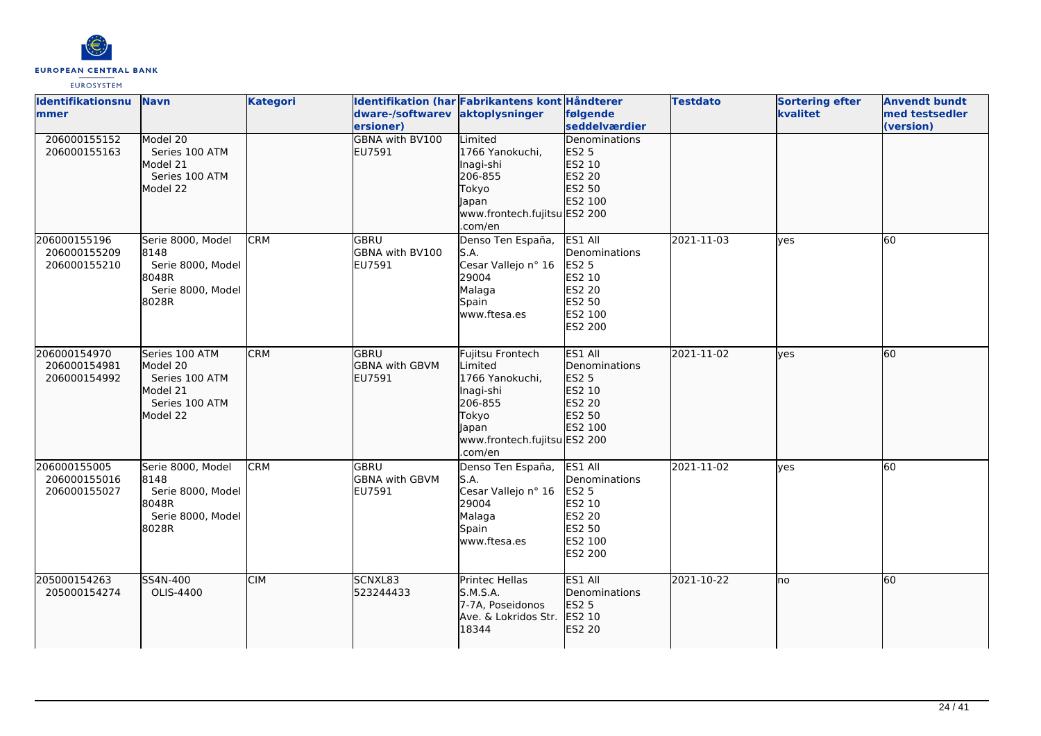

| <b>Identifikationsnu</b><br>mmer             | <b>Navn</b>                                                                            | <b>Kategori</b> | dware-/softwarev<br>ersioner)                  | Identifikation (har Fabrikantens kont Håndterer<br>aktoplysninger                                                                   | følgende<br>seddelværdier                                                                           | <b>Testdato</b> | <b>Sortering efter</b><br>kvalitet | <b>Anvendt bundt</b><br>med testsedler<br>(version) |
|----------------------------------------------|----------------------------------------------------------------------------------------|-----------------|------------------------------------------------|-------------------------------------------------------------------------------------------------------------------------------------|-----------------------------------------------------------------------------------------------------|-----------------|------------------------------------|-----------------------------------------------------|
| 206000155152<br>206000155163                 | Model 20<br>Series 100 ATM<br>Model 21<br>Series 100 ATM<br>Model 22                   |                 | <b>GBNA with BV100</b><br>EU7591               | Limited<br>1766 Yanokuchi,<br>Inagi-shi<br>206-855<br>Tokyo<br>Japan<br>www.frontech.fujitsu ES2 200<br>.com/en                     | <b>Denominations</b><br><b>ES2 5</b><br>ES2 10<br>ES2 20<br>ES2 50<br>ES2 100                       |                 |                                    |                                                     |
| 206000155196<br>206000155209<br>206000155210 | Serie 8000, Model<br>8148<br>Serie 8000, Model<br>8048R<br>Serie 8000, Model<br>8028R  | <b>CRM</b>      | lgbru<br>GBNA with BV100<br>EU7591             | Denso Ten España,<br>S.A.<br>Cesar Vallejo nº 16<br>29004<br>Malaga<br>Spain<br>www.ftesa.es                                        | ES1 All<br>Denominations<br><b>ES2 5</b><br>ES2 10<br><b>ES2 20</b><br>ES2 50<br>ES2 100<br>ES2 200 | 2021-11-03      | ves                                | 60                                                  |
| 206000154970<br>206000154981<br>206000154992 | Series 100 ATM<br>Model 20<br>Series 100 ATM<br>Model 21<br>Series 100 ATM<br>Model 22 | <b>CRM</b>      | GBRU<br><b>GBNA</b> with GBVM<br>EU7591        | Fujitsu Frontech<br>Limited<br>1766 Yanokuchi,<br>Inagi-shi<br>206-855<br>Tokyo<br>lapan<br>www.frontech.fujitsu ES2 200<br>.com/en | ES1 All<br>Denominations<br><b>ES2 5</b><br>ES2 10<br>ES2 20<br>ES2 50<br>ES2 100                   | 2021-11-02      | lves                               | 60                                                  |
| 206000155005<br>206000155016<br>206000155027 | Serie 8000, Model<br>8148<br>Serie 8000, Model<br>8048R<br>Serie 8000, Model<br>8028R  | <b>CRM</b>      | <b>GBRU</b><br><b>GBNA with GBVM</b><br>EU7591 | Denso Ten España,<br>S.A.<br>Cesar Vallejo nº 16<br>29004<br>Malaga<br>Spain<br>www.ftesa.es                                        | ES1 All<br>Denominations<br><b>ES2 5</b><br>ES2 10<br>ES2 20<br>ES2 50<br>ES2 100<br><b>ES2 200</b> | 2021-11-02      | lyes                               | 60                                                  |
| 205000154263<br>205000154274                 | SS4N-400<br>OLIS-4400                                                                  | <b>CIM</b>      | SCNXL83<br>523244433                           | Printec Hellas<br>S.M.S.A.<br>7-7A, Poseidonos<br>Ave. & Lokridos Str.<br>18344                                                     | ES1 All<br>Denominations<br>ES2 5<br>ES2 10<br>ES2 20                                               | 2021-10-22      | no                                 | 60                                                  |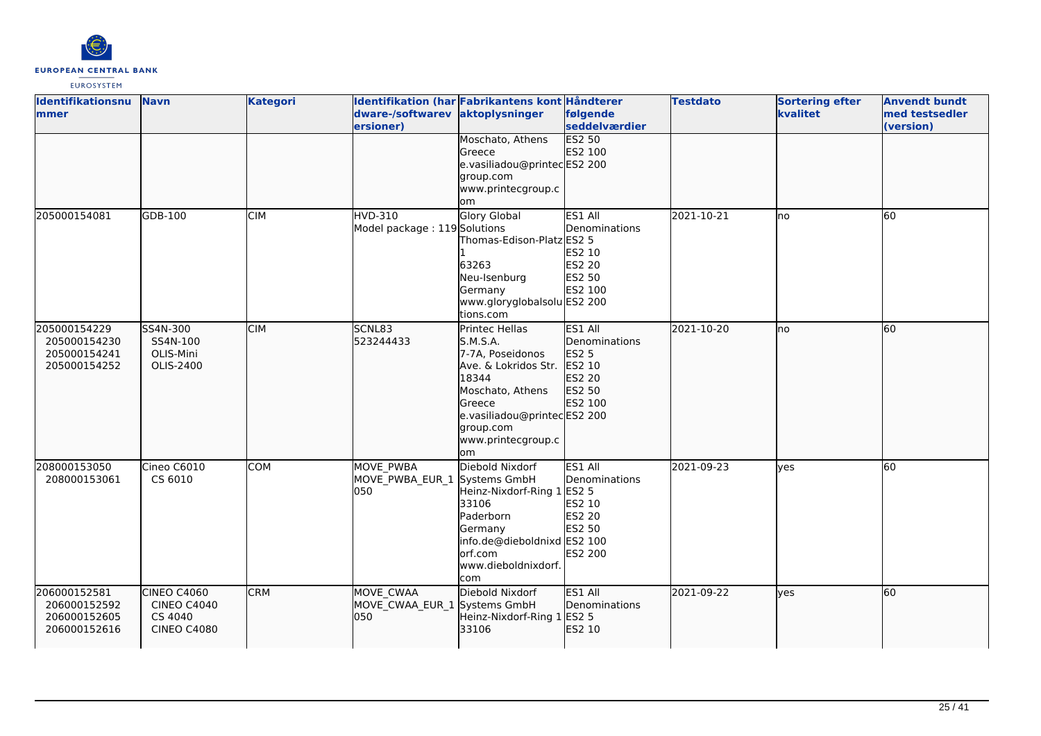

| <b>Identifikationsnu</b><br>mmer                             | <b>Navn</b>                                                        | <b>Kategori</b> | dware-/softwarev aktoplysninger<br>ersioner)            | Identifikation (har Fabrikantens kont Håndterer                                                                                                                                               | følgende<br>seddelværdier                                                                | <b>Testdato</b> | <b>Sortering efter</b><br>kvalitet | <b>Anvendt bundt</b><br>med testsedler<br>(version) |
|--------------------------------------------------------------|--------------------------------------------------------------------|-----------------|---------------------------------------------------------|-----------------------------------------------------------------------------------------------------------------------------------------------------------------------------------------------|------------------------------------------------------------------------------------------|-----------------|------------------------------------|-----------------------------------------------------|
|                                                              |                                                                    |                 |                                                         | Moschato, Athens<br>Greece<br>e.vasiliadou@printecES2 200<br>group.com<br>www.printecgroup.c<br>om                                                                                            | <b>ES2 50</b><br>ES2 100                                                                 |                 |                                    |                                                     |
| 205000154081                                                 | GDB-100                                                            | <b>CIM</b>      | HVD-310<br>Model package: 119 Solutions                 | <b>Glory Global</b><br>Thomas-Edison-Platz ES2 5<br>63263<br>Neu-Isenburg<br>Germany<br>www.gloryglobalsolu ES2 200<br>tions.com                                                              | ES1 All<br>Denominations<br>ES2 10<br><b>ES2 20</b><br>ES2 50<br>ES2 100                 | 2021-10-21      | lno                                | 60                                                  |
| 205000154229<br>205000154230<br>205000154241<br>205000154252 | SS4N-300<br>SS4N-100<br>OLIS-Mini<br>OLIS-2400                     | <b>CIM</b>      | SCNL83<br>523244433                                     | <b>Printec Hellas</b><br>S.M.S.A.<br>7-7A, Poseidonos<br>Ave. & Lokridos Str.<br>18344<br>Moschato, Athens<br>Greece<br>e.vasiliadou@printecES2 200<br>group.com<br>www.printecgroup.c<br>lom | ES1 All<br>Denominations<br>ES2 5<br>ES2 10<br>ES2 20<br>ES2 50<br>ES2 100               | 2021-10-20      | lno                                | 60                                                  |
| 208000153050<br>208000153061                                 | Cineo C6010<br>CS 6010                                             | <b>COM</b>      | <b>MOVE PWBA</b><br>MOVE PWBA EUR 1 Systems GmbH<br>050 | Diebold Nixdorf<br>Heinz-Nixdorf-Ring 1<br>33106<br>Paderborn<br>Germany<br>info.de@dieboldnixd ES2 100<br>orf.com<br>www.dieboldnixdorf.<br>com                                              | ES1 All<br>Denominations<br><b>ES2 5</b><br>ES2 10<br>ES2 20<br>ES2 50<br><b>ES2 200</b> | 2021-09-23      | lves                               | 60                                                  |
| 206000152581<br>206000152592<br>206000152605<br>206000152616 | CINEO C4060<br><b>CINEO C4040</b><br>CS 4040<br><b>CINEO C4080</b> | <b>CRM</b>      | MOVE CWAA<br>MOVE CWAA EUR 1 Systems GmbH<br>050        | Diebold Nixdorf<br>Heinz-Nixdorf-Ring 1<br>33106                                                                                                                                              | ES1 All<br>Denominations<br><b>ES2 5</b><br>ES2 10                                       | 2021-09-22      | lves                               | 60                                                  |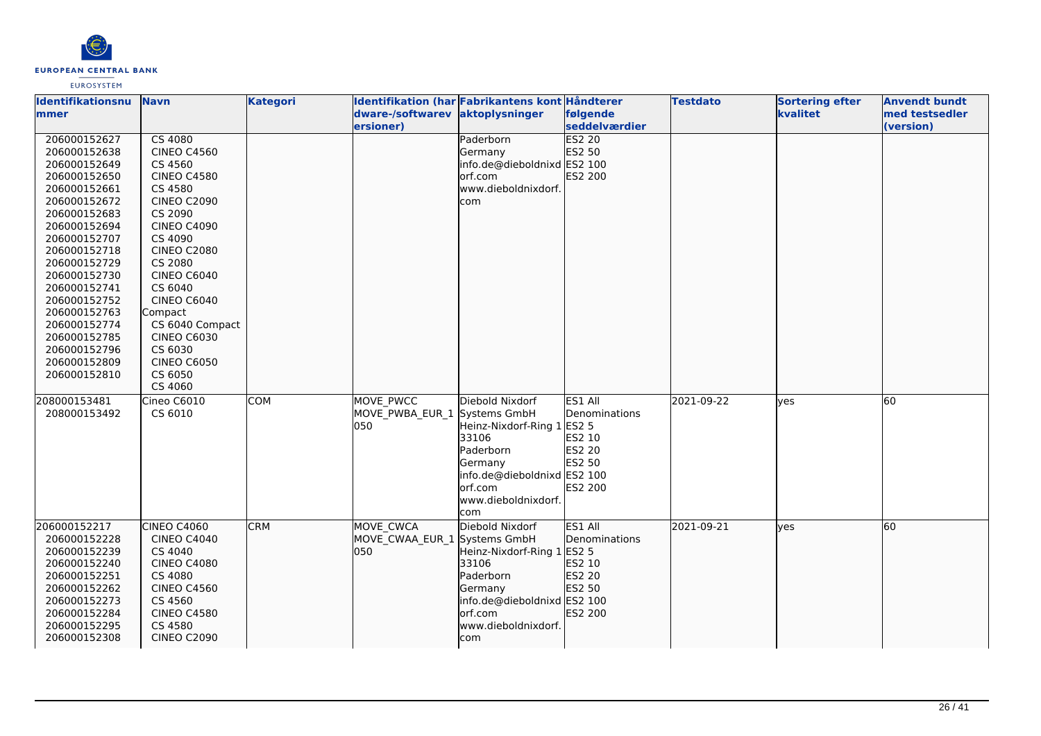

### **Identifikationsnu mmer Navn Kategori Identifikation (har Fabrikantens kont Håndterer dware-/softwarev aktoplysninger ersioner) følgende seddelværdier Testdato Sortering efter kvalitet** 206000152627 206000152638 206000152649 206000152650 206000152661 206000152672 206000152683 206000152694 206000152707 206000152718 206000152729 206000152730 206000152741 206000152752 206000152763 206000152774 206000152785 206000152796 206000152809 206000152810 CS 4080 CINEO C4560 CS 4560 CINEO C4580 CS 4580 CINEO C2090 CS 2090 CINEO C4090 CS 4090 CINEO C2080 CS 2080 CINEO C6040 CS 6040 CINEO C6040 Compact CS 6040 Compact CINEO C6030 CS 6030 CINEO C6050 CS 6050 CS 4060 Paderborn Germany info.de@dieboldnixd ES2 100 lorf.com www.dieboldnixdorf. com **ES2 20** ES2 50 ES2 200 Cineo C6010 CS 6010 COM MOVE\_PWCC MOVE\_PWBA\_EUR\_1 050 Diebold Nixdorf Systems GmbH Heinz-Nixdorf-Ring 1 33106 Paderborn Germany info.de@dieboldnixd ES1 All Denominations ES2 5 ES2 10 ES2 20 ES2 50 ES2 100

| 208000153481<br>208000153492 | Cineo C6010<br>CS 6010            | <b>COM</b> | MOVE PWCC<br>MOVE_PWBA_EUR_1 Systems GmbH<br>050 | Diebold Nixdorf<br>Heinz-Nixdorf-Ring 1 ES2 5<br>l33106<br>lPaderborn<br><b>IGermany</b><br>info.de@dieboldnixd ES2 100<br>lorf.com<br>lwww.dieboldnixdorf. | ES1 All<br>Denominations<br>IES2 10<br><b>IES2 20</b><br>ES2 50<br><b>ES2 200</b> | 2021-09-22 | lves | <b>60</b> |
|------------------------------|-----------------------------------|------------|--------------------------------------------------|-------------------------------------------------------------------------------------------------------------------------------------------------------------|-----------------------------------------------------------------------------------|------------|------|-----------|
|                              |                                   |            |                                                  |                                                                                                                                                             |                                                                                   |            |      |           |
|                              |                                   |            |                                                  | com                                                                                                                                                         |                                                                                   |            |      |           |
| 206000152217<br>206000152228 | <b>CINEO C4060</b><br>CINEO C4040 | <b>CRM</b> | MOVE CWCA<br>MOVE CWAA EUR 1 Systems GmbH        | Diebold Nixdorf                                                                                                                                             | ES1 All<br><b>IDenominations</b>                                                  | 2021-09-21 | lves | 60        |
| 206000152239                 | CS 4040                           |            | 050                                              |                                                                                                                                                             |                                                                                   |            |      |           |
|                              |                                   |            |                                                  | Heinz-Nixdorf-Ring 1 ES2 5                                                                                                                                  |                                                                                   |            |      |           |
| 206000152240                 | <b>CINEO C4080</b>                |            |                                                  | 33106                                                                                                                                                       | <b>IES2 10</b>                                                                    |            |      |           |
| 206000152251                 | CS 4080                           |            |                                                  | lPaderborn                                                                                                                                                  | <b>IES2 20</b>                                                                    |            |      |           |
| 206000152262                 | CINEO C4560                       |            |                                                  | Germany                                                                                                                                                     | <b>IES2 50</b>                                                                    |            |      |           |
| 206000152273                 | CS 4560                           |            |                                                  | linfo.de@dieboldnixd ES2 100                                                                                                                                |                                                                                   |            |      |           |
| 206000152284                 | <b>CINEO C4580</b>                |            |                                                  | lorf.com                                                                                                                                                    | <b>IES2 200</b>                                                                   |            |      |           |
| 206000152295                 | CS 4580                           |            |                                                  | www.dieboldnixdorf.                                                                                                                                         |                                                                                   |            |      |           |
| 206000152308                 | <b>CINEO C2090</b>                |            |                                                  | com                                                                                                                                                         |                                                                                   |            |      |           |

**Anvendt bundt med testsedler (version)**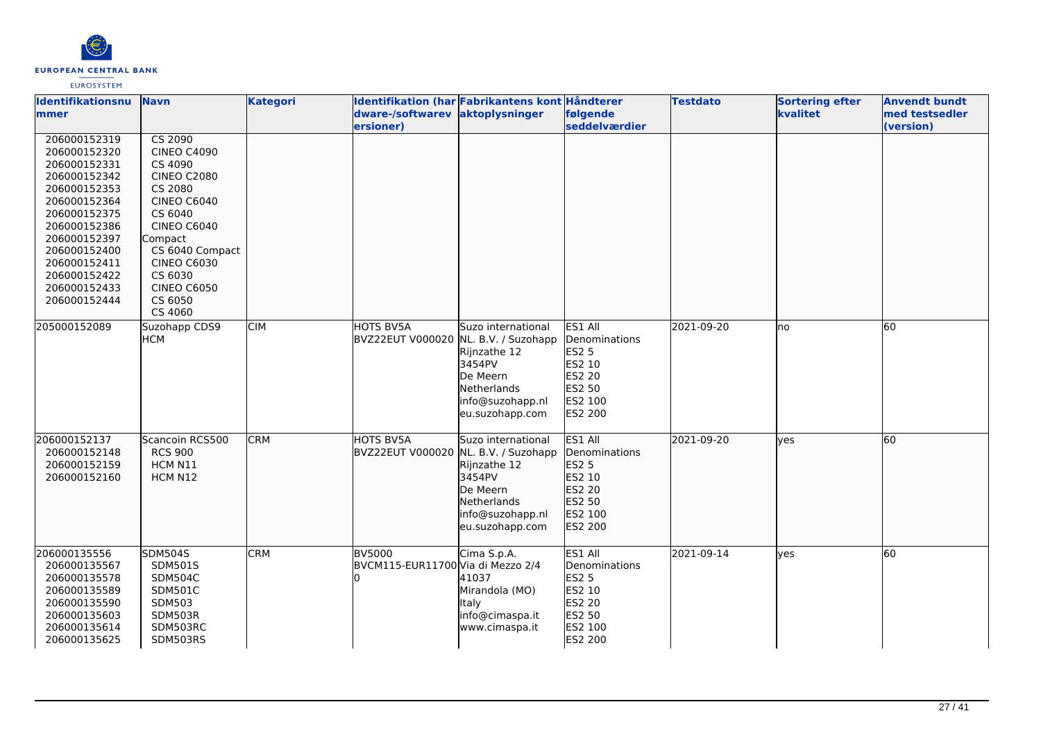

| Identifikationsnu<br>mmer                                                                                                                                                                                                    | <b>Navn</b>                                                                                                                                                                                                                      | <b>Kategori</b> | dware-/softwarev<br>ersioner)                            | Identifikation (har Fabrikantens kont Håndterer<br>aktoplysninger                                                     | følgende<br>seddelværdier                                                                                         | <b>Testdato</b> | <b>Sortering efter</b><br>kvalitet | <b>Anvendt bundt</b><br>med testsedler<br>(version) |
|------------------------------------------------------------------------------------------------------------------------------------------------------------------------------------------------------------------------------|----------------------------------------------------------------------------------------------------------------------------------------------------------------------------------------------------------------------------------|-----------------|----------------------------------------------------------|-----------------------------------------------------------------------------------------------------------------------|-------------------------------------------------------------------------------------------------------------------|-----------------|------------------------------------|-----------------------------------------------------|
| 206000152319<br>206000152320<br>206000152331<br>206000152342<br>206000152353<br>206000152364<br>206000152375<br>206000152386<br>206000152397<br>206000152400<br>206000152411<br>206000152422<br>206000152433<br>206000152444 | CS 2090<br><b>CINEO C4090</b><br>CS 4090<br><b>CINEO C2080</b><br>CS 2080<br><b>CINEO C6040</b><br>CS 6040<br><b>CINEO C6040</b><br>Compact<br>CS 6040 Compact<br><b>CINEO C6030</b><br>CS 6030<br><b>CINEO C6050</b><br>CS 6050 |                 |                                                          |                                                                                                                       |                                                                                                                   |                 |                                    |                                                     |
| 205000152089                                                                                                                                                                                                                 | CS 4060<br>Suzohapp CDS9<br><b>HCM</b>                                                                                                                                                                                           | <b>CIM</b>      | HOTS BV5A<br>BVZ22EUT V000020 NL. B.V. / Suzohapp        | Suzo international<br>Rijnzathe 12<br>3454PV<br>De Meern<br><b>Netherlands</b><br>info@suzohapp.nl<br>eu.suzohapp.com | ES1 All<br>Denominations<br><b>ES2 5</b><br>ES2 10<br><b>ES2 20</b><br>ES2 50<br>ES2 100<br><b>ES2 200</b>        | 2021-09-20      | Ino                                | 60                                                  |
| 206000152137<br>206000152148<br>206000152159<br>206000152160                                                                                                                                                                 | Scancoin RCS500<br><b>RCS 900</b><br>HCM N11<br>HCM N12                                                                                                                                                                          | <b>CRM</b>      | <b>HOTS BV5A</b><br>BVZ22EUT V000020 NL. B.V. / Suzohapp | Suzo international<br>Rijnzathe 12<br>3454PV<br>De Meern<br>Netherlands<br>info@suzohapp.nl<br>eu.suzohapp.com        | ES1 All<br>Denominations<br>ES2 5<br>ES2 10<br><b>ES2 20</b><br>ES2 50<br>ES2 100<br>ES2 200                      | 2021-09-20      | lyes                               | 60                                                  |
| 206000135556<br>206000135567<br>206000135578<br>206000135589<br>206000135590<br>206000135603<br>206000135614<br>206000135625                                                                                                 | <b>SDM504S</b><br><b>SDM501S</b><br><b>SDM504C</b><br><b>SDM501C</b><br>SDM503<br>SDM503R<br>SDM503RC<br>SDM503RS                                                                                                                | <b>CRM</b>      | <b>BV5000</b><br>BVCM115-EUR11700 Via di Mezzo 2/4       | Cima S.p.A.<br>41037<br>Mirandola (MO)<br><b>Italy</b><br>info@cimaspa.it<br>www.cimaspa.it                           | ES1 All<br><b>Denominations</b><br><b>ES2 5</b><br>ES2 10<br><b>ES2 20</b><br>ES2 50<br>ES2 100<br><b>ES2 200</b> | 2021-09-14      | yes                                | 60                                                  |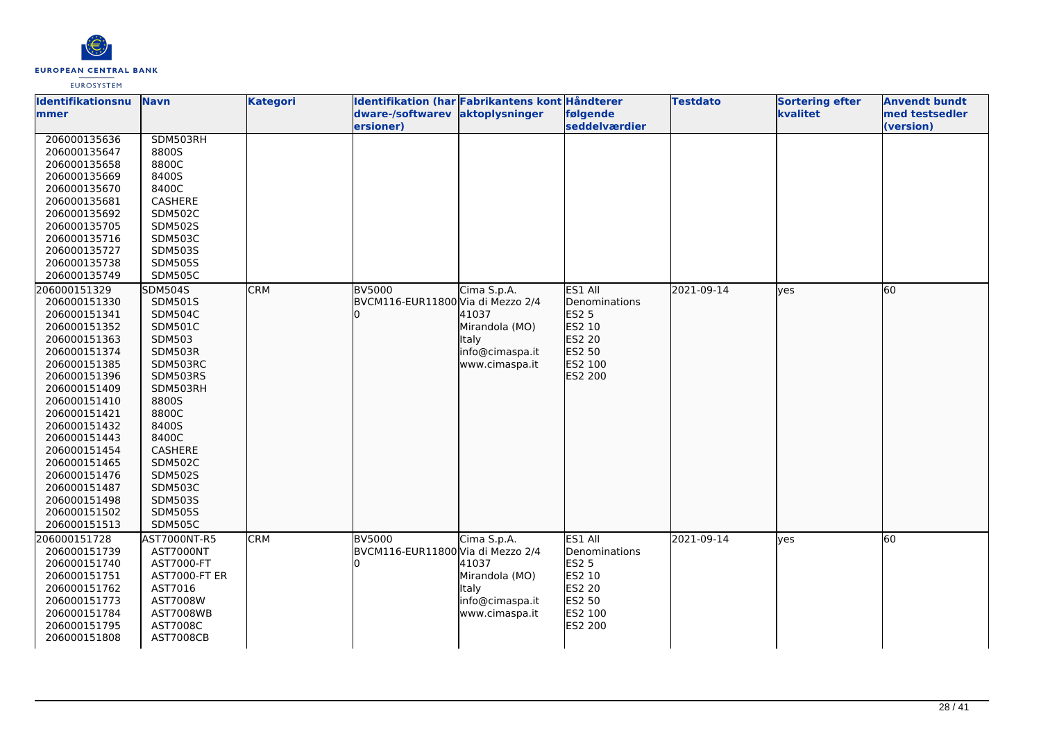

### **Identifikationsnu mmer Navn Kategori Identifikation (har Fabrikantens kont Håndterer dware-/softwarev ersioner) aktoplysninger følgende seddelværdier Testdato Sortering efter kvalitet Anvendt bundt med testsedler (version)**  206000135636 206000135647 206000135658 206000135669 206000135670 206000135681 206000135692 206000135705 206000135716 206000135727 206000135738 206000135749 SDM503RH 8800S 8800C 8400S 8400C CASHERE SDM502C SDM502S SDM503C SDM503S SDM505S SDM505C 206000151329 206000151330 206000151341 206000151352 206000151363 206000151374 206000151385 206000151396 206000151409 206000151410 206000151421 206000151432 206000151443 206000151454 206000151465 206000151476 206000151487 206000151498 206000151502 206000151513 SDM504S SDM501S SDM504C SDM501C SDM503 SDM503R SDM503RC SDM503RS SDM503RH 8800S 8800C 8400S 8400C CASHERE SDM502C SDM502S SDM503C SDM503S SDM505S SDM505C **CRM** BV5000 BVCM116-EUR11800 Via di Mezzo 2/4 0 Cima S.p.A. 41037 Mirandola (MO) Italy info@cimaspa.it www.cimaspa.it ES1 All Denominations  $FS2<sub>5</sub>$ ES2 10 ES2 20 **ES2 50** ES2 100 ES2 200 2021-09-14 ves 60 206000151728 206000151739 206000151740 206000151751 206000151762 206000151773 206000151784 206000151795 206000151808 AST7000NT-R5 AST7000NT AST7000-FT AST7000-FT ER AST7016 AST7008W AST7008WB AST7008C AST7008CB CRM BV5000 BVCM116-EUR11800 Via di Mezzo 2/4 0 Cima S.p.A. 41037 Mirandola (MO) Italy info@cimaspa.it www.cimaspa.it ES1 All Denominations  $FS2<sub>5</sub>$ ES2 10 ES2 20 ES2 50 ES2 100 ES2 200 2021-09-14 ves 60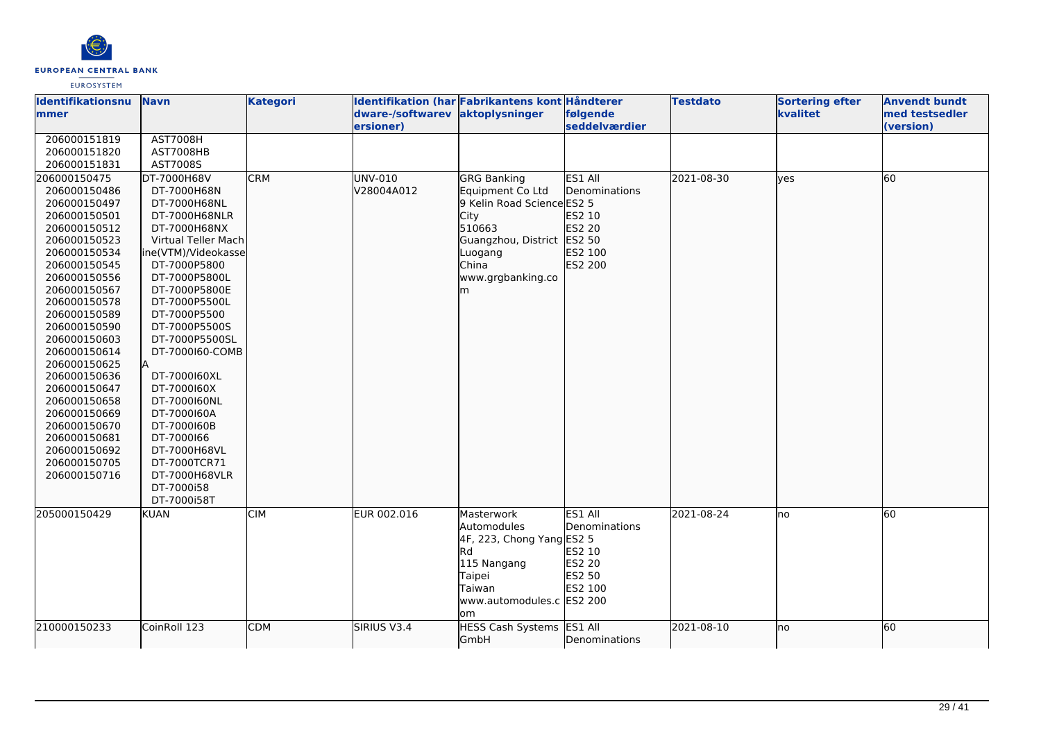

| <b>Identifikationsnu</b>     | <b>Navn</b>                 | <b>Kategori</b> | Identifikation (har Fabrikantens kont Håndterer |                            |                       | <b>Testdato</b> | <b>Sortering efter</b> | <b>Anvendt bundt</b> |
|------------------------------|-----------------------------|-----------------|-------------------------------------------------|----------------------------|-----------------------|-----------------|------------------------|----------------------|
| <b>mmer</b>                  |                             |                 | dware-/softwarev aktoplysninger                 |                            | følgende              |                 | kvalitet               | med testsedler       |
|                              |                             |                 | ersioner)                                       |                            | seddelværdier         |                 |                        | (version)            |
| 206000151819                 | <b>AST7008H</b>             |                 |                                                 |                            |                       |                 |                        |                      |
| 206000151820                 | AST7008HB                   |                 |                                                 |                            |                       |                 |                        |                      |
| 206000151831                 | AST7008S                    |                 |                                                 |                            |                       |                 |                        |                      |
| 206000150475                 | DT-7000H68V                 | <b>CRM</b>      | UNV-010                                         | <b>GRG Banking</b>         | ES1 All               | 2021-08-30      | lyes                   | 60                   |
| 206000150486                 | DT-7000H68N                 |                 | V28004A012                                      | Equipment Co Ltd           | <b>IDenominations</b> |                 |                        |                      |
| 206000150497                 | DT-7000H68NL                |                 |                                                 | 9 Kelin Road Science ES2 5 |                       |                 |                        |                      |
| 206000150501                 | DT-7000H68NLR               |                 |                                                 | City                       | ES2 10                |                 |                        |                      |
| 206000150512                 | DT-7000H68NX                |                 |                                                 | 510663                     | ES2 20                |                 |                        |                      |
| 206000150523                 | Virtual Teller Mach         |                 |                                                 | Guangzhou, District ES2 50 |                       |                 |                        |                      |
| 206000150534                 | ine(VTM)/Videokasse         |                 |                                                 | Luogang                    | ES2 100               |                 |                        |                      |
| 206000150545                 | DT-7000P5800                |                 |                                                 | China                      | ES2 200               |                 |                        |                      |
| 206000150556                 | DT-7000P5800L               |                 |                                                 | www.grgbanking.co          |                       |                 |                        |                      |
| 206000150567                 | DT-7000P5800E               |                 |                                                 | m                          |                       |                 |                        |                      |
| 206000150578                 | DT-7000P5500L               |                 |                                                 |                            |                       |                 |                        |                      |
| 206000150589                 | DT-7000P5500                |                 |                                                 |                            |                       |                 |                        |                      |
| 206000150590                 | DT-7000P5500S               |                 |                                                 |                            |                       |                 |                        |                      |
| 206000150603                 | DT-7000P5500SL              |                 |                                                 |                            |                       |                 |                        |                      |
| 206000150614                 | DT-7000160-COMB             |                 |                                                 |                            |                       |                 |                        |                      |
| 206000150625                 |                             |                 |                                                 |                            |                       |                 |                        |                      |
| 206000150636                 | DT-7000160XL                |                 |                                                 |                            |                       |                 |                        |                      |
| 206000150647                 | DT-7000160X                 |                 |                                                 |                            |                       |                 |                        |                      |
| 206000150658                 | DT-7000160NL<br>DT-7000160A |                 |                                                 |                            |                       |                 |                        |                      |
| 206000150669<br>206000150670 | DT-7000160B                 |                 |                                                 |                            |                       |                 |                        |                      |
| 206000150681                 | DT-7000166                  |                 |                                                 |                            |                       |                 |                        |                      |
| 206000150692                 | DT-7000H68VL                |                 |                                                 |                            |                       |                 |                        |                      |
| 206000150705                 | DT-7000TCR71                |                 |                                                 |                            |                       |                 |                        |                      |
| 206000150716                 | DT-7000H68VLR               |                 |                                                 |                            |                       |                 |                        |                      |
|                              | DT-7000i58                  |                 |                                                 |                            |                       |                 |                        |                      |
|                              | DT-7000i58T                 |                 |                                                 |                            |                       |                 |                        |                      |
| 205000150429                 | <b>KUAN</b>                 | <b>CIM</b>      | EUR 002.016                                     | Masterwork                 | ES1 All               | 2021-08-24      | lno                    | 60                   |
|                              |                             |                 |                                                 | Automodules                | Denominations         |                 |                        |                      |
|                              |                             |                 |                                                 | 4F, 223, Chong Yang ES2 5  |                       |                 |                        |                      |
|                              |                             |                 |                                                 | Rd                         | ES2 10                |                 |                        |                      |
|                              |                             |                 |                                                 | 115 Nangang                | ES2 20                |                 |                        |                      |
|                              |                             |                 |                                                 | Taipei                     | ES2 50                |                 |                        |                      |
|                              |                             |                 |                                                 | Taiwan                     | ES2 100               |                 |                        |                      |
|                              |                             |                 |                                                 | www.automodules.c ES2 200  |                       |                 |                        |                      |
|                              |                             |                 |                                                 | om                         |                       |                 |                        |                      |
| 210000150233                 | CoinRoll 123                | <b>CDM</b>      | SIRIUS V3.4                                     | HESS Cash Systems ES1 All  |                       | 2021-08-10      | lno                    | 60                   |
|                              |                             |                 |                                                 | GmbH                       | Denominations         |                 |                        |                      |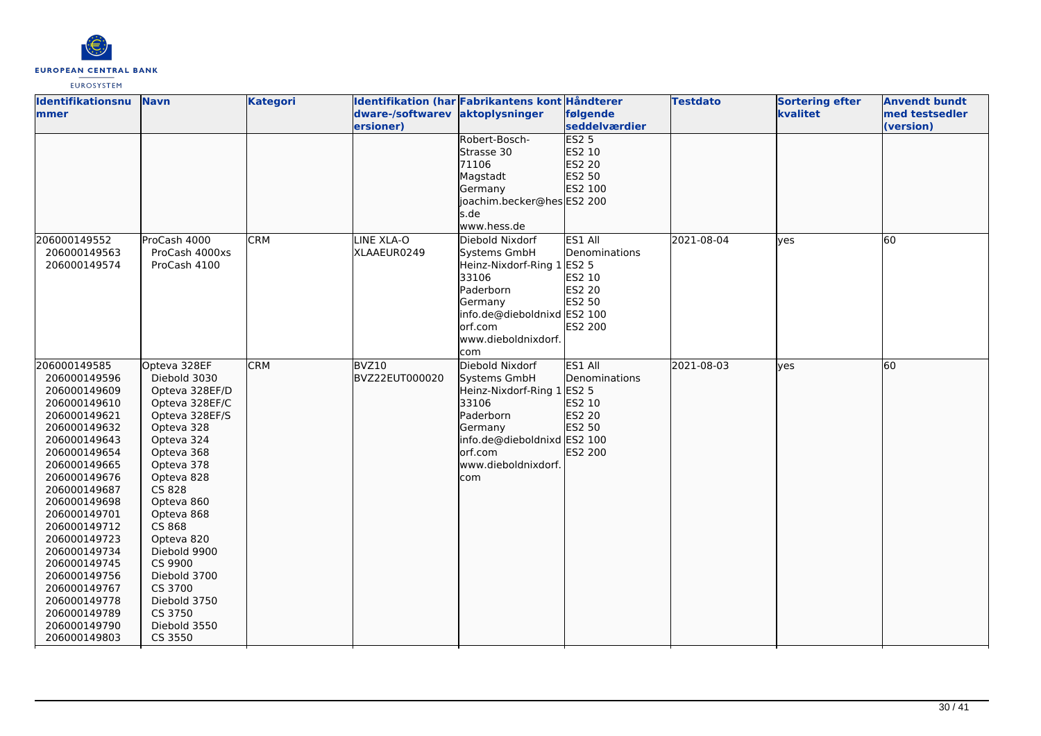

| <b>Identifikationsnu</b>     | <b>Navn</b>             | <b>Kategori</b> |                  | Identifikation (har Fabrikantens kont Håndterer |               | <b>Testdato</b> | <b>Sortering efter</b> | <b>Anvendt bundt</b> |
|------------------------------|-------------------------|-----------------|------------------|-------------------------------------------------|---------------|-----------------|------------------------|----------------------|
| <b>Immer</b>                 |                         |                 | dware-/softwarev | aktoplysninger                                  | følgende      |                 | kvalitet               | med testsedler       |
|                              |                         |                 | ersioner)        |                                                 | seddelværdier |                 |                        | (version)            |
|                              |                         |                 |                  | Robert-Bosch-                                   | ES25          |                 |                        |                      |
|                              |                         |                 |                  | Strasse 30                                      | ES2 10        |                 |                        |                      |
|                              |                         |                 |                  | 71106                                           | ES2 20        |                 |                        |                      |
|                              |                         |                 |                  | Magstadt                                        | ES2 50        |                 |                        |                      |
|                              |                         |                 |                  | Germany                                         | ES2 100       |                 |                        |                      |
|                              |                         |                 |                  | lioachim.becker@heslES2 200                     |               |                 |                        |                      |
|                              |                         |                 |                  | s.de                                            |               |                 |                        |                      |
|                              |                         |                 |                  | www.hess.de                                     |               |                 |                        |                      |
| 206000149552                 | ProCash 4000            | <b>CRM</b>      | LINE XLA-O       | Diebold Nixdorf                                 | ES1 All       | 2021-08-04      | <b>ves</b>             | 60                   |
| 206000149563                 | ProCash 4000xs          |                 | XLAAEUR0249      | Systems GmbH                                    | Denominations |                 |                        |                      |
| 206000149574                 | ProCash 4100            |                 |                  | Heinz-Nixdorf-Ring 1 ES2 5                      |               |                 |                        |                      |
|                              |                         |                 |                  | 33106                                           | ES2 10        |                 |                        |                      |
|                              |                         |                 |                  | Paderborn                                       | ES2 20        |                 |                        |                      |
|                              |                         |                 |                  | Germany                                         | ES2 50        |                 |                        |                      |
|                              |                         |                 |                  | info.de@dieboldnixd ES2 100                     |               |                 |                        |                      |
|                              |                         |                 |                  | lorf.com                                        | ES2 200       |                 |                        |                      |
|                              |                         |                 |                  | www.dieboldnixdorf.                             |               |                 |                        |                      |
|                              |                         |                 |                  | com                                             |               |                 |                        |                      |
| 206000149585                 | Opteva 328EF            | <b>CRM</b>      | BVZ10            | Diebold Nixdorf                                 | ES1 All       | 2021-08-03      | lves                   | 60                   |
| 206000149596                 | Diebold 3030            |                 | BVZ22EUT000020   | Systems GmbH                                    | Denominations |                 |                        |                      |
| 206000149609                 | Opteva 328EF/D          |                 |                  | Heinz-Nixdorf-Ring 1 ES2 5                      |               |                 |                        |                      |
| 206000149610                 | Opteva 328EF/C          |                 |                  | 33106                                           | ES2 10        |                 |                        |                      |
| 206000149621                 | Opteva 328EF/S          |                 |                  | Paderborn                                       | ES2 20        |                 |                        |                      |
| 206000149632                 | Opteva 328              |                 |                  | Germany                                         | ES2 50        |                 |                        |                      |
| 206000149643                 | Opteva 324              |                 |                  | info.de@dieboldnixd ES2 100                     |               |                 |                        |                      |
| 206000149654                 | Opteva 368              |                 |                  | lorf.com                                        | ES2 200       |                 |                        |                      |
| 206000149665                 | Opteva 378              |                 |                  | www.dieboldnixdorf.                             |               |                 |                        |                      |
| 206000149676                 | Opteva 828              |                 |                  | com                                             |               |                 |                        |                      |
| 206000149687                 | CS 828                  |                 |                  |                                                 |               |                 |                        |                      |
| 206000149698                 | Opteva 860              |                 |                  |                                                 |               |                 |                        |                      |
| 206000149701                 | Opteva 868              |                 |                  |                                                 |               |                 |                        |                      |
| 206000149712                 | CS 868                  |                 |                  |                                                 |               |                 |                        |                      |
| 206000149723                 | Opteva 820              |                 |                  |                                                 |               |                 |                        |                      |
| 206000149734                 | Diebold 9900            |                 |                  |                                                 |               |                 |                        |                      |
| 206000149745<br>206000149756 | CS 9900<br>Diebold 3700 |                 |                  |                                                 |               |                 |                        |                      |
| 206000149767                 | CS 3700                 |                 |                  |                                                 |               |                 |                        |                      |
| 206000149778                 | Diebold 3750            |                 |                  |                                                 |               |                 |                        |                      |
| 206000149789                 | CS 3750                 |                 |                  |                                                 |               |                 |                        |                      |
| 206000149790                 | Diebold 3550            |                 |                  |                                                 |               |                 |                        |                      |
| 206000149803                 | CS 3550                 |                 |                  |                                                 |               |                 |                        |                      |
|                              |                         |                 |                  |                                                 |               |                 |                        |                      |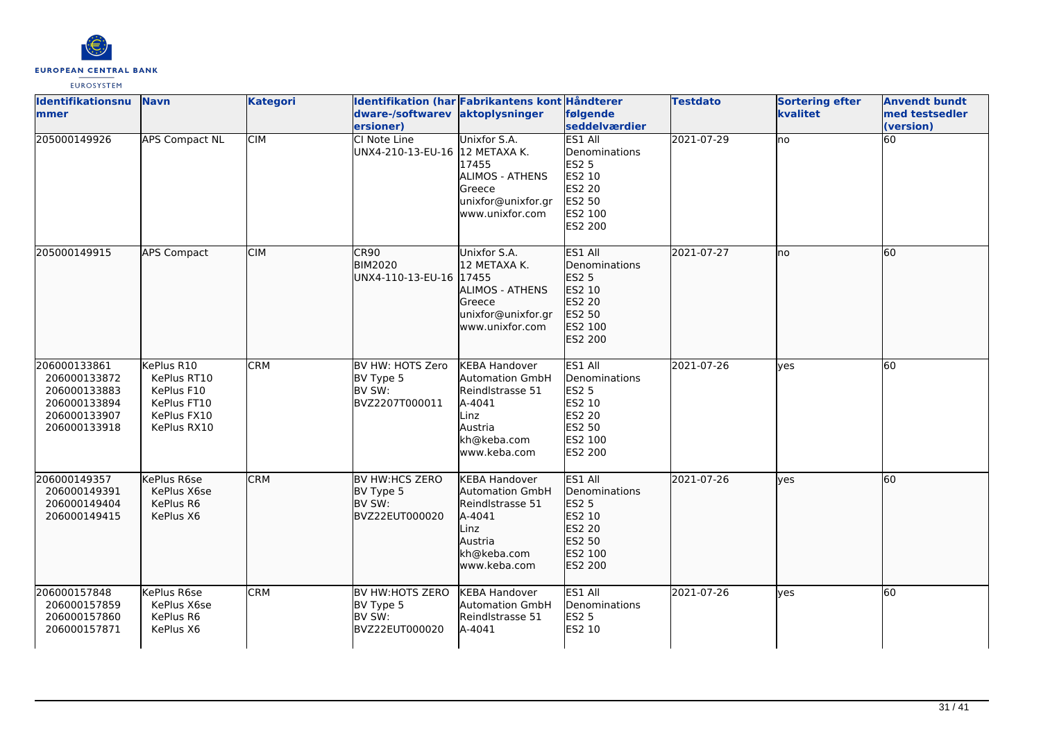

| Identifikationsnu<br><b>mmer</b>                                                             | <b>Navn</b>                                                                          | <b>Kategori</b> | dware-/softwarev<br>ersioner)                                          | Identifikation (har Fabrikantens kont Håndterer<br>aktoplysninger                                                               | følgende<br><b>seddelværdier</b>                                                                           | <b>Testdato</b> | <b>Sortering efter</b><br>kvalitet | <b>Anvendt bundt</b><br>med testsedler<br>(version) |
|----------------------------------------------------------------------------------------------|--------------------------------------------------------------------------------------|-----------------|------------------------------------------------------------------------|---------------------------------------------------------------------------------------------------------------------------------|------------------------------------------------------------------------------------------------------------|-----------------|------------------------------------|-----------------------------------------------------|
| 205000149926                                                                                 | <b>APS Compact NL</b>                                                                | <b>CIM</b>      | CI Note Line<br>UNX4-210-13-EU-16 12 METAXA K.                         | Unixfor S.A.<br>17455<br><b>ALIMOS - ATHENS</b><br>Greece<br>unixfor@unixfor.gr<br>www.unixfor.com                              | ES1 All<br>Denominations<br><b>ES2 5</b><br>ES2 10<br><b>ES2 20</b><br><b>ES2 50</b><br>ES2 100<br>ES2 200 | 2021-07-29      | lno                                | 60                                                  |
| 205000149915                                                                                 | <b>APS Compact</b>                                                                   | <b>CIM</b>      | CR90<br><b>BIM2020</b><br>UNX4-110-13-EU-16 17455                      | Unixfor S.A.<br>12 METAXA K.<br>ALIMOS - ATHENS<br>Greece<br>unixfor@unixfor.gr<br>www.unixfor.com                              | ES1 All<br>Denominations<br><b>ES2 5</b><br>ES2 10<br>ES2 20<br>ES2 50<br>ES2 100<br>ES2 200               | 2021-07-27      | no                                 | 60                                                  |
| 206000133861<br>206000133872<br>206000133883<br>206000133894<br>206000133907<br>206000133918 | KePlus R10<br>KePlus RT10<br>KePlus F10<br>KePlus FT10<br>KePlus FX10<br>KePlus RX10 | <b>CRM</b>      | BV HW: HOTS Zero<br>BV Type 5<br>BV SW:<br>BVZ2207T000011              | <b>KEBA Handover</b><br><b>Automation GmbH</b><br>Reindlstrasse 51<br>A-4041<br>Linz<br>Austria<br>kh@keba.com<br>www.keba.com  | ES1 All<br>Denominations<br><b>ES2 5</b><br>ES2 10<br><b>ES2 20</b><br>ES2 50<br>ES2 100<br>ES2 200        | 2021-07-26      | ves                                | 60                                                  |
| 206000149357<br>206000149391<br>206000149404<br>206000149415                                 | KePlus R6se<br>KePlus X6se<br>KePlus R6<br>KePlus X6                                 | <b>CRM</b>      | <b>BV HW:HCS ZERO</b><br>BV Type 5<br><b>IBV SW:</b><br>BVZ22EUT000020 | <b>KEBA Handover</b><br><b>Automation GmbH</b><br>Reindlstrasse 51<br>A-4041<br>Linz<br>Austria<br>kh@keba.com<br>lwww.keba.com | ES1 All<br><b>IDenominations</b><br>ES2 5<br>ES2 10<br>ES2 20<br>ES2 50<br>ES2 100<br>ES2 200              | 2021-07-26      | yes                                | 60                                                  |
| 206000157848<br>206000157859<br>206000157860<br>206000157871                                 | KePlus R6se<br>KePlus X6se<br>KePlus R6<br>KePlus X6                                 | <b>CRM</b>      | BV HW:HOTS ZERO<br>BV Type 5<br>BV SW:<br>BVZ22EUT000020               | <b>KEBA Handover</b><br><b>Automation GmbH</b><br>Reindlstrasse 51<br>A-4041                                                    | ES1 All<br>Denominations<br><b>ES2 5</b><br><b>ES2 10</b>                                                  | 2021-07-26      | ves                                | 60                                                  |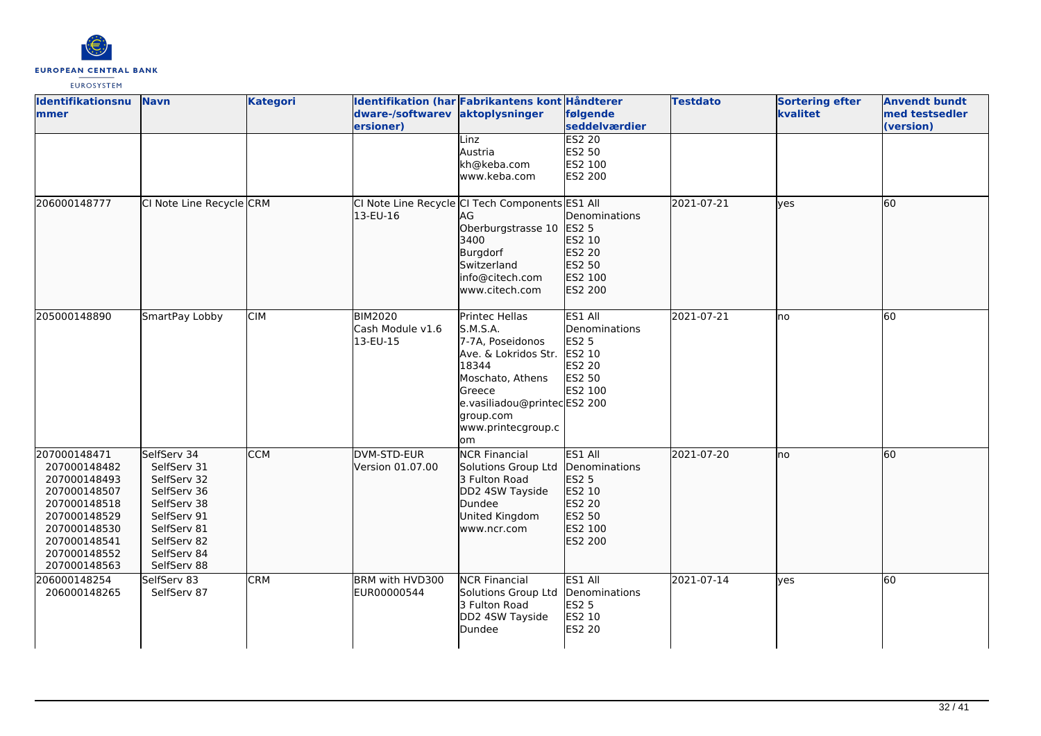

| Identifikationsnu<br><b>mmer</b>                                                                                                                             | <b>Navn</b>                                                                                                                                        | <b>Kategori</b> | dware-/softwarev aktoplysninger<br>ersioner)   | Identifikation (har Fabrikantens kont Håndterer                                                                                                                                        | følgende<br>seddelværdier                                                                | <b>Testdato</b> | <b>Sortering efter</b><br>kvalitet | <b>Anvendt bundt</b><br>med testsedler<br>(version) |
|--------------------------------------------------------------------------------------------------------------------------------------------------------------|----------------------------------------------------------------------------------------------------------------------------------------------------|-----------------|------------------------------------------------|----------------------------------------------------------------------------------------------------------------------------------------------------------------------------------------|------------------------------------------------------------------------------------------|-----------------|------------------------------------|-----------------------------------------------------|
|                                                                                                                                                              |                                                                                                                                                    |                 |                                                | Linz<br>Austria<br>kh@keba.com<br>www.keba.com                                                                                                                                         | <b>ES2 20</b><br>ES2 50<br>ES2 100<br>ES2 200                                            |                 |                                    |                                                     |
| 206000148777                                                                                                                                                 | CI Note Line Recycle CRM                                                                                                                           |                 | 13-EU-16                                       | CI Note Line Recycle CI Tech Components ES1 All<br><b>JAG</b><br>Oberburgstrasse 10 ES2 5<br>3400<br>Burgdorf<br>Switzerland<br>info@citech.com<br>www.citech.com                      | Denominations<br>ES2 10<br>ES2 20<br>ES2 50<br>ES2 100<br>ES2 200                        | 2021-07-21      | lyes                               | 60                                                  |
| 205000148890                                                                                                                                                 | SmartPay Lobby                                                                                                                                     | <b>CIM</b>      | <b>BIM2020</b><br>Cash Module v1.6<br>13-EU-15 | Printec Hellas<br>S.M.S.A.<br>7-7A, Poseidonos<br>Ave. & Lokridos Str.<br>18344<br>Moschato, Athens<br>Greece<br>e.vasiliadou@printecES2 200<br>group.com<br>www.printecgroup.c<br>lom | ES1 All<br>Denominations<br><b>ES2 5</b><br>ES2 10<br><b>ES2 20</b><br>ES2 50<br>ES2 100 | 2021-07-21      | no                                 | 60                                                  |
| 207000148471<br>207000148482<br>207000148493<br>207000148507<br>207000148518<br>207000148529<br>207000148530<br>207000148541<br>207000148552<br>207000148563 | SelfServ 34<br>SelfServ 31<br>SelfServ 32<br>SelfServ 36<br>SelfServ 38<br>SelfServ 91<br>SelfServ 81<br>SelfServ 82<br>SelfServ 84<br>SelfServ 88 | <b>CCM</b>      | DVM-STD-EUR<br>Version 01.07.00                | <b>NCR Financial</b><br>Solutions Group Ltd<br>3 Fulton Road<br>DD2 4SW Tayside<br>Dundee<br>United Kingdom<br>www.ncr.com                                                             | ES1 All<br>Denominations<br>ES2 5<br>ES2 10<br>ES2 20<br>ES2 50<br>ES2 100<br>ES2 200    | 2021-07-20      | lno                                | 60                                                  |
| 206000148254<br>206000148265                                                                                                                                 | SelfServ 83<br>SelfServ 87                                                                                                                         | <b>CRM</b>      | BRM with HVD300<br>EUR00000544                 | <b>NCR Financial</b><br>Solutions Group Ltd<br>3 Fulton Road<br>DD2 4SW Tayside<br>Dundee                                                                                              | ES1 All<br>Denominations<br><b>ES2 5</b><br>ES2 10<br><b>ES2 20</b>                      | 2021-07-14      | yes                                | 60                                                  |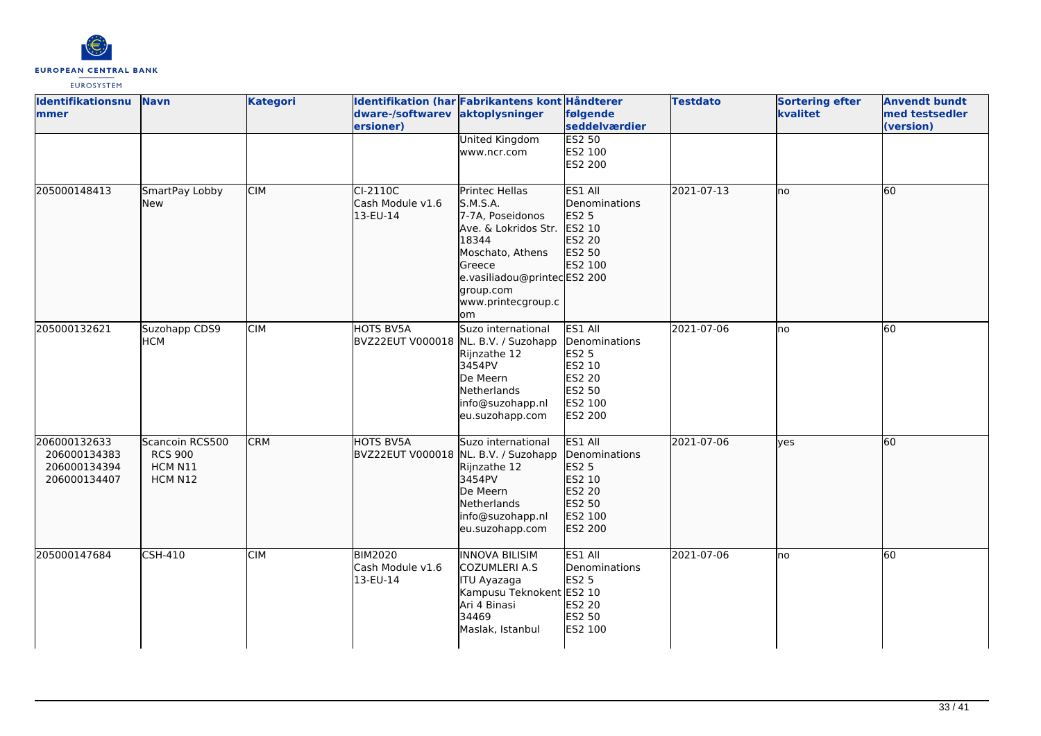

| <b>Identifikationsnu</b><br>mmer                             | <b>Navn</b>                                             | <b>Kategori</b> | dware-/softwarev aktoplysninger<br>ersioner)             | Identifikation (har Fabrikantens kont Håndterer                                                                                                                                       | følgende<br>seddelværdier                                                                    | <b>Testdato</b> | <b>Sortering efter</b><br>kvalitet | <b>Anvendt bundt</b><br>med testsedler<br>(version) |
|--------------------------------------------------------------|---------------------------------------------------------|-----------------|----------------------------------------------------------|---------------------------------------------------------------------------------------------------------------------------------------------------------------------------------------|----------------------------------------------------------------------------------------------|-----------------|------------------------------------|-----------------------------------------------------|
|                                                              |                                                         |                 |                                                          | <b>United Kingdom</b><br>www.ncr.com                                                                                                                                                  | <b>ES2 50</b><br>ES2 100<br><b>ES2 200</b>                                                   |                 |                                    |                                                     |
| 205000148413                                                 | SmartPay Lobby<br>New                                   | <b>CIM</b>      | CI-2110C<br>Cash Module v1.6<br>13-EU-14                 | Printec Hellas<br>S.M.S.A.<br>7-7A, Poseidonos<br>Ave. & Lokridos Str.<br>18344<br>Moschato, Athens<br>Greece<br>e.vasiliadou@printecES2 200<br>group.com<br>www.printecgroup.c<br>om | ES1 All<br>Denominations<br>ES2 5<br>ES2 10<br>ES2 20<br>ES2 50<br>ES2 100                   | 2021-07-13      | lno                                | 60                                                  |
| 205000132621                                                 | Suzohapp CDS9<br><b>HCM</b>                             | <b>CIM</b>      | HOTS BV5A<br>BVZ22EUT V000018                            | Suzo international<br>NL. B.V. / Suzohapp<br>Rijnzathe 12<br>3454PV<br>De Meern<br>Netherlands<br>info@suzohapp.nl<br>eu.suzohapp.com                                                 | ES1 All<br>Denominations<br>ES2 5<br>ES2 10<br><b>ES2 20</b><br>ES2 50<br>ES2 100<br>ES2 200 | 2021-07-06      | Ino                                | 60                                                  |
| 206000132633<br>206000134383<br>206000134394<br>206000134407 | Scancoin RCS500<br><b>RCS 900</b><br>HCM N11<br>HCM N12 | <b>CRM</b>      | <b>HOTS BV5A</b><br>BVZ22EUT V000018 NL. B.V. / Suzohapp | Suzo international<br>Rijnzathe 12<br>3454PV<br>De Meern<br>Netherlands<br>info@suzohapp.nl<br>eu.suzohapp.com                                                                        | ES1 All<br>Denominations<br><b>ES2 5</b><br>ES2 10<br>ES2 20<br>ES2 50<br>ES2 100<br>ES2 200 | 2021-07-06      | lves                               | 60                                                  |
| 205000147684                                                 | CSH-410                                                 | <b>CIM</b>      | <b>BIM2020</b><br>Cash Module v1.6<br>13-EU-14           | INNOVA BILISIM<br>COZUMLERI A.S<br><b>ITU Ayazaga</b><br>Kampusu Teknokent ES2 10<br>Ari 4 Binasi<br>34469<br>Maslak, Istanbul                                                        | ES1 All<br>Denominations<br><b>ES2 5</b><br>ES2 20<br><b>ES2 50</b><br>ES2 100               | 2021-07-06      | no                                 | 60                                                  |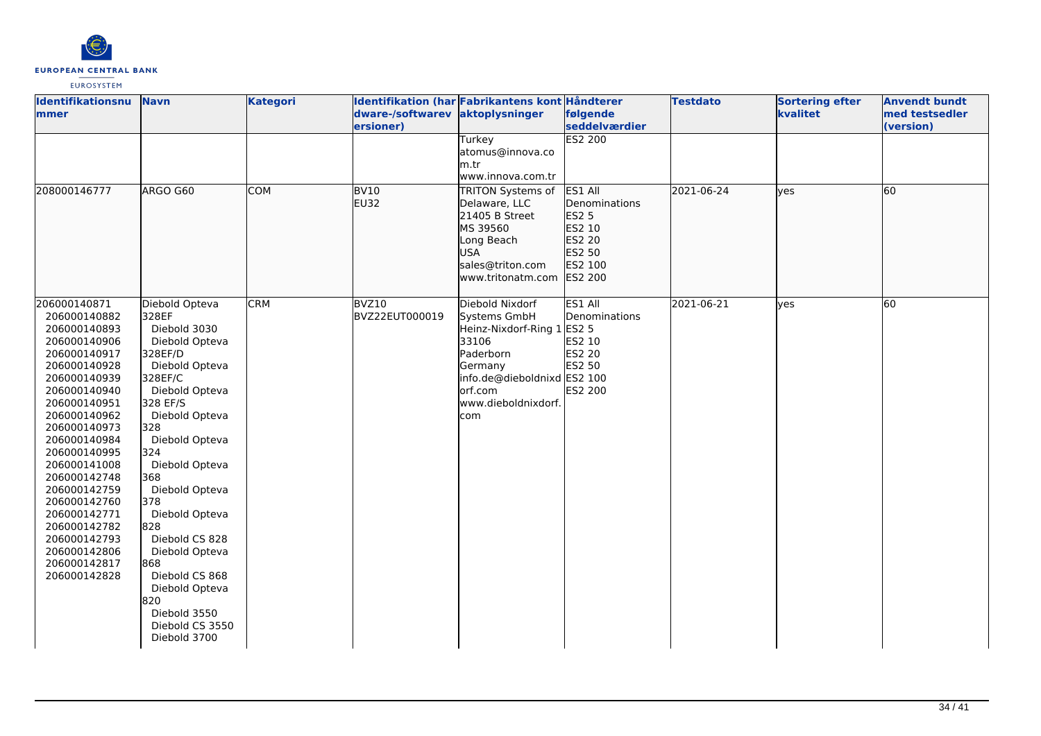

| Identifikationsnu<br><b>mmer</b>                                                                                                                                                                                                                                                                                                                                             | <b>Navn</b>                                                                                                                                                                                                                                                                                                                                                                                           | <b>Kategori</b> | dware-/softwarev aktoplysninger<br>ersioner) | Identifikation (har Fabrikantens kont Håndterer                                                                                                                  | følgende<br>seddelværdier                                                                       | <b>Testdato</b> | <b>Sortering efter</b><br>kvalitet | <b>Anvendt bundt</b><br>med testsedler<br>(version) |
|------------------------------------------------------------------------------------------------------------------------------------------------------------------------------------------------------------------------------------------------------------------------------------------------------------------------------------------------------------------------------|-------------------------------------------------------------------------------------------------------------------------------------------------------------------------------------------------------------------------------------------------------------------------------------------------------------------------------------------------------------------------------------------------------|-----------------|----------------------------------------------|------------------------------------------------------------------------------------------------------------------------------------------------------------------|-------------------------------------------------------------------------------------------------|-----------------|------------------------------------|-----------------------------------------------------|
|                                                                                                                                                                                                                                                                                                                                                                              |                                                                                                                                                                                                                                                                                                                                                                                                       |                 |                                              | Turkey<br>atomus@innova.co<br>lm.tr<br>www.innova.com.tr                                                                                                         | <b>ES2 200</b>                                                                                  |                 |                                    |                                                     |
| 208000146777                                                                                                                                                                                                                                                                                                                                                                 | ARGO G60                                                                                                                                                                                                                                                                                                                                                                                              | <b>COM</b>      | <b>BV10</b><br><b>EU32</b>                   | TRITON Systems of<br>Delaware, LLC<br>21405 B Street<br>MS 39560<br>Long Beach<br><b>USA</b><br>sales@triton.com<br>www.tritonatm.com                            | ES1 All<br>Denominations<br>ES2 5<br>ES2 10<br>ES2 20<br>ES2 50<br>ES2 100<br>ES2 200           | 2021-06-24      | lves                               | 60                                                  |
| 206000140871<br>206000140882<br>206000140893<br>206000140906<br>206000140917<br>206000140928<br>206000140939<br>206000140940<br>206000140951<br>206000140962<br>206000140973<br>206000140984<br>206000140995<br>206000141008<br>206000142748<br>206000142759<br>206000142760<br>206000142771<br>206000142782<br>206000142793<br>206000142806<br>206000142817<br>206000142828 | Diebold Opteva<br>328EF<br>Diebold 3030<br>Diebold Opteva<br>328EF/D<br>Diebold Opteva<br>328EF/C<br>Diebold Opteva<br>328 EF/S<br>Diebold Opteva<br>328<br>Diebold Opteva<br>324<br>Diebold Opteva<br>368<br>Diebold Opteva<br>378<br>Diebold Opteva<br>828<br>Diebold CS 828<br>Diebold Opteva<br>868<br>Diebold CS 868<br>Diebold Opteva<br>820<br>Diebold 3550<br>Diebold CS 3550<br>Diebold 3700 | <b>CRM</b>      | BVZ10<br>BVZ22EUT000019                      | Diebold Nixdorf<br>Systems GmbH<br>Heinz-Nixdorf-Ring 1<br>33106<br>Paderborn<br>Germany<br>info.de@dieboldnixd ES2 100<br>orf.com<br>www.dieboldnixdorf.<br>com | ES1 All<br>Denominations<br><b>ES2 5</b><br>ES2 10<br><b>ES2 20</b><br>ES2 50<br><b>ES2 200</b> | 2021-06-21      | yes                                | 60                                                  |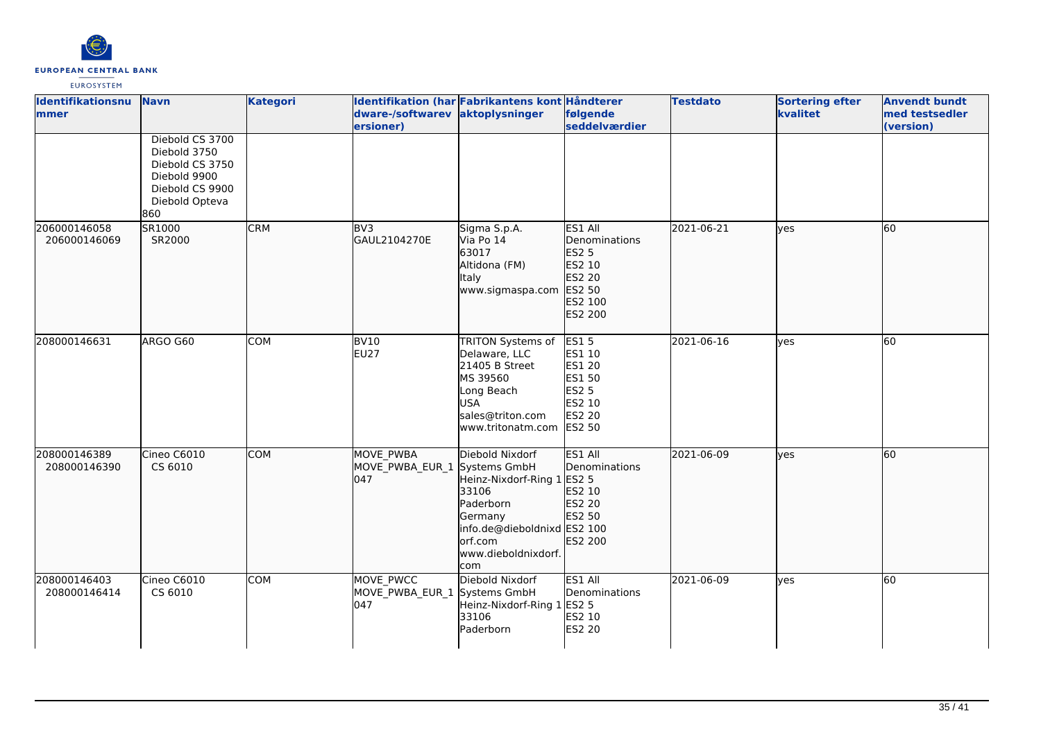

| Identifikationsnu<br>mmer    | <b>Navn</b>                                                                                                    | <b>Kategori</b> | dware-/softwarev aktoplysninger<br>ersioner)     | Identifikation (har Fabrikantens kont Håndterer                                                                                                        | følgende<br>seddelværdier                                                                                    | <b>Testdato</b> | <b>Sortering efter</b><br>kvalitet | <b>Anvendt bundt</b><br>med testsedler<br>(version) |
|------------------------------|----------------------------------------------------------------------------------------------------------------|-----------------|--------------------------------------------------|--------------------------------------------------------------------------------------------------------------------------------------------------------|--------------------------------------------------------------------------------------------------------------|-----------------|------------------------------------|-----------------------------------------------------|
|                              | Diebold CS 3700<br>Diebold 3750<br>Diebold CS 3750<br>Diebold 9900<br>Diebold CS 9900<br>Diebold Opteva<br>860 |                 |                                                  |                                                                                                                                                        |                                                                                                              |                 |                                    |                                                     |
| 206000146058<br>206000146069 | SR1000<br>SR2000                                                                                               | <b>CRM</b>      | BV <sub>3</sub><br>GAUL2104270E                  | Sigma S.p.A.<br>Via Po 14<br>63017<br>Altidona (FM)<br><b>Italy</b><br>www.sigmaspa.com                                                                | ES1 All<br>Denominations<br>ES2 5<br>ES2 10<br>ES2 20<br>ES2 50<br>ES2 100<br>ES2 200                        | 2021-06-21      | lyes                               | 60                                                  |
| 208000146631                 | ARGO G60                                                                                                       | <b>COM</b>      | BV10<br><b>EU27</b>                              | TRITON Systems of<br>Delaware, LLC<br>21405 B Street<br>MS 39560<br>Long Beach<br><b>USA</b><br>sales@triton.com<br>www.tritonatm.com                  | <b>ES15</b><br>ES1 10<br><b>ES1 20</b><br><b>ES1 50</b><br><b>ES2 5</b><br>ES2 10<br><b>ES2 20</b><br>ES2 50 | 2021-06-16      | <b>ves</b>                         | 60                                                  |
| 208000146389<br>208000146390 | Cineo C6010<br>CS 6010                                                                                         | <b>COM</b>      | MOVE PWBA<br>MOVE_PWBA_EUR_1 Systems GmbH<br>047 | Diebold Nixdorf<br>Heinz-Nixdorf-Ring 1 ES2 5<br>33106<br>Paderborn<br>Germany<br>info.de@dieboldnixd ES2 100<br>orf.com<br>www.dieboldnixdorf.<br>com | ES1 All<br>Denominations<br>ES2 10<br>ES2 20<br>ES2 50<br>ES2 200                                            | 2021-06-09      | lves                               | 60                                                  |
| 208000146403<br>208000146414 | Cineo C6010<br>CS 6010                                                                                         | <b>COM</b>      | MOVE PWCC<br>MOVE_PWBA_EUR_1<br>047              | Diebold Nixdorf<br>Systems GmbH<br>Heinz-Nixdorf-Ring 1 ES2 5<br>33106<br>Paderborn                                                                    | ES1 All<br>Denominations<br>ES2 10<br><b>ES2 20</b>                                                          | 2021-06-09      | yes                                | 60                                                  |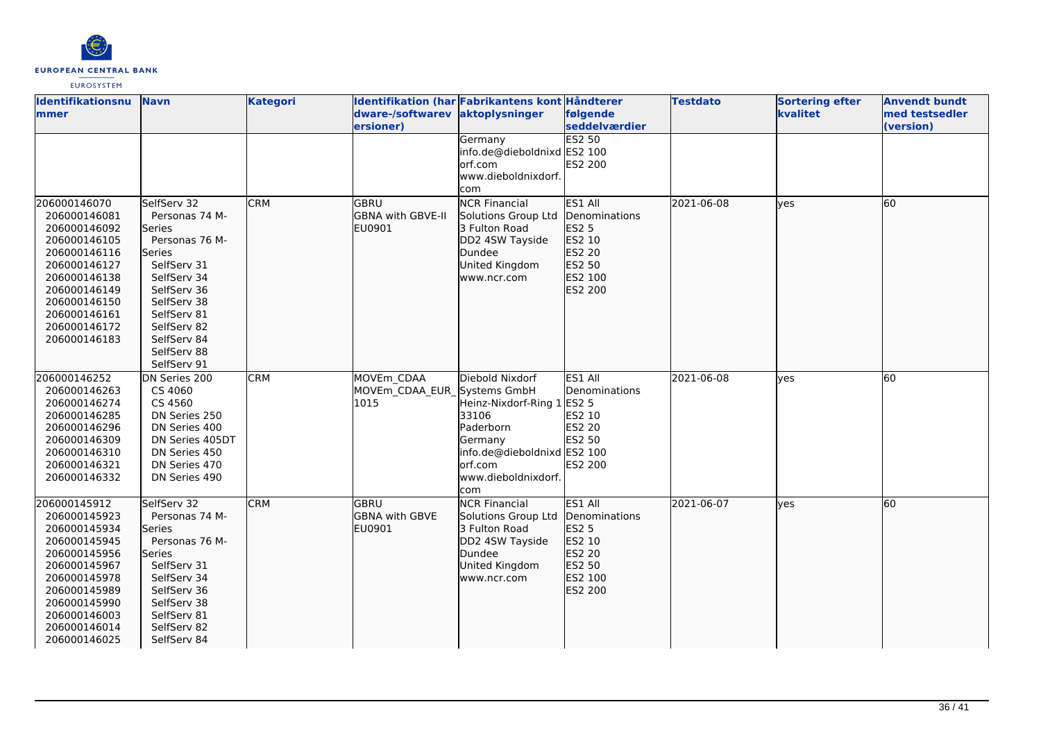

| Identifikationsnu<br>mmer                                                                                                                                                                    | <b>Navn</b>                                                                                                                                                                                                 | <b>Kategori</b> | Identifikation (har Fabrikantens kont Håndterer<br>dware-/softwarev aktoplysninger |                                                                                                                                                         | følgende                                                                              | <b>Testdato</b> | <b>Sortering efter</b><br>kvalitet | <b>Anvendt bundt</b><br>med testsedler |
|----------------------------------------------------------------------------------------------------------------------------------------------------------------------------------------------|-------------------------------------------------------------------------------------------------------------------------------------------------------------------------------------------------------------|-----------------|------------------------------------------------------------------------------------|---------------------------------------------------------------------------------------------------------------------------------------------------------|---------------------------------------------------------------------------------------|-----------------|------------------------------------|----------------------------------------|
|                                                                                                                                                                                              |                                                                                                                                                                                                             |                 | ersioner)                                                                          | Germany<br>info.de@dieboldnixd ES2 100<br>lorf.com<br>www.dieboldnixdorf.                                                                               | <b>seddelværdier</b><br><b>ES2 50</b><br>ES2 200                                      |                 |                                    | (version)                              |
| 206000146070<br>206000146081<br>206000146092<br>206000146105<br>206000146116<br>206000146127<br>206000146138<br>206000146149<br>206000146150<br>206000146161<br>206000146172<br>206000146183 | SelfServ 32<br>Personas 74 M-<br>Series<br>Personas 76 M-<br>lSeries<br>SelfServ 31<br>SelfServ 34<br>SelfServ 36<br>SelfServ 38<br>SelfServ 81<br>SelfServ 82<br>SelfServ 84<br>SelfServ 88<br>SelfServ 91 | <b>CRM</b>      | <b>GBRU</b><br>GBNA with GBVE-II<br>EU0901                                         | com<br><b>NCR Financial</b><br>Solutions Group Ltd<br>3 Fulton Road<br>DD2 4SW Tayside<br>Dundee<br>United Kingdom<br>www.ncr.com                       | ES1 All<br>Denominations<br>ES2 5<br>ES2 10<br>ES2 20<br>ES2 50<br>ES2 100<br>ES2 200 | 2021-06-08      | lves                               | 60                                     |
| 206000146252<br>206000146263<br>206000146274<br>206000146285<br>206000146296<br>206000146309<br>206000146310<br>206000146321<br>206000146332                                                 | DN Series 200<br>CS 4060<br>CS 4560<br>DN Series 250<br>DN Series 400<br>DN Series 405DT<br>DN Series 450<br>DN Series 470<br>DN Series 490                                                                 | <b>CRM</b>      | MOVEm CDAA<br>MOVEm CDAA EUR Systems GmbH<br>1015                                  | Diebold Nixdorf<br>Heinz-Nixdorf-Ring 1 ES2 5<br>33106<br>Paderborn<br>Germany<br>info.de@dieboldnixd ES2 100<br>lorf.com<br>www.dieboldnixdorf.<br>com | ES1 All<br>Denominations<br>ES2 10<br>ES2 20<br>ES2 50<br><b>ES2 200</b>              | 2021-06-08      | <b>l</b> ves                       | 60                                     |
| 206000145912<br>206000145923<br>206000145934<br>206000145945<br>206000145956<br>206000145967<br>206000145978<br>206000145989<br>206000145990<br>206000146003<br>206000146014<br>206000146025 | SelfServ 32<br>Personas 74 M-<br><b>Series</b><br>Personas 76 M-<br>Series<br>SelfServ 31<br>SelfServ 34<br>SelfServ 36<br>SelfServ 38<br>SelfServ 81<br>SelfServ 82<br>SelfServ 84                         | <b>CRM</b>      | <b>GBRU</b><br>GBNA with GBVE<br>EU0901                                            | <b>NCR Financial</b><br>Solutions Group Ltd<br>3 Fulton Road<br>DD2 4SW Tayside<br>Dundee<br>United Kingdom<br>www.ncr.com                              | ES1 All<br>Denominations<br>ES2 5<br>ES2 10<br>ES2 20<br>ES2 50<br>ES2 100<br>ES2 200 | 2021-06-07      | lves                               | 60                                     |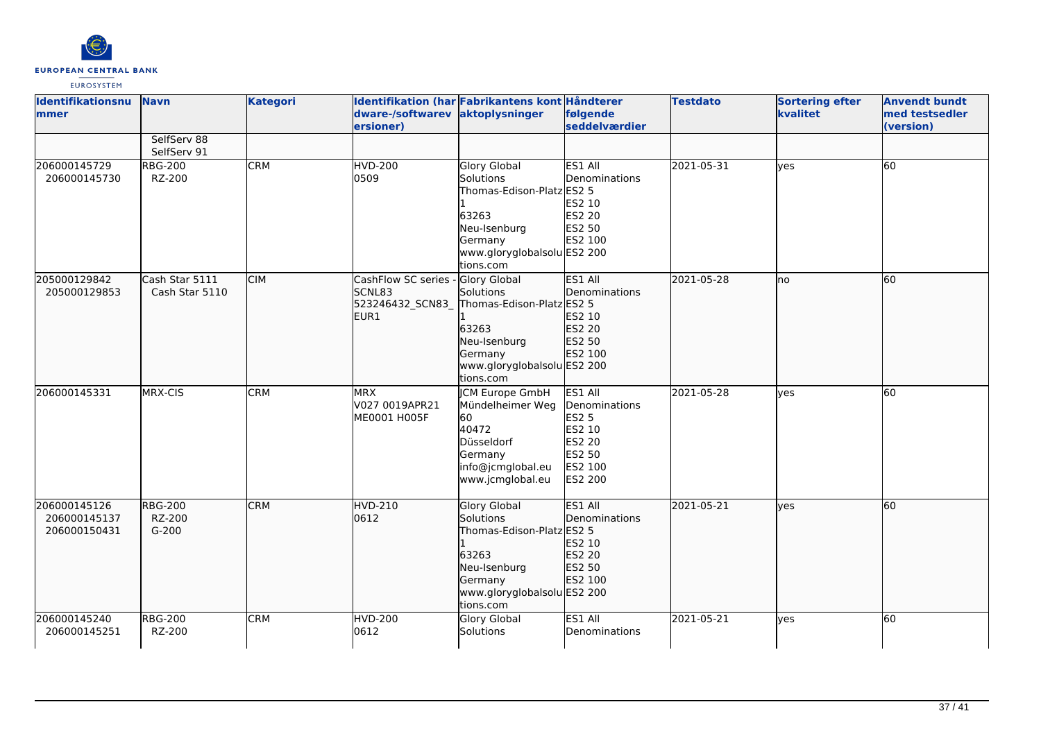

| Identifikationsnu<br><b>mmer</b>             | <b>Navn</b>                         | <b>Kategori</b> | dware-/softwarev<br>ersioner)                            | Identifikation (har Fabrikantens kont Håndterer<br>aktoplysninger                                                                                    | følgende<br>seddelværdier                                                                    | <b>Testdato</b> | <b>Sortering efter</b><br>kvalitet | <b>Anvendt bundt</b><br>med testsedler<br>(version) |
|----------------------------------------------|-------------------------------------|-----------------|----------------------------------------------------------|------------------------------------------------------------------------------------------------------------------------------------------------------|----------------------------------------------------------------------------------------------|-----------------|------------------------------------|-----------------------------------------------------|
|                                              | SelfServ 88<br>SelfServ 91          |                 |                                                          |                                                                                                                                                      |                                                                                              |                 |                                    |                                                     |
| 206000145729<br>206000145730                 | <b>RBG-200</b><br>RZ-200            | <b>CRM</b>      | <b>HVD-200</b><br>0509                                   | <b>Glory Global</b><br>Solutions<br>Thomas-Edison-Platz ES2 5<br>63263<br>Neu-Isenburg<br>Germany<br>www.gloryglobalsolu ES2 200<br>tions.com        | ES1 All<br>Denominations<br>ES2 10<br><b>ES2 20</b><br>ES2 50<br>ES2 100                     | 2021-05-31      | ves                                | 60                                                  |
| 205000129842<br>205000129853                 | Cash Star 5111<br>Cash Star 5110    | <b>CIM</b>      | CashFlow SC series<br>SCNL83<br>523246432_SCN83_<br>EUR1 | Glory Global<br>Solutions<br>Thomas-Edison-Platz ES2 5<br>63263<br>Neu-Isenburg<br>Germany<br>www.gloryglobalsolu ES2 200<br>tions.com               | ES1 All<br>Denominations<br>ES2 10<br>ES2 20<br>ES2 50<br>ES2 100                            | 2021-05-28      | ho                                 | 60                                                  |
| 206000145331                                 | MRX-CIS                             | <b>CRM</b>      | <b>MRX</b><br>V027 0019APR21<br>ME0001 H005F             | <b>JCM Europe GmbH</b><br>Mündelheimer Weg<br>60<br>40472<br>Düsseldorf<br>Germany<br>info@jcmglobal.eu<br>www.jcmglobal.eu                          | ES1 All<br>Denominations<br><b>ES2 5</b><br>ES2 10<br>ES2 20<br>ES2 50<br>ES2 100<br>ES2 200 | 2021-05-28      | yes                                | 60                                                  |
| 206000145126<br>206000145137<br>206000150431 | <b>RBG-200</b><br>RZ-200<br>$G-200$ | <b>CRM</b>      | <b>HVD-210</b><br>0612                                   | <b>Glory Global</b><br><b>Solutions</b><br>Thomas-Edison-Platz ES2 5<br>63263<br>Neu-Isenburg<br>Germany<br>www.gloryglobalsolu ES2 200<br>tions.com | ES1 All<br>Denominations<br>ES2 10<br>ES2 20<br>ES2 50<br>ES2 100                            | 2021-05-21      | <b>l</b> ves                       | 60                                                  |
| 206000145240<br>206000145251                 | <b>RBG-200</b><br>RZ-200            | <b>CRM</b>      | <b>HVD-200</b><br>0612                                   | <b>Glory Global</b><br><b>Solutions</b>                                                                                                              | ES1 All<br>Denominations                                                                     | 2021-05-21      | lyes                               | 60                                                  |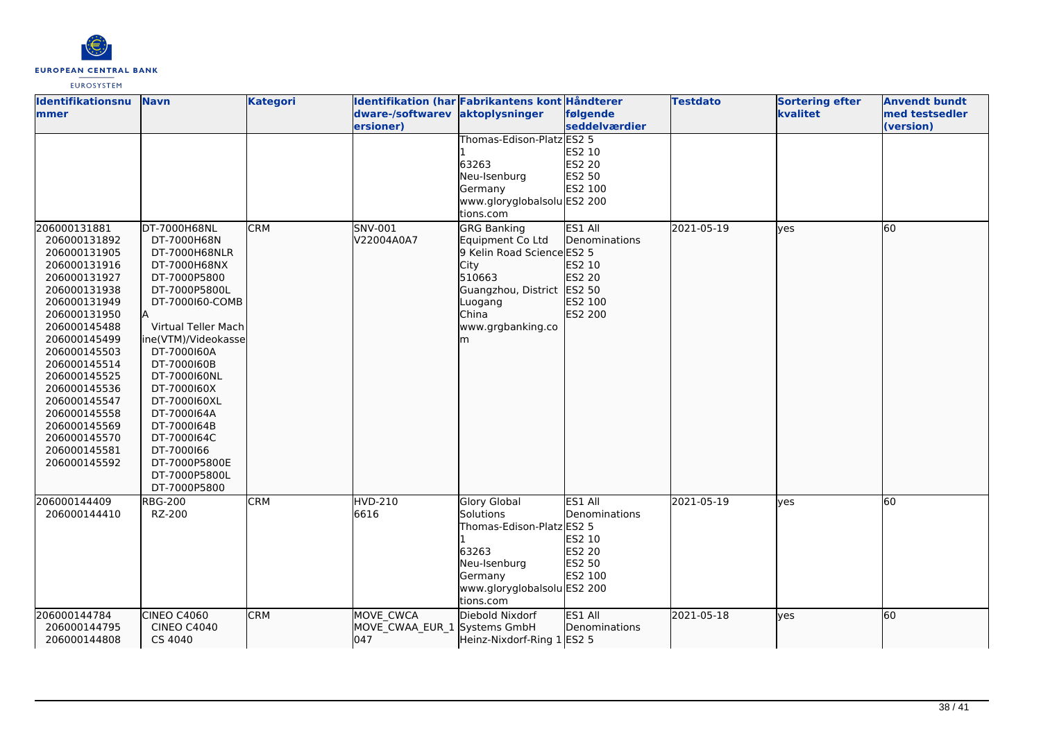

| <b>Identifikationsnu</b> | <b>Navn</b>         | <b>Kategori</b> |                              | Identifikation (har Fabrikantens kont Håndterer |               | <b>Testdato</b> | <b>Sortering efter</b> | <b>Anvendt bundt</b> |
|--------------------------|---------------------|-----------------|------------------------------|-------------------------------------------------|---------------|-----------------|------------------------|----------------------|
| <b>Immer</b>             |                     |                 | dware-/softwarev             | aktoplysninger                                  | følgende      |                 | kvalitet               | med testsedler       |
|                          |                     |                 | ersioner)                    |                                                 | seddelværdier |                 |                        | (version)            |
|                          |                     |                 |                              | Thomas-Edison-Platz ES2 5                       |               |                 |                        |                      |
|                          |                     |                 |                              |                                                 | ES2 10        |                 |                        |                      |
|                          |                     |                 |                              | 63263                                           | <b>ES2 20</b> |                 |                        |                      |
|                          |                     |                 |                              | Neu-Isenburg                                    | ES2 50        |                 |                        |                      |
|                          |                     |                 |                              | Germany                                         | ES2 100       |                 |                        |                      |
|                          |                     |                 |                              | www.gloryglobalsolu ES2 200                     |               |                 |                        |                      |
|                          |                     |                 |                              | tions.com                                       |               |                 |                        |                      |
| 206000131881             | DT-7000H68NL        | <b>CRM</b>      | SNV-001                      | <b>GRG Banking</b>                              | ES1 All       | 2021-05-19      | ves                    | 60                   |
| 206000131892             | DT-7000H68N         |                 | V22004A0A7                   | Equipment Co Ltd                                | Denominations |                 |                        |                      |
| 206000131905             | DT-7000H68NLR       |                 |                              | 9 Kelin Road Science ES2 5                      |               |                 |                        |                      |
| 206000131916             | DT-7000H68NX        |                 |                              | City                                            | ES2 10        |                 |                        |                      |
| 206000131927             | DT-7000P5800        |                 |                              | 510663                                          | ES2 20        |                 |                        |                      |
| 206000131938             | DT-7000P5800L       |                 |                              | Guangzhou, District ES2 50                      |               |                 |                        |                      |
| 206000131949             | DT-7000160-COMB     |                 |                              | Luogang                                         | ES2 100       |                 |                        |                      |
| 206000131950             |                     |                 |                              | China                                           | ES2 200       |                 |                        |                      |
| 206000145488             | Virtual Teller Mach |                 |                              | www.grgbanking.co                               |               |                 |                        |                      |
| 206000145499             | ine(VTM)/Videokasse |                 |                              | m                                               |               |                 |                        |                      |
| 206000145503             | DT-7000160A         |                 |                              |                                                 |               |                 |                        |                      |
| 206000145514             | DT-7000160B         |                 |                              |                                                 |               |                 |                        |                      |
| 206000145525             | DT-7000160NL        |                 |                              |                                                 |               |                 |                        |                      |
| 206000145536             | DT-7000160X         |                 |                              |                                                 |               |                 |                        |                      |
| 206000145547             | DT-7000160XL        |                 |                              |                                                 |               |                 |                        |                      |
| 206000145558             | DT-7000164A         |                 |                              |                                                 |               |                 |                        |                      |
| 206000145569             | DT-7000164B         |                 |                              |                                                 |               |                 |                        |                      |
| 206000145570             | DT-7000164C         |                 |                              |                                                 |               |                 |                        |                      |
| 206000145581             | DT-7000166          |                 |                              |                                                 |               |                 |                        |                      |
| 206000145592             | DT-7000P5800E       |                 |                              |                                                 |               |                 |                        |                      |
|                          | DT-7000P5800L       |                 |                              |                                                 |               |                 |                        |                      |
|                          | DT-7000P5800        |                 |                              |                                                 |               |                 |                        |                      |
| 206000144409             | <b>RBG-200</b>      | <b>CRM</b>      | <b>HVD-210</b>               | Glory Global                                    | ES1 All       | 2021-05-19      | <b>ves</b>             | 60                   |
| 206000144410             | RZ-200              |                 | 6616                         | Solutions                                       | Denominations |                 |                        |                      |
|                          |                     |                 |                              | Thomas-Edison-Platz ES2 5                       |               |                 |                        |                      |
|                          |                     |                 |                              |                                                 | ES2 10        |                 |                        |                      |
|                          |                     |                 |                              | 63263                                           | ES2 20        |                 |                        |                      |
|                          |                     |                 |                              | Neu-Isenburg                                    | ES2 50        |                 |                        |                      |
|                          |                     |                 |                              | Germany                                         | ES2 100       |                 |                        |                      |
|                          |                     |                 |                              | www.gloryglobalsolu ES2 200                     |               |                 |                        |                      |
|                          |                     |                 |                              | tions.com                                       |               |                 |                        |                      |
| 206000144784             | CINEO C4060         | <b>CRM</b>      | MOVE CWCA                    | Diebold Nixdorf                                 | ES1 All       | 2021-05-18      | lyes                   | 60                   |
| 206000144795             | <b>CINEO C4040</b>  |                 | MOVE_CWAA_EUR_1 Systems GmbH |                                                 | Denominations |                 |                        |                      |
| 206000144808             | CS 4040             |                 | 047                          | Heinz-Nixdorf-Ring 1 ES2 5                      |               |                 |                        |                      |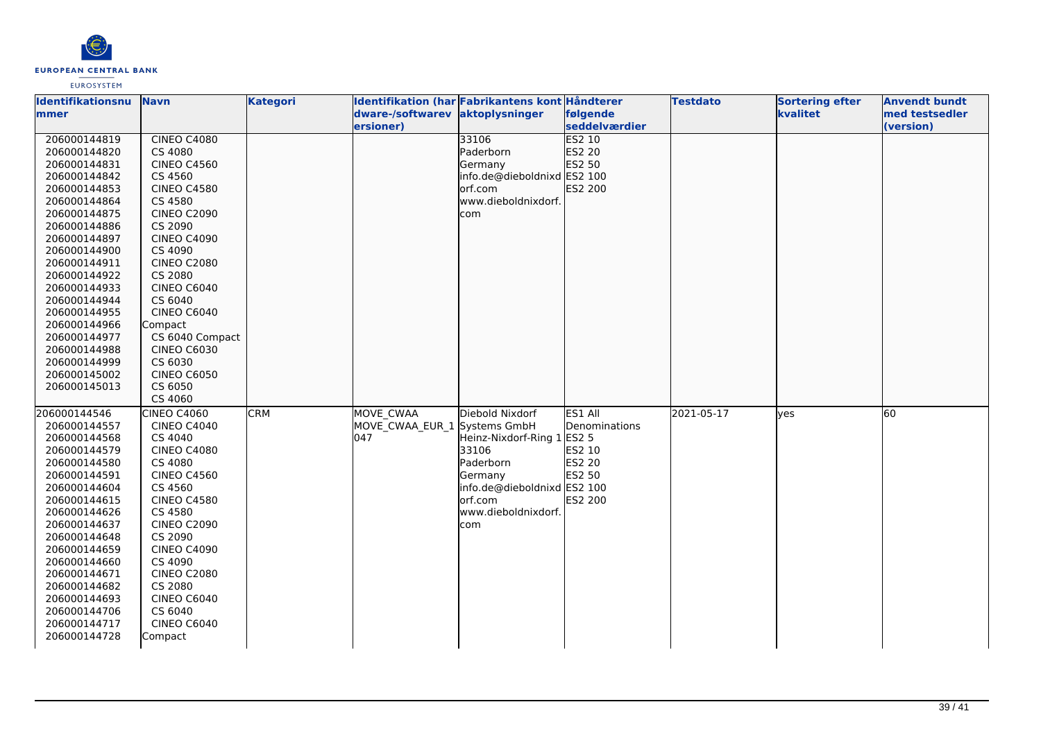

| <b>Identifikationsnu</b>     | <b>Navn</b>                   | <b>Kategori</b> |                                 | Identifikation (har Fabrikantens kont Håndterer |                         | <b>Testdato</b> | <b>Sortering efter</b> | <b>Anvendt bundt</b> |
|------------------------------|-------------------------------|-----------------|---------------------------------|-------------------------------------------------|-------------------------|-----------------|------------------------|----------------------|
| lmmer i                      |                               |                 | dware-/softwarev aktoplysninger |                                                 | følgende                |                 | kvalitet               | med testsedler       |
|                              |                               |                 | ersioner)                       |                                                 | seddelværdier           |                 |                        | (version)            |
| 206000144819                 | CINEO C4080                   |                 |                                 | 33106                                           | <b>ES2 10</b>           |                 |                        |                      |
| 206000144820                 | CS 4080                       |                 |                                 | Paderborn                                       | ES2 20                  |                 |                        |                      |
| 206000144831                 | <b>CINEO C4560</b>            |                 |                                 | Germany                                         | ES2 50                  |                 |                        |                      |
| 206000144842                 | CS 4560                       |                 |                                 | info.de@dieboldnixd ES2 100                     |                         |                 |                        |                      |
| 206000144853                 | <b>CINEO C4580</b>            |                 |                                 | lorf.com                                        | ES2 200                 |                 |                        |                      |
| 206000144864                 | CS 4580                       |                 |                                 | www.dieboldnixdorf.                             |                         |                 |                        |                      |
| 206000144875                 | <b>CINEO C2090</b>            |                 |                                 | com                                             |                         |                 |                        |                      |
| 206000144886                 | CS 2090                       |                 |                                 |                                                 |                         |                 |                        |                      |
| 206000144897                 | <b>CINEO C4090</b>            |                 |                                 |                                                 |                         |                 |                        |                      |
| 206000144900                 | CS 4090                       |                 |                                 |                                                 |                         |                 |                        |                      |
| 206000144911                 | <b>CINEO C2080</b>            |                 |                                 |                                                 |                         |                 |                        |                      |
| 206000144922                 | CS 2080                       |                 |                                 |                                                 |                         |                 |                        |                      |
| 206000144933                 | CINEO C6040                   |                 |                                 |                                                 |                         |                 |                        |                      |
| 206000144944                 | CS 6040                       |                 |                                 |                                                 |                         |                 |                        |                      |
| 206000144955                 | <b>CINEO C6040</b>            |                 |                                 |                                                 |                         |                 |                        |                      |
| 206000144966                 | Compact                       |                 |                                 |                                                 |                         |                 |                        |                      |
| 206000144977                 | CS 6040 Compact               |                 |                                 |                                                 |                         |                 |                        |                      |
| 206000144988                 | <b>CINEO C6030</b>            |                 |                                 |                                                 |                         |                 |                        |                      |
| 206000144999                 | CS 6030                       |                 |                                 |                                                 |                         |                 |                        |                      |
| 206000145002                 | <b>CINEO C6050</b>            |                 |                                 |                                                 |                         |                 |                        |                      |
| 206000145013                 | CS 6050                       |                 |                                 |                                                 |                         |                 |                        |                      |
|                              | CS 4060                       |                 |                                 |                                                 |                         |                 |                        |                      |
| 206000144546                 | CINEO C4060                   | <b>CRM</b>      | MOVE CWAA                       | Diebold Nixdorf                                 | ES1 All                 | 2021-05-17      | lves                   | 60                   |
| 206000144557                 | <b>CINEO C4040</b>            |                 | MOVE_CWAA_EUR_1 Systems GmbH    |                                                 | Denominations           |                 |                        |                      |
| 206000144568                 | CS 4040                       |                 | 047                             | Heinz-Nixdorf-Ring 1 ES2 5                      |                         |                 |                        |                      |
| 206000144579                 | <b>CINEO C4080</b><br>CS 4080 |                 |                                 | 33106<br>Paderborn                              | ES2 10<br><b>ES2 20</b> |                 |                        |                      |
| 206000144580                 |                               |                 |                                 |                                                 | ES2 50                  |                 |                        |                      |
| 206000144591<br>206000144604 | <b>CINEO C4560</b><br>CS 4560 |                 |                                 | Germany<br>info.de@dieboldnixd ES2 100          |                         |                 |                        |                      |
| 206000144615                 | <b>CINEO C4580</b>            |                 |                                 | orf.com                                         | ES2 200                 |                 |                        |                      |
| 206000144626                 | CS 4580                       |                 |                                 | www.dieboldnixdorf.                             |                         |                 |                        |                      |
| 206000144637                 | <b>CINEO C2090</b>            |                 |                                 | com                                             |                         |                 |                        |                      |
| 206000144648                 | CS 2090                       |                 |                                 |                                                 |                         |                 |                        |                      |
| 206000144659                 | <b>CINEO C4090</b>            |                 |                                 |                                                 |                         |                 |                        |                      |
| 206000144660                 | CS 4090                       |                 |                                 |                                                 |                         |                 |                        |                      |
| 206000144671                 | <b>CINEO C2080</b>            |                 |                                 |                                                 |                         |                 |                        |                      |
| 206000144682                 | CS 2080                       |                 |                                 |                                                 |                         |                 |                        |                      |
| 206000144693                 | CINEO C6040                   |                 |                                 |                                                 |                         |                 |                        |                      |
| 206000144706                 | CS 6040                       |                 |                                 |                                                 |                         |                 |                        |                      |
| 206000144717                 | <b>CINEO C6040</b>            |                 |                                 |                                                 |                         |                 |                        |                      |
| 206000144728                 | Compact                       |                 |                                 |                                                 |                         |                 |                        |                      |
|                              |                               |                 |                                 |                                                 |                         |                 |                        |                      |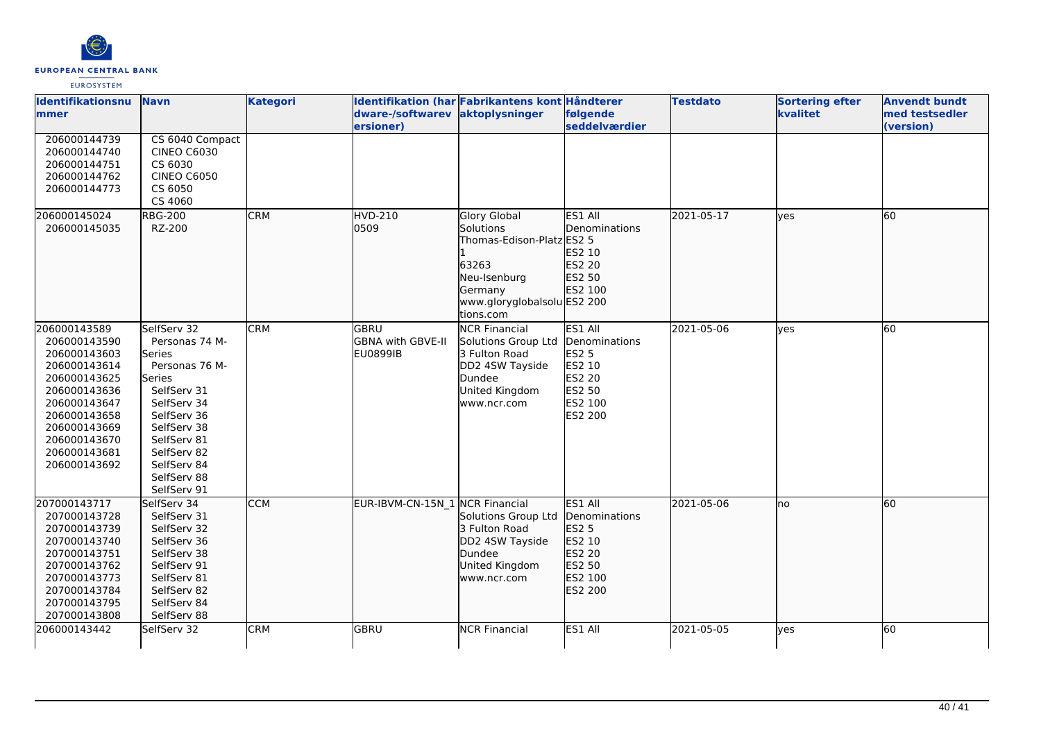

| <b>Identifikationsnu</b><br><b>mmer</b>                                                                                                                                                      | <b>Navn</b>                                                                                                                                                                                                | <b>Kategori</b> | Identifikation (har Fabrikantens kont Håndterer<br>dware-/softwarev aktoplysninger |                                                                                                                                        | følgende                                                                                     | <b>Testdato</b> | <b>Sortering efter</b><br>kvalitet | <b>Anvendt bundt</b><br>med testsedler |
|----------------------------------------------------------------------------------------------------------------------------------------------------------------------------------------------|------------------------------------------------------------------------------------------------------------------------------------------------------------------------------------------------------------|-----------------|------------------------------------------------------------------------------------|----------------------------------------------------------------------------------------------------------------------------------------|----------------------------------------------------------------------------------------------|-----------------|------------------------------------|----------------------------------------|
| 206000144739<br>206000144740<br>206000144751<br>206000144762<br>206000144773                                                                                                                 | CS 6040 Compact<br><b>CINEO C6030</b><br>CS 6030<br><b>CINEO C6050</b><br>CS 6050<br>CS 4060                                                                                                               |                 | ersioner)                                                                          |                                                                                                                                        | seddelværdier                                                                                |                 |                                    | (version)                              |
| 206000145024<br>206000145035                                                                                                                                                                 | <b>RBG-200</b><br>RZ-200                                                                                                                                                                                   | <b>CRM</b>      | HVD-210<br>0509                                                                    | Glory Global<br>Solutions<br>Thomas-Edison-Platz ES2 5<br>63263<br>Neu-Isenburg<br>Germany<br>www.gloryglobalsolu ES2 200<br>tions.com | ES1 All<br>Denominations<br>ES2 10<br>ES2 20<br>ES2 50<br>ES2 100                            | 2021-05-17      | lyes                               | 60                                     |
| 206000143589<br>206000143590<br>206000143603<br>206000143614<br>206000143625<br>206000143636<br>206000143647<br>206000143658<br>206000143669<br>206000143670<br>206000143681<br>206000143692 | SelfServ 32<br>Personas 74 M-<br>Series<br>Personas 76 M-<br>Series<br>SelfServ 31<br>SelfServ 34<br>SelfServ 36<br>SelfServ 38<br>SelfServ 81<br>SelfServ 82<br>SelfServ 84<br>SelfServ 88<br>SelfServ 91 | <b>CRM</b>      | <b>GBRU</b><br>GBNA with GBVE-II<br>EU0899IB                                       | <b>NCR Financial</b><br>Solutions Group Ltd<br>3 Fulton Road<br>DD2 4SW Tayside<br>Dundee<br>United Kingdom<br>www.ncr.com             | ES1 All<br>Denominations<br><b>ES2 5</b><br>ES2 10<br>ES2 20<br>ES2 50<br>ES2 100<br>ES2 200 | 2021-05-06      | lyes                               | $\overline{60}$                        |
| 207000143717<br>207000143728<br>207000143739<br>207000143740<br>207000143751<br>207000143762<br>207000143773<br>207000143784<br>207000143795<br>207000143808                                 | SelfServ 34<br>SelfServ 31<br>SelfServ 32<br>SelfServ 36<br>SelfServ 38<br>SelfServ 91<br>SelfServ 81<br>SelfServ 82<br>SelfServ 84<br>SelfServ 88                                                         | <b>CCM</b>      | EUR-IBVM-CN-15N 1 NCR Financial                                                    | Solutions Group Ltd<br>3 Fulton Road<br>DD2 4SW Tayside<br>Dundee<br>United Kingdom<br>www.ncr.com                                     | ES1 All<br>Denominations<br>ES2 5<br>ES2 10<br><b>ES2 20</b><br>ES2 50<br>ES2 100<br>ES2 200 | 2021-05-06      | lno                                | 60                                     |
| 206000143442                                                                                                                                                                                 | SelfServ 32                                                                                                                                                                                                | <b>CRM</b>      | GBRU                                                                               | <b>NCR Financial</b>                                                                                                                   | ES1 All                                                                                      | 2021-05-05      | ves                                | 60                                     |